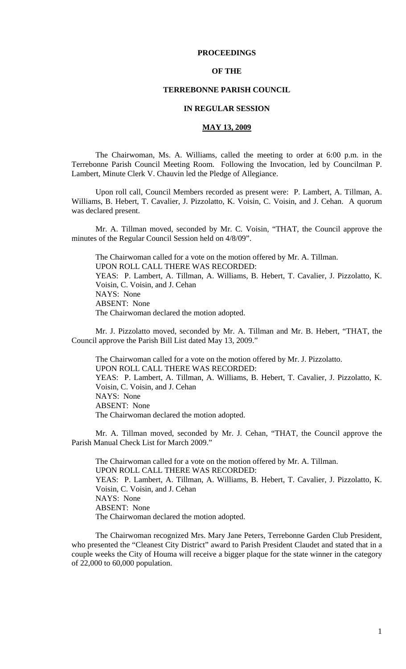### **PROCEEDINGS**

### **OF THE**

### **TERREBONNE PARISH COUNCIL**

### **IN REGULAR SESSION**

# **MAY 13, 2009**

 The Chairwoman, Ms. A. Williams, called the meeting to order at 6:00 p.m. in the Terrebonne Parish Council Meeting Room. Following the Invocation, led by Councilman P. Lambert, Minute Clerk V. Chauvin led the Pledge of Allegiance.

Upon roll call, Council Members recorded as present were: P. Lambert, A. Tillman, A. Williams, B. Hebert, T. Cavalier, J. Pizzolatto, K. Voisin, C. Voisin, and J. Cehan. A quorum was declared present.

Mr. A. Tillman moved, seconded by Mr. C. Voisin, "THAT, the Council approve the minutes of the Regular Council Session held on 4/8/09".

The Chairwoman called for a vote on the motion offered by Mr. A. Tillman. UPON ROLL CALL THERE WAS RECORDED: YEAS: P. Lambert, A. Tillman, A. Williams, B. Hebert, T. Cavalier, J. Pizzolatto, K. Voisin, C. Voisin, and J. Cehan NAYS: None ABSENT: None The Chairwoman declared the motion adopted.

Mr. J. Pizzolatto moved, seconded by Mr. A. Tillman and Mr. B. Hebert, "THAT, the Council approve the Parish Bill List dated May 13, 2009."

The Chairwoman called for a vote on the motion offered by Mr. J. Pizzolatto. UPON ROLL CALL THERE WAS RECORDED: YEAS: P. Lambert, A. Tillman, A. Williams, B. Hebert, T. Cavalier, J. Pizzolatto, K. Voisin, C. Voisin, and J. Cehan NAYS: None ABSENT: None The Chairwoman declared the motion adopted.

Mr. A. Tillman moved, seconded by Mr. J. Cehan, "THAT, the Council approve the Parish Manual Check List for March 2009."

The Chairwoman called for a vote on the motion offered by Mr. A. Tillman. UPON ROLL CALL THERE WAS RECORDED: YEAS: P. Lambert, A. Tillman, A. Williams, B. Hebert, T. Cavalier, J. Pizzolatto, K. Voisin, C. Voisin, and J. Cehan NAYS: None ABSENT: None The Chairwoman declared the motion adopted.

 The Chairwoman recognized Mrs. Mary Jane Peters, Terrebonne Garden Club President, who presented the "Cleanest City District" award to Parish President Claudet and stated that in a couple weeks the City of Houma will receive a bigger plaque for the state winner in the category of 22,000 to 60,000 population.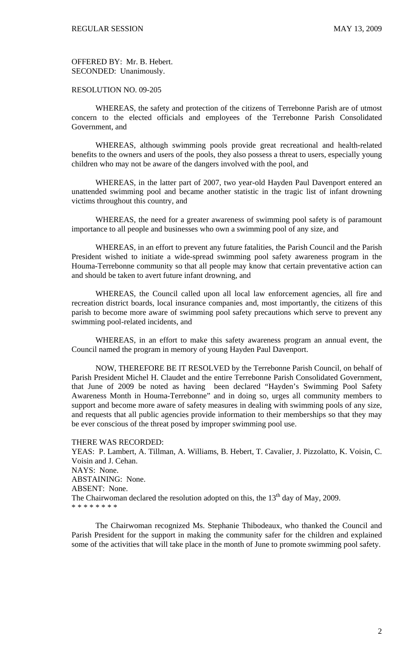OFFERED BY: Mr. B. Hebert. SECONDED: Unanimously.

RESOLUTION NO. 09-205

 WHEREAS, the safety and protection of the citizens of Terrebonne Parish are of utmost concern to the elected officials and employees of the Terrebonne Parish Consolidated Government, and

 WHEREAS, although swimming pools provide great recreational and health-related benefits to the owners and users of the pools, they also possess a threat to users, especially young children who may not be aware of the dangers involved with the pool, and

 WHEREAS, in the latter part of 2007, two year-old Hayden Paul Davenport entered an unattended swimming pool and became another statistic in the tragic list of infant drowning victims throughout this country, and

 WHEREAS, the need for a greater awareness of swimming pool safety is of paramount importance to all people and businesses who own a swimming pool of any size, and

 WHEREAS, in an effort to prevent any future fatalities, the Parish Council and the Parish President wished to initiate a wide-spread swimming pool safety awareness program in the Houma-Terrebonne community so that all people may know that certain preventative action can and should be taken to avert future infant drowning, and

 WHEREAS, the Council called upon all local law enforcement agencies, all fire and recreation district boards, local insurance companies and, most importantly, the citizens of this parish to become more aware of swimming pool safety precautions which serve to prevent any swimming pool-related incidents, and

 WHEREAS, in an effort to make this safety awareness program an annual event, the Council named the program in memory of young Hayden Paul Davenport.

 NOW, THEREFORE BE IT RESOLVED by the Terrebonne Parish Council, on behalf of Parish President Michel H. Claudet and the entire Terrebonne Parish Consolidated Government, that June of 2009 be noted as having been declared "Hayden's Swimming Pool Safety Awareness Month in Houma-Terrebonne" and in doing so, urges all community members to support and become more aware of safety measures in dealing with swimming pools of any size, and requests that all public agencies provide information to their memberships so that they may be ever conscious of the threat posed by improper swimming pool use.

THERE WAS RECORDED: YEAS: P. Lambert, A. Tillman, A. Williams, B. Hebert, T. Cavalier, J. Pizzolatto, K. Voisin, C. Voisin and J. Cehan. NAYS: None. ABSTAINING: None. ABSENT: None. The Chairwoman declared the resolution adopted on this, the  $13<sup>th</sup>$  day of May, 2009. \* \* \* \* \* \* \* \*

 The Chairwoman recognized Ms. Stephanie Thibodeaux, who thanked the Council and Parish President for the support in making the community safer for the children and explained some of the activities that will take place in the month of June to promote swimming pool safety.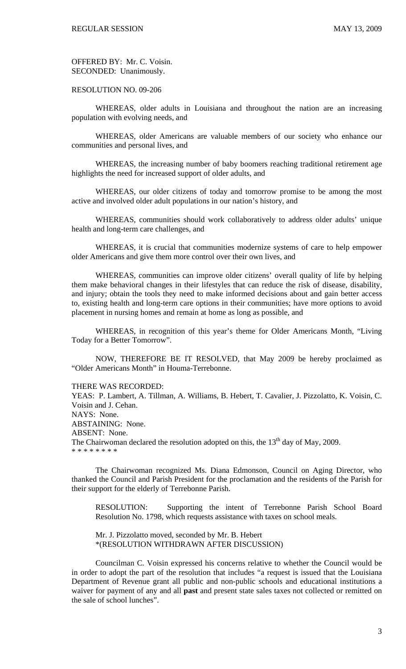OFFERED BY: Mr. C. Voisin. SECONDED: Unanimously.

RESOLUTION NO. 09-206

 WHEREAS, older adults in Louisiana and throughout the nation are an increasing population with evolving needs, and

 WHEREAS, older Americans are valuable members of our society who enhance our communities and personal lives, and

 WHEREAS, the increasing number of baby boomers reaching traditional retirement age highlights the need for increased support of older adults, and

 WHEREAS, our older citizens of today and tomorrow promise to be among the most active and involved older adult populations in our nation's history, and

 WHEREAS, communities should work collaboratively to address older adults' unique health and long-term care challenges, and

 WHEREAS, it is crucial that communities modernize systems of care to help empower older Americans and give them more control over their own lives, and

 WHEREAS, communities can improve older citizens' overall quality of life by helping them make behavioral changes in their lifestyles that can reduce the risk of disease, disability, and injury; obtain the tools they need to make informed decisions about and gain better access to, existing health and long-term care options in their communities; have more options to avoid placement in nursing homes and remain at home as long as possible, and

 WHEREAS, in recognition of this year's theme for Older Americans Month, "Living Today for a Better Tomorrow".

 NOW, THEREFORE BE IT RESOLVED, that May 2009 be hereby proclaimed as "Older Americans Month" in Houma-Terrebonne.

#### THERE WAS RECORDED:

YEAS: P. Lambert, A. Tillman, A. Williams, B. Hebert, T. Cavalier, J. Pizzolatto, K. Voisin, C. Voisin and J. Cehan. NAYS: None. ABSTAINING: None. ABSENT: None. The Chairwoman declared the resolution adopted on this, the  $13<sup>th</sup>$  day of May, 2009. \* \* \* \* \* \* \* \*

 The Chairwoman recognized Ms. Diana Edmonson, Council on Aging Director, who thanked the Council and Parish President for the proclamation and the residents of the Parish for their support for the elderly of Terrebonne Parish.

RESOLUTION: Supporting the intent of Terrebonne Parish School Board Resolution No. 1798, which requests assistance with taxes on school meals.

Mr. J. Pizzolatto moved, seconded by Mr. B. Hebert \*(RESOLUTION WITHDRAWN AFTER DISCUSSION)

Councilman C. Voisin expressed his concerns relative to whether the Council would be in order to adopt the part of the resolution that includes "a request is issued that the Louisiana Department of Revenue grant all public and non-public schools and educational institutions a waiver for payment of any and all **past** and present state sales taxes not collected or remitted on the sale of school lunches".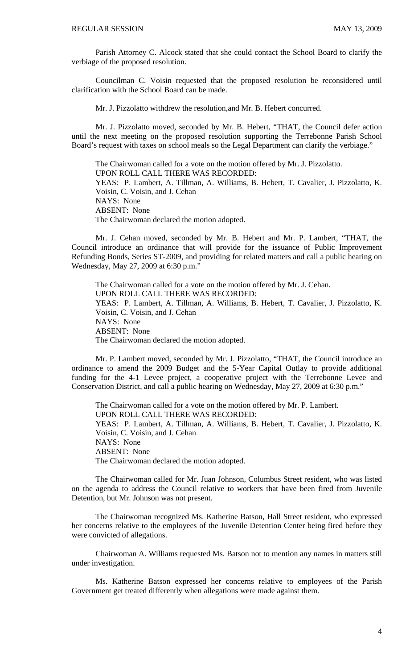Parish Attorney C. Alcock stated that she could contact the School Board to clarify the verbiage of the proposed resolution.

Councilman C. Voisin requested that the proposed resolution be reconsidered until clarification with the School Board can be made.

Mr. J. Pizzolatto withdrew the resolution,and Mr. B. Hebert concurred.

Mr. J. Pizzolatto moved, seconded by Mr. B. Hebert, "THAT, the Council defer action until the next meeting on the proposed resolution supporting the Terrebonne Parish School Board's request with taxes on school meals so the Legal Department can clarify the verbiage."

The Chairwoman called for a vote on the motion offered by Mr. J. Pizzolatto. UPON ROLL CALL THERE WAS RECORDED: YEAS: P. Lambert, A. Tillman, A. Williams, B. Hebert, T. Cavalier, J. Pizzolatto, K. Voisin, C. Voisin, and J. Cehan NAYS: None ABSENT: None The Chairwoman declared the motion adopted.

Mr. J. Cehan moved, seconded by Mr. B. Hebert and Mr. P. Lambert, "THAT, the Council introduce an ordinance that will provide for the issuance of Public Improvement Refunding Bonds, Series ST-2009, and providing for related matters and call a public hearing on Wednesday, May 27, 2009 at 6:30 p.m."

The Chairwoman called for a vote on the motion offered by Mr. J. Cehan. UPON ROLL CALL THERE WAS RECORDED: YEAS: P. Lambert, A. Tillman, A. Williams, B. Hebert, T. Cavalier, J. Pizzolatto, K. Voisin, C. Voisin, and J. Cehan NAYS: None ABSENT: None The Chairwoman declared the motion adopted.

 Mr. P. Lambert moved, seconded by Mr. J. Pizzolatto, "THAT, the Council introduce an ordinance to amend the 2009 Budget and the 5-Year Capital Outlay to provide additional funding for the 4-1 Levee project, a cooperative project with the Terrebonne Levee and Conservation District, and call a public hearing on Wednesday, May 27, 2009 at 6:30 p.m."

 The Chairwoman called for a vote on the motion offered by Mr. P. Lambert. UPON ROLL CALL THERE WAS RECORDED: YEAS: P. Lambert, A. Tillman, A. Williams, B. Hebert, T. Cavalier, J. Pizzolatto, K. Voisin, C. Voisin, and J. Cehan NAYS: None ABSENT: None The Chairwoman declared the motion adopted.

 The Chairwoman called for Mr. Juan Johnson, Columbus Street resident, who was listed on the agenda to address the Council relative to workers that have been fired from Juvenile Detention, but Mr. Johnson was not present.

 The Chairwoman recognized Ms. Katherine Batson, Hall Street resident, who expressed her concerns relative to the employees of the Juvenile Detention Center being fired before they were convicted of allegations.

 Chairwoman A. Williams requested Ms. Batson not to mention any names in matters still under investigation.

 Ms. Katherine Batson expressed her concerns relative to employees of the Parish Government get treated differently when allegations were made against them.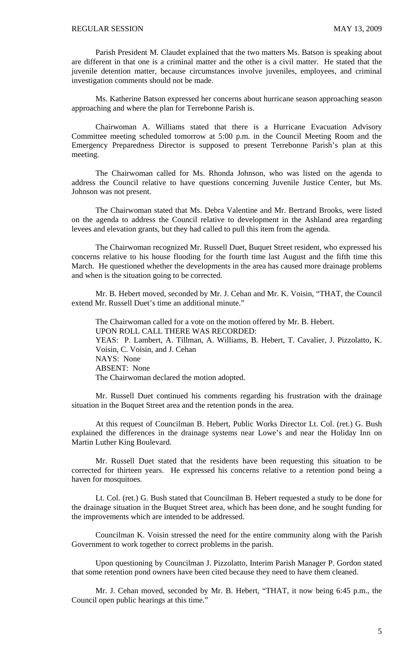Parish President M. Claudet explained that the two matters Ms. Batson is speaking about are different in that one is a criminal matter and the other is a civil matter. He stated that the juvenile detention matter, because circumstances involve juveniles, employees, and criminal investigation comments should not be made.

Ms. Katherine Batson expressed her concerns about hurricane season approaching season approaching and where the plan for Terrebonne Parish is.

Chairwoman A. Williams stated that there is a Hurricane Evacuation Advisory Committee meeting scheduled tomorrow at 5:00 p.m. in the Council Meeting Room and the Emergency Preparedness Director is supposed to present Terrebonne Parish's plan at this meeting.

 The Chairwoman called for Ms. Rhonda Johnson, who was listed on the agenda to address the Council relative to have questions concerning Juvenile Justice Center, but Ms. Johnson was not present.

 The Chairwoman stated that Ms. Debra Valentine and Mr. Bertrand Brooks, were listed on the agenda to address the Council relative to development in the Ashland area regarding levees and elevation grants, but they had called to pull this item from the agenda.

The Chairwoman recognized Mr. Russell Duet, Buquet Street resident, who expressed his concerns relative to his house flooding for the fourth time last August and the fifth time this March. He questioned whether the developments in the area has caused more drainage problems and when is the situation going to be corrected.

Mr. B. Hebert moved, seconded by Mr. J. Cehan and Mr. K. Voisin, "THAT, the Council extend Mr. Russell Duet's time an additional minute."

The Chairwoman called for a vote on the motion offered by Mr. B. Hebert. UPON ROLL CALL THERE WAS RECORDED: YEAS: P. Lambert, A. Tillman, A. Williams, B. Hebert, T. Cavalier, J. Pizzolatto, K. Voisin, C. Voisin, and J. Cehan NAYS: None ABSENT: None The Chairwoman declared the motion adopted.

 Mr. Russell Duet continued his comments regarding his frustration with the drainage situation in the Buquet Street area and the retention ponds in the area.

 At this request of Councilman B. Hebert, Public Works Director Lt. Col. (ret.) G. Bush explained the differences in the drainage systems near Lowe's and near the Holiday Inn on Martin Luther King Boulevard.

 Mr. Russell Duet stated that the residents have been requesting this situation to be corrected for thirteen years. He expressed his concerns relative to a retention pond being a haven for mosquitoes.

 Lt. Col. (ret.) G. Bush stated that Councilman B. Hebert requested a study to be done for the drainage situation in the Buquet Street area, which has been done, and he sought funding for the improvements which are intended to be addressed.

 Councilman K. Voisin stressed the need for the entire community along with the Parish Government to work together to correct problems in the parish.

 Upon questioning by Councilman J. Pizzolatto, Interim Parish Manager P. Gordon stated that some retention pond owners have been cited because they need to have them cleaned.

 Mr. J. Cehan moved, seconded by Mr. B. Hebert, "THAT, it now being 6:45 p.m., the Council open public hearings at this time."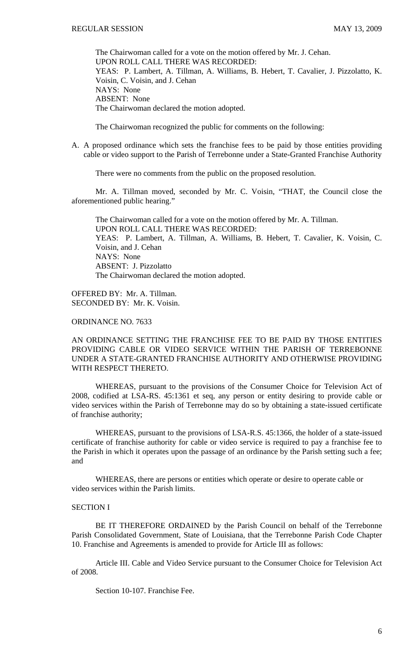The Chairwoman called for a vote on the motion offered by Mr. J. Cehan. UPON ROLL CALL THERE WAS RECORDED: YEAS: P. Lambert, A. Tillman, A. Williams, B. Hebert, T. Cavalier, J. Pizzolatto, K. Voisin, C. Voisin, and J. Cehan NAYS: None ABSENT: None The Chairwoman declared the motion adopted.

The Chairwoman recognized the public for comments on the following:

A. A proposed ordinance which sets the franchise fees to be paid by those entities providing cable or video support to the Parish of Terrebonne under a State-Granted Franchise Authority

There were no comments from the public on the proposed resolution.

 Mr. A. Tillman moved, seconded by Mr. C. Voisin, "THAT, the Council close the aforementioned public hearing."

 The Chairwoman called for a vote on the motion offered by Mr. A. Tillman. UPON ROLL CALL THERE WAS RECORDED: YEAS: P. Lambert, A. Tillman, A. Williams, B. Hebert, T. Cavalier, K. Voisin, C. Voisin, and J. Cehan NAYS: None ABSENT: J. Pizzolatto The Chairwoman declared the motion adopted.

OFFERED BY: Mr. A. Tillman. SECONDED BY: Mr. K. Voisin.

ORDINANCE NO. 7633

# AN ORDINANCE SETTING THE FRANCHISE FEE TO BE PAID BY THOSE ENTITIES PROVIDING CABLE OR VIDEO SERVICE WITHIN THE PARISH OF TERREBONNE UNDER A STATE-GRANTED FRANCHISE AUTHORITY AND OTHERWISE PROVIDING WITH RESPECT THERETO.

WHEREAS, pursuant to the provisions of the Consumer Choice for Television Act of 2008, codified at LSA-RS. 45:1361 et seq, any person or entity desiring to provide cable or video services within the Parish of Terrebonne may do so by obtaining a state-issued certificate of franchise authority;

 WHEREAS, pursuant to the provisions of LSA-R.S. 45:1366, the holder of a state-issued certificate of franchise authority for cable or video service is required to pay a franchise fee to the Parish in which it operates upon the passage of an ordinance by the Parish setting such a fee; and

WHEREAS, there are persons or entities which operate or desire to operate cable or video services within the Parish limits.

### SECTION I

BE IT THEREFORE ORDAINED by the Parish Council on behalf of the Terrebonne Parish Consolidated Government, State of Louisiana, that the Terrebonne Parish Code Chapter 10. Franchise and Agreements is amended to provide for Article III as follows:

Article III. Cable and Video Service pursuant to the Consumer Choice for Television Act of 2008.

Section 10-107. Franchise Fee.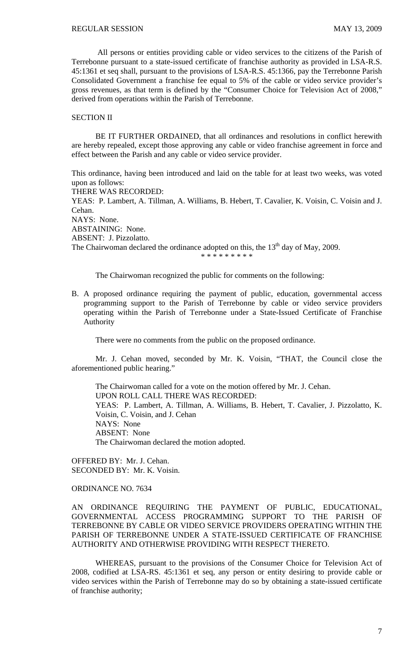All persons or entities providing cable or video services to the citizens of the Parish of Terrebonne pursuant to a state-issued certificate of franchise authority as provided in LSA-R.S. 45:1361 et seq shall, pursuant to the provisions of LSA-R.S. 45:1366, pay the Terrebonne Parish Consolidated Government a franchise fee equal to 5% of the cable or video service provider's gross revenues, as that term is defined by the "Consumer Choice for Television Act of 2008," derived from operations within the Parish of Terrebonne.

### SECTION II

BE IT FURTHER ORDAINED, that all ordinances and resolutions in conflict herewith are hereby repealed, except those approving any cable or video franchise agreement in force and effect between the Parish and any cable or video service provider.

This ordinance, having been introduced and laid on the table for at least two weeks, was voted upon as follows:

THERE WAS RECORDED:

YEAS: P. Lambert, A. Tillman, A. Williams, B. Hebert, T. Cavalier, K. Voisin, C. Voisin and J. Cehan. NAYS: None. ABSTAINING: None. ABSENT: J. Pizzolatto.

The Chairwoman declared the ordinance adopted on this, the  $13<sup>th</sup>$  day of May, 2009. \* \* \* \* \* \* \* \* \*

The Chairwoman recognized the public for comments on the following:

B. A proposed ordinance requiring the payment of public, education, governmental access programming support to the Parish of Terrebonne by cable or video service providers operating within the Parish of Terrebonne under a State-Issued Certificate of Franchise Authority

There were no comments from the public on the proposed ordinance.

 Mr. J. Cehan moved, seconded by Mr. K. Voisin, "THAT, the Council close the aforementioned public hearing."

 The Chairwoman called for a vote on the motion offered by Mr. J. Cehan. UPON ROLL CALL THERE WAS RECORDED: YEAS: P. Lambert, A. Tillman, A. Williams, B. Hebert, T. Cavalier, J. Pizzolatto, K. Voisin, C. Voisin, and J. Cehan NAYS: None ABSENT: None The Chairwoman declared the motion adopted.

OFFERED BY: Mr. J. Cehan. SECONDED BY: Mr. K. Voisin.

ORDINANCE NO. 7634

AN ORDINANCE REQUIRING THE PAYMENT OF PUBLIC, EDUCATIONAL, GOVERNMENTAL ACCESS PROGRAMMING SUPPORT TO THE PARISH OF TERREBONNE BY CABLE OR VIDEO SERVICE PROVIDERS OPERATING WITHIN THE PARISH OF TERREBONNE UNDER A STATE-ISSUED CERTIFICATE OF FRANCHISE AUTHORITY AND OTHERWISE PROVIDING WITH RESPECT THERETO.

WHEREAS, pursuant to the provisions of the Consumer Choice for Television Act of 2008, codified at LSA-RS. 45:1361 et seq, any person or entity desiring to provide cable or video services within the Parish of Terrebonne may do so by obtaining a state-issued certificate of franchise authority;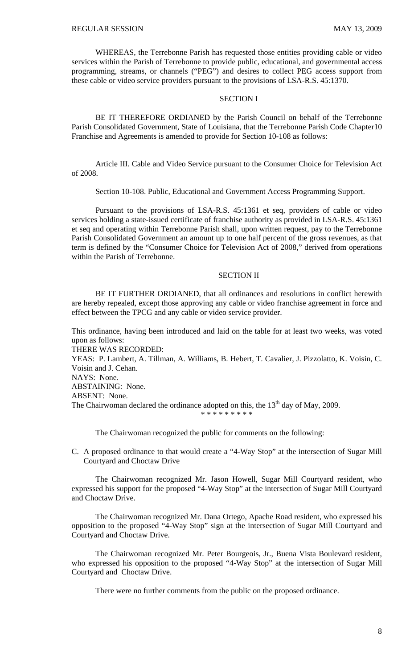WHEREAS, the Terrebonne Parish has requested those entities providing cable or video services within the Parish of Terrebonne to provide public, educational, and governmental access programming, streams, or channels ("PEG") and desires to collect PEG access support from these cable or video service providers pursuant to the provisions of LSA-R.S. 45:1370.

# SECTION I

BE IT THEREFORE ORDIANED by the Parish Council on behalf of the Terrebonne Parish Consolidated Government, State of Louisiana, that the Terrebonne Parish Code Chapter10 Franchise and Agreements is amended to provide for Section 10-108 as follows:

Article III. Cable and Video Service pursuant to the Consumer Choice for Television Act of 2008.

Section 10-108. Public, Educational and Government Access Programming Support.

Pursuant to the provisions of LSA-R.S. 45:1361 et seq, providers of cable or video services holding a state-issued certificate of franchise authority as provided in LSA-R.S. 45:1361 et seq and operating within Terrebonne Parish shall, upon written request, pay to the Terrebonne Parish Consolidated Government an amount up to one half percent of the gross revenues, as that term is defined by the "Consumer Choice for Television Act of 2008," derived from operations within the Parish of Terrebonne.

### SECTION II

BE IT FURTHER ORDIANED, that all ordinances and resolutions in conflict herewith are hereby repealed, except those approving any cable or video franchise agreement in force and effect between the TPCG and any cable or video service provider.

This ordinance, having been introduced and laid on the table for at least two weeks, was voted upon as follows:

THERE WAS RECORDED:

YEAS: P. Lambert, A. Tillman, A. Williams, B. Hebert, T. Cavalier, J. Pizzolatto, K. Voisin, C. Voisin and J. Cehan.

NAYS: None.

ABSTAINING: None.

ABSENT: None.

The Chairwoman declared the ordinance adopted on this, the  $13<sup>th</sup>$  day of May, 2009.

\* \* \* \* \* \* \* \*

The Chairwoman recognized the public for comments on the following:

C. A proposed ordinance to that would create a "4-Way Stop" at the intersection of Sugar Mill Courtyard and Choctaw Drive

 The Chairwoman recognized Mr. Jason Howell, Sugar Mill Courtyard resident, who expressed his support for the proposed "4-Way Stop" at the intersection of Sugar Mill Courtyard and Choctaw Drive.

 The Chairwoman recognized Mr. Dana Ortego, Apache Road resident, who expressed his opposition to the proposed "4-Way Stop" sign at the intersection of Sugar Mill Courtyard and Courtyard and Choctaw Drive.

 The Chairwoman recognized Mr. Peter Bourgeois, Jr., Buena Vista Boulevard resident, who expressed his opposition to the proposed "4-Way Stop" at the intersection of Sugar Mill Courtyard and Choctaw Drive.

There were no further comments from the public on the proposed ordinance.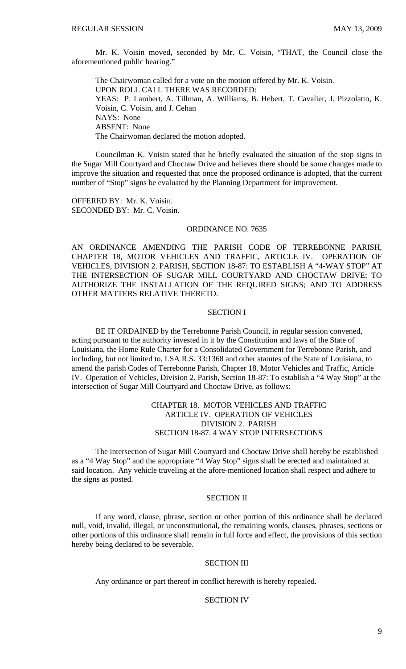Mr. K. Voisin moved, seconded by Mr. C. Voisin, "THAT, the Council close the aforementioned public hearing.'

 The Chairwoman called for a vote on the motion offered by Mr. K. Voisin. UPON ROLL CALL THERE WAS RECORDED: YEAS: P. Lambert, A. Tillman, A. Williams, B. Hebert, T. Cavalier, J. Pizzolatto, K. Voisin, C. Voisin, and J. Cehan NAYS: None ABSENT: None The Chairwoman declared the motion adopted.

 Councilman K. Voisin stated that he briefly evaluated the situation of the stop signs in the Sugar Mill Courtyard and Choctaw Drive and believes there should be some changes made to improve the situation and requested that once the proposed ordinance is adopted, that the current number of "Stop" signs be evaluated by the Planning Department for improvement.

OFFERED BY: Mr. K. Voisin. SECONDED BY: Mr. C. Voisin.

### ORDINANCE NO. 7635

AN ORDINANCE AMENDING THE PARISH CODE OF TERREBONNE PARISH, CHAPTER 18, MOTOR VEHICLES AND TRAFFIC, ARTICLE IV. OPERATION OF VEHICLES, DIVISION 2. PARISH, SECTION 18-87: TO ESTABLISH A "4-WAY STOP" AT THE INTERSECTION OF SUGAR MILL COURTYARD AND CHOCTAW DRIVE; TO AUTHORIZE THE INSTALLATION OF THE REQUIRED SIGNS; AND TO ADDRESS OTHER MATTERS RELATIVE THERETO.

### SECTION I

BE IT ORDAINED by the Terrebonne Parish Council, in regular session convened, acting pursuant to the authority invested in it by the Constitution and laws of the State of Louisiana, the Home Rule Charter for a Consolidated Government for Terrebonne Parish, and including, but not limited to, LSA R.S. 33:1368 and other statutes of the State of Louisiana, to amend the parish Codes of Terrebonne Parish, Chapter 18. Motor Vehicles and Traffic, Article IV. Operation of Vehicles, Division 2. Parish, Section 18-87: To establish a "4 Way Stop" at the intersection of Sugar Mill Courtyard and Choctaw Drive, as follows:

## CHAPTER 18. MOTOR VEHICLES AND TRAFFIC ARTICLE IV. OPERATION OF VEHICLES DIVISION 2. PARISH SECTION 18-87. 4 WAY STOP INTERSECTIONS

 The intersection of Sugar Mill Courtyard and Choctaw Drive shall hereby be established as a "4 Way Stop" and the appropriate "4 Way Stop" signs shall be erected and maintained at said location. Any vehicle traveling at the afore-mentioned location shall respect and adhere to the signs as posted.

# SECTION II

If any word, clause, phrase, section or other portion of this ordinance shall be declared null, void, invalid, illegal, or unconstitutional, the remaining words, clauses, phrases, sections or other portions of this ordinance shall remain in full force and effect, the provisions of this section hereby being declared to be severable.

#### SECTION III

Any ordinance or part thereof in conflict herewith is hereby repealed.

#### SECTION IV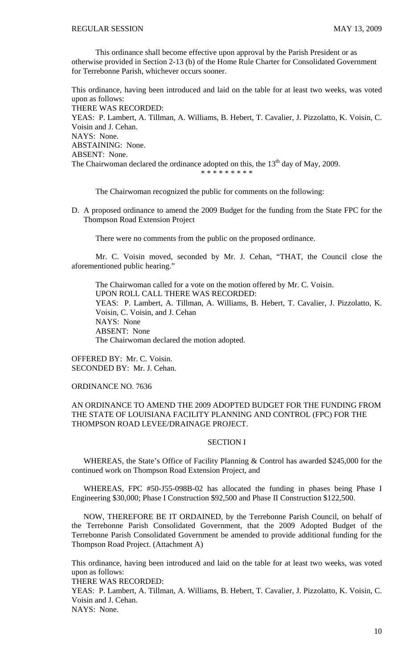This ordinance shall become effective upon approval by the Parish President or as otherwise provided in Section 2-13 (b) of the Home Rule Charter for Consolidated Government for Terrebonne Parish, whichever occurs sooner.

This ordinance, having been introduced and laid on the table for at least two weeks, was voted upon as follows: THERE WAS RECORDED: YEAS: P. Lambert, A. Tillman, A. Williams, B. Hebert, T. Cavalier, J. Pizzolatto, K. Voisin, C. Voisin and J. Cehan. NAYS: None. ABSTAINING: None. ABSENT: None. The Chairwoman declared the ordinance adopted on this, the  $13<sup>th</sup>$  day of May, 2009. \* \* \* \* \* \* \* \* \*

The Chairwoman recognized the public for comments on the following:

D. A proposed ordinance to amend the 2009 Budget for the funding from the State FPC for the Thompson Road Extension Project

There were no comments from the public on the proposed ordinance.

 Mr. C. Voisin moved, seconded by Mr. J. Cehan, "THAT, the Council close the aforementioned public hearing."

 The Chairwoman called for a vote on the motion offered by Mr. C. Voisin. UPON ROLL CALL THERE WAS RECORDED: YEAS: P. Lambert, A. Tillman, A. Williams, B. Hebert, T. Cavalier, J. Pizzolatto, K. Voisin, C. Voisin, and J. Cehan NAYS: None ABSENT: None The Chairwoman declared the motion adopted.

OFFERED BY: Mr. C. Voisin. SECONDED BY: Mr. J. Cehan.

ORDINANCE NO. 7636

# AN ORDINANCE TO AMEND THE 2009 ADOPTED BUDGET FOR THE FUNDING FROM THE STATE OF LOUISIANA FACILITY PLANNING AND CONTROL (FPC) FOR THE THOMPSON ROAD LEVEE/DRAINAGE PROJECT.

### SECTION I

 WHEREAS, the State's Office of Facility Planning & Control has awarded \$245,000 for the continued work on Thompson Road Extension Project, and

 WHEREAS, FPC #50-J55-098B-02 has allocated the funding in phases being Phase I Engineering \$30,000; Phase I Construction \$92,500 and Phase II Construction \$122,500.

 NOW, THEREFORE BE IT ORDAINED, by the Terrebonne Parish Council, on behalf of the Terrebonne Parish Consolidated Government, that the 2009 Adopted Budget of the Terrebonne Parish Consolidated Government be amended to provide additional funding for the Thompson Road Project. (Attachment A)

This ordinance, having been introduced and laid on the table for at least two weeks, was voted upon as follows:

THERE WAS RECORDED:

YEAS: P. Lambert, A. Tillman, A. Williams, B. Hebert, T. Cavalier, J. Pizzolatto, K. Voisin, C. Voisin and J. Cehan.

NAYS: None.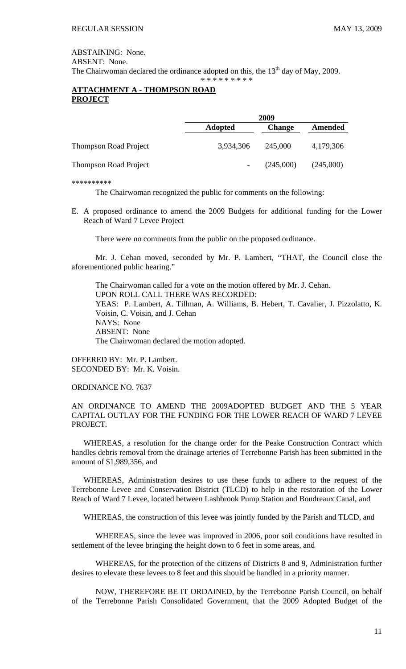ABSTAINING: None. ABSENT: None. The Chairwoman declared the ordinance adopted on this, the  $13<sup>th</sup>$  day of May, 2009. \* \* \* \* \* \* \* \* \*

# **ATTACHMENT A - THOMPSON ROAD PROJECT**

|                              | 2009           |               |           |
|------------------------------|----------------|---------------|-----------|
|                              | <b>Adopted</b> | <b>Change</b> | Amended   |
| <b>Thompson Road Project</b> | 3,934,306      | 245,000       | 4,179,306 |
| <b>Thompson Road Project</b> |                | (245,000)     | (245,000) |

\*\*\*\*\*\*\*\*\*\*

The Chairwoman recognized the public for comments on the following:

E. A proposed ordinance to amend the 2009 Budgets for additional funding for the Lower Reach of Ward 7 Levee Project

There were no comments from the public on the proposed ordinance.

 Mr. J. Cehan moved, seconded by Mr. P. Lambert, "THAT, the Council close the aforementioned public hearing."

 The Chairwoman called for a vote on the motion offered by Mr. J. Cehan. UPON ROLL CALL THERE WAS RECORDED: YEAS: P. Lambert, A. Tillman, A. Williams, B. Hebert, T. Cavalier, J. Pizzolatto, K. Voisin, C. Voisin, and J. Cehan NAYS: None ABSENT: None The Chairwoman declared the motion adopted.

OFFERED BY: Mr. P. Lambert. SECONDED BY: Mr. K. Voisin.

ORDINANCE NO. 7637

# AN ORDINANCE TO AMEND THE 2009ADOPTED BUDGET AND THE 5 YEAR CAPITAL OUTLAY FOR THE FUNDING FOR THE LOWER REACH OF WARD 7 LEVEE PROJECT.

 WHEREAS, a resolution for the change order for the Peake Construction Contract which handles debris removal from the drainage arteries of Terrebonne Parish has been submitted in the amount of \$1,989,356, and

 WHEREAS, Administration desires to use these funds to adhere to the request of the Terrebonne Levee and Conservation District (TLCD) to help in the restoration of the Lower Reach of Ward 7 Levee, located between Lashbrook Pump Station and Boudreaux Canal, and

WHEREAS, the construction of this levee was jointly funded by the Parish and TLCD, and

WHEREAS, since the levee was improved in 2006, poor soil conditions have resulted in settlement of the levee bringing the height down to 6 feet in some areas, and

WHEREAS, for the protection of the citizens of Districts 8 and 9, Administration further desires to elevate these levees to 8 feet and this should be handled in a priority manner.

 NOW, THEREFORE BE IT ORDAINED, by the Terrebonne Parish Council, on behalf of the Terrebonne Parish Consolidated Government, that the 2009 Adopted Budget of the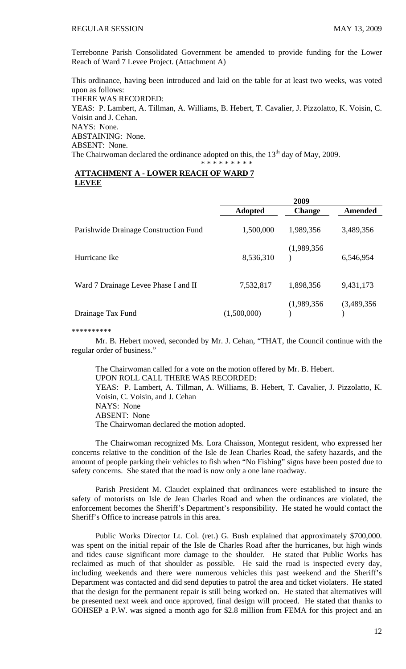Terrebonne Parish Consolidated Government be amended to provide funding for the Lower Reach of Ward 7 Levee Project. (Attachment A)

This ordinance, having been introduced and laid on the table for at least two weeks, was voted upon as follows: THERE WAS RECORDED: YEAS: P. Lambert, A. Tillman, A. Williams, B. Hebert, T. Cavalier, J. Pizzolatto, K. Voisin, C. Voisin and J. Cehan. NAYS: None. ABSTAINING: None. ABSENT: None. The Chairwoman declared the ordinance adopted on this, the  $13<sup>th</sup>$  day of May, 2009.

\* \* \* \* \* \* \* \* \*

# **ATTACHMENT A - LOWER REACH OF WARD 7 LEVEE**

|                                       | 2009           |               |             |
|---------------------------------------|----------------|---------------|-------------|
|                                       | <b>Adopted</b> | <b>Change</b> | Amended     |
| Parishwide Drainage Construction Fund | 1,500,000      | 1,989,356     | 3,489,356   |
| Hurricane Ike                         | 8,536,310      | (1,989,356)   | 6,546,954   |
| Ward 7 Drainage Levee Phase I and II  | 7,532,817      | 1,898,356     | 9,431,173   |
| Drainage Tax Fund                     | (1,500,000)    | (1,989,356)   | (3,489,356) |

\*\*\*\*\*\*\*\*\*\*

Mr. B. Hebert moved, seconded by Mr. J. Cehan, "THAT, the Council continue with the regular order of business."

 The Chairwoman called for a vote on the motion offered by Mr. B. Hebert. UPON ROLL CALL THERE WAS RECORDED: YEAS: P. Lambert, A. Tillman, A. Williams, B. Hebert, T. Cavalier, J. Pizzolatto, K. Voisin, C. Voisin, and J. Cehan NAYS: None ABSENT: None The Chairwoman declared the motion adopted.

 The Chairwoman recognized Ms. Lora Chaisson, Montegut resident, who expressed her concerns relative to the condition of the Isle de Jean Charles Road, the safety hazards, and the amount of people parking their vehicles to fish when "No Fishing" signs have been posted due to safety concerns. She stated that the road is now only a one lane roadway.

 Parish President M. Claudet explained that ordinances were established to insure the safety of motorists on Isle de Jean Charles Road and when the ordinances are violated, the enforcement becomes the Sheriff's Department's responsibility. He stated he would contact the Sheriff's Office to increase patrols in this area.

 Public Works Director Lt. Col. (ret.) G. Bush explained that approximately \$700,000. was spent on the initial repair of the Isle de Charles Road after the hurricanes, but high winds and tides cause significant more damage to the shoulder. He stated that Public Works has reclaimed as much of that shoulder as possible. He said the road is inspected every day, including weekends and there were numerous vehicles this past weekend and the Sheriff's Department was contacted and did send deputies to patrol the area and ticket violaters. He stated that the design for the permanent repair is still being worked on. He stated that alternatives will be presented next week and once approved, final design will proceed. He stated that thanks to GOHSEP a P.W. was signed a month ago for \$2.8 million from FEMA for this project and an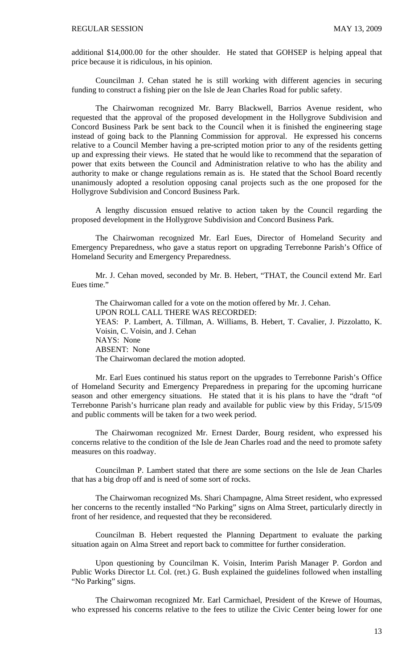additional \$14,000.00 for the other shoulder. He stated that GOHSEP is helping appeal that price because it is ridiculous, in his opinion.

Councilman J. Cehan stated he is still working with different agencies in securing funding to construct a fishing pier on the Isle de Jean Charles Road for public safety.

The Chairwoman recognized Mr. Barry Blackwell, Barrios Avenue resident, who requested that the approval of the proposed development in the Hollygrove Subdivision and Concord Business Park be sent back to the Council when it is finished the engineering stage instead of going back to the Planning Commission for approval. He expressed his concerns relative to a Council Member having a pre-scripted motion prior to any of the residents getting up and expressing their views. He stated that he would like to recommend that the separation of power that exits between the Council and Administration relative to who has the ability and authority to make or change regulations remain as is. He stated that the School Board recently unanimously adopted a resolution opposing canal projects such as the one proposed for the Hollygrove Subdivision and Concord Business Park.

A lengthy discussion ensued relative to action taken by the Council regarding the proposed development in the Hollygrove Subdivision and Concord Business Park.

The Chairwoman recognized Mr. Earl Eues, Director of Homeland Security and Emergency Preparedness, who gave a status report on upgrading Terrebonne Parish's Office of Homeland Security and Emergency Preparedness.

Mr. J. Cehan moved, seconded by Mr. B. Hebert, "THAT, the Council extend Mr. Earl Eues time."

The Chairwoman called for a vote on the motion offered by Mr. J. Cehan. UPON ROLL CALL THERE WAS RECORDED: YEAS: P. Lambert, A. Tillman, A. Williams, B. Hebert, T. Cavalier, J. Pizzolatto, K. Voisin, C. Voisin, and J. Cehan NAYS: None ABSENT: None The Chairwoman declared the motion adopted.

Mr. Earl Eues continued his status report on the upgrades to Terrebonne Parish's Office of Homeland Security and Emergency Preparedness in preparing for the upcoming hurricane season and other emergency situations. He stated that it is his plans to have the "draft "of Terrebonne Parish's hurricane plan ready and available for public view by this Friday, 5/15/09 and public comments will be taken for a two week period.

The Chairwoman recognized Mr. Ernest Darder, Bourg resident, who expressed his concerns relative to the condition of the Isle de Jean Charles road and the need to promote safety measures on this roadway.

Councilman P. Lambert stated that there are some sections on the Isle de Jean Charles that has a big drop off and is need of some sort of rocks.

 The Chairwoman recognized Ms. Shari Champagne, Alma Street resident, who expressed her concerns to the recently installed "No Parking" signs on Alma Street, particularly directly in front of her residence, and requested that they be reconsidered.

 Councilman B. Hebert requested the Planning Department to evaluate the parking situation again on Alma Street and report back to committee for further consideration.

 Upon questioning by Councilman K. Voisin, Interim Parish Manager P. Gordon and Public Works Director Lt. Col. (ret.) G. Bush explained the guidelines followed when installing "No Parking" signs.

 The Chairwoman recognized Mr. Earl Carmichael, President of the Krewe of Houmas, who expressed his concerns relative to the fees to utilize the Civic Center being lower for one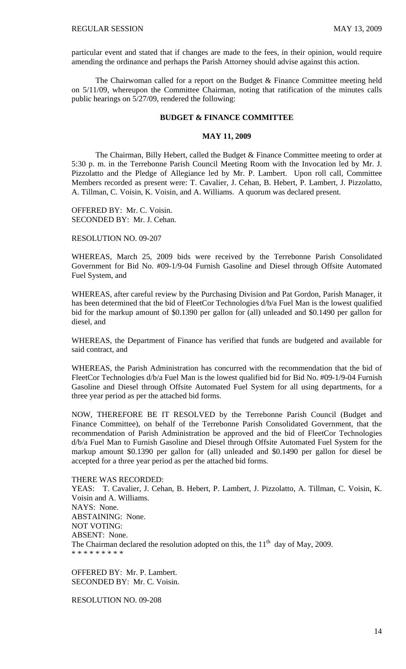particular event and stated that if changes are made to the fees, in their opinion, would require amending the ordinance and perhaps the Parish Attorney should advise against this action.

 The Chairwoman called for a report on the Budget & Finance Committee meeting held on 5/11/09, whereupon the Committee Chairman, noting that ratification of the minutes calls public hearings on 5/27/09, rendered the following:

### **BUDGET & FINANCE COMMITTEE**

#### **MAY 11, 2009**

 The Chairman, Billy Hebert, called the Budget & Finance Committee meeting to order at 5:30 p. m. in the Terrebonne Parish Council Meeting Room with the Invocation led by Mr. J. Pizzolatto and the Pledge of Allegiance led by Mr. P. Lambert. Upon roll call, Committee Members recorded as present were: T. Cavalier, J. Cehan, B. Hebert, P. Lambert, J. Pizzolatto, A. Tillman, C. Voisin, K. Voisin, and A. Williams. A quorum was declared present.

OFFERED BY: Mr. C. Voisin. SECONDED BY: Mr. J. Cehan.

RESOLUTION NO. 09-207

WHEREAS, March 25, 2009 bids were received by the Terrebonne Parish Consolidated Government for Bid No. #09-1/9-04 Furnish Gasoline and Diesel through Offsite Automated Fuel System, and

WHEREAS, after careful review by the Purchasing Division and Pat Gordon, Parish Manager, it has been determined that the bid of FleetCor Technologies d/b/a Fuel Man is the lowest qualified bid for the markup amount of \$0.1390 per gallon for (all) unleaded and \$0.1490 per gallon for diesel, and

WHEREAS, the Department of Finance has verified that funds are budgeted and available for said contract, and

WHEREAS, the Parish Administration has concurred with the recommendation that the bid of FleetCor Technologies d/b/a Fuel Man is the lowest qualified bid for Bid No. #09-1/9-04 Furnish Gasoline and Diesel through Offsite Automated Fuel System for all using departments, for a three year period as per the attached bid forms.

NOW, THEREFORE BE IT RESOLVED by the Terrebonne Parish Council (Budget and Finance Committee), on behalf of the Terrebonne Parish Consolidated Government, that the recommendation of Parish Administration be approved and the bid of FleetCor Technologies d/b/a Fuel Man to Furnish Gasoline and Diesel through Offsite Automated Fuel System for the markup amount \$0.1390 per gallon for (all) unleaded and \$0.1490 per gallon for diesel be accepted for a three year period as per the attached bid forms.

THERE WAS RECORDED:

YEAS: T. Cavalier, J. Cehan, B. Hebert, P. Lambert, J. Pizzolatto, A. Tillman, C. Voisin, K. Voisin and A. Williams. NAYS: None. ABSTAINING: None. NOT VOTING: ABSENT: None. The Chairman declared the resolution adopted on this, the  $11<sup>th</sup>$  day of May, 2009. \* \* \* \* \* \* \* \* \*

OFFERED BY: Mr. P. Lambert. SECONDED BY: Mr. C. Voisin.

RESOLUTION NO. 09-208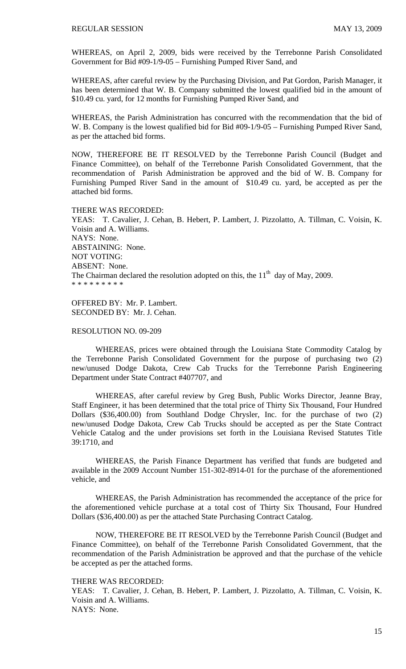WHEREAS, on April 2, 2009, bids were received by the Terrebonne Parish Consolidated Government for Bid #09-1/9-05 – Furnishing Pumped River Sand, and

WHEREAS, after careful review by the Purchasing Division, and Pat Gordon, Parish Manager, it has been determined that W. B. Company submitted the lowest qualified bid in the amount of \$10.49 cu. yard, for 12 months for Furnishing Pumped River Sand, and

WHEREAS, the Parish Administration has concurred with the recommendation that the bid of W. B. Company is the lowest qualified bid for Bid #09-1/9-05 – Furnishing Pumped River Sand, as per the attached bid forms.

NOW, THEREFORE BE IT RESOLVED by the Terrebonne Parish Council (Budget and Finance Committee), on behalf of the Terrebonne Parish Consolidated Government, that the recommendation of Parish Administration be approved and the bid of W. B. Company for Furnishing Pumped River Sand in the amount of \$10.49 cu. yard, be accepted as per the attached bid forms.

THERE WAS RECORDED:

YEAS: T. Cavalier, J. Cehan, B. Hebert, P. Lambert, J. Pizzolatto, A. Tillman, C. Voisin, K. Voisin and A. Williams. NAYS: None. ABSTAINING: None. NOT VOTING: ABSENT: None. The Chairman declared the resolution adopted on this, the  $11<sup>th</sup>$  day of May, 2009. \* \* \* \* \* \* \* \* \*

OFFERED BY: Mr. P. Lambert. SECONDED BY: Mr. J. Cehan.

#### RESOLUTION NO. 09-209

 WHEREAS, prices were obtained through the Louisiana State Commodity Catalog by the Terrebonne Parish Consolidated Government for the purpose of purchasing two (2) new/unused Dodge Dakota, Crew Cab Trucks for the Terrebonne Parish Engineering Department under State Contract #407707, and

 WHEREAS, after careful review by Greg Bush, Public Works Director, Jeanne Bray, Staff Engineer, it has been determined that the total price of Thirty Six Thousand, Four Hundred Dollars (\$36,400.00) from Southland Dodge Chrysler, Inc. for the purchase of two (2) new/unused Dodge Dakota, Crew Cab Trucks should be accepted as per the State Contract Vehicle Catalog and the under provisions set forth in the Louisiana Revised Statutes Title 39:1710, and

 WHEREAS, the Parish Finance Department has verified that funds are budgeted and available in the 2009 Account Number 151-302-8914-01 for the purchase of the aforementioned vehicle, and

 WHEREAS, the Parish Administration has recommended the acceptance of the price for the aforementioned vehicle purchase at a total cost of Thirty Six Thousand, Four Hundred Dollars (\$36,400.00) as per the attached State Purchasing Contract Catalog.

 NOW, THEREFORE BE IT RESOLVED by the Terrebonne Parish Council (Budget and Finance Committee), on behalf of the Terrebonne Parish Consolidated Government, that the recommendation of the Parish Administration be approved and that the purchase of the vehicle be accepted as per the attached forms.

#### THERE WAS RECORDED:

YEAS: T. Cavalier, J. Cehan, B. Hebert, P. Lambert, J. Pizzolatto, A. Tillman, C. Voisin, K. Voisin and A. Williams. NAYS: None.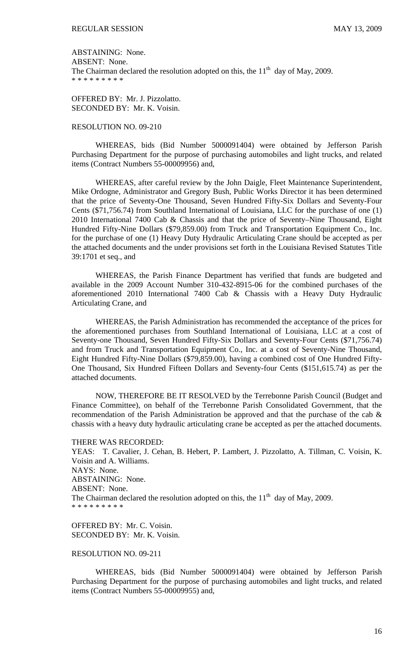ABSTAINING: None. ABSENT: None. The Chairman declared the resolution adopted on this, the  $11<sup>th</sup>$  day of May, 2009. \* \* \* \* \* \* \* \* \*

OFFERED BY: Mr. J. Pizzolatto. SECONDED BY: Mr. K. Voisin.

### RESOLUTION NO. 09-210

 WHEREAS, bids (Bid Number 5000091404) were obtained by Jefferson Parish Purchasing Department for the purpose of purchasing automobiles and light trucks, and related items (Contract Numbers 55-00009956) and,

 WHEREAS, after careful review by the John Daigle, Fleet Maintenance Superintendent, Mike Ordogne, Administrator and Gregory Bush, Public Works Director it has been determined that the price of Seventy-One Thousand, Seven Hundred Fifty-Six Dollars and Seventy-Four Cents (\$71,756.74) from Southland International of Louisiana, LLC for the purchase of one (1) 2010 International 7400 Cab & Chassis and that the price of Seventy–Nine Thousand, Eight Hundred Fifty-Nine Dollars (\$79,859.00) from Truck and Transportation Equipment Co., Inc. for the purchase of one (1) Heavy Duty Hydraulic Articulating Crane should be accepted as per the attached documents and the under provisions set forth in the Louisiana Revised Statutes Title 39:1701 et seq., and

 WHEREAS, the Parish Finance Department has verified that funds are budgeted and available in the 2009 Account Number 310-432-8915-06 for the combined purchases of the aforementioned 2010 International 7400 Cab & Chassis with a Heavy Duty Hydraulic Articulating Crane, and

 WHEREAS, the Parish Administration has recommended the acceptance of the prices for the aforementioned purchases from Southland International of Louisiana, LLC at a cost of Seventy-one Thousand, Seven Hundred Fifty-Six Dollars and Seventy-Four Cents (\$71,756.74) and from Truck and Transportation Equipment Co., Inc. at a cost of Seventy-Nine Thousand, Eight Hundred Fifty-Nine Dollars (\$79,859.00), having a combined cost of One Hundred Fifty-One Thousand, Six Hundred Fifteen Dollars and Seventy-four Cents (\$151,615.74) as per the attached documents.

 NOW, THEREFORE BE IT RESOLVED by the Terrebonne Parish Council (Budget and Finance Committee), on behalf of the Terrebonne Parish Consolidated Government, that the recommendation of the Parish Administration be approved and that the purchase of the cab & chassis with a heavy duty hydraulic articulating crane be accepted as per the attached documents.

THERE WAS RECORDED:

YEAS: T. Cavalier, J. Cehan, B. Hebert, P. Lambert, J. Pizzolatto, A. Tillman, C. Voisin, K. Voisin and A. Williams. NAYS: None. ABSTAINING: None. ABSENT: None. The Chairman declared the resolution adopted on this, the  $11<sup>th</sup>$  day of May, 2009. \* \* \* \* \* \* \* \* \*

OFFERED BY: Mr. C. Voisin. SECONDED BY: Mr. K. Voisin.

### RESOLUTION NO. 09-211

 WHEREAS, bids (Bid Number 5000091404) were obtained by Jefferson Parish Purchasing Department for the purpose of purchasing automobiles and light trucks, and related items (Contract Numbers 55-00009955) and,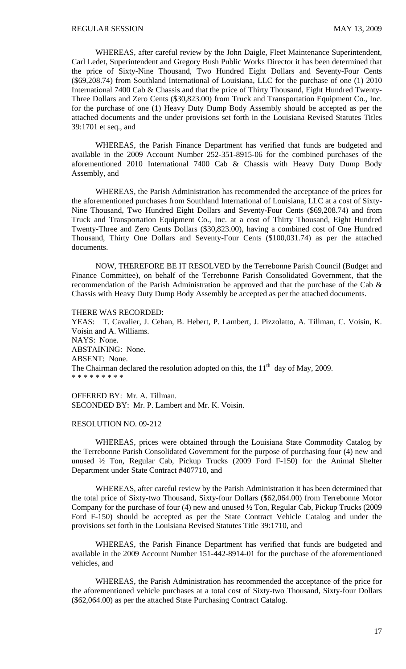WHEREAS, after careful review by the John Daigle, Fleet Maintenance Superintendent, Carl Ledet, Superintendent and Gregory Bush Public Works Director it has been determined that the price of Sixty-Nine Thousand, Two Hundred Eight Dollars and Seventy-Four Cents (\$69,208.74) from Southland International of Louisiana, LLC for the purchase of one (1) 2010 International 7400 Cab & Chassis and that the price of Thirty Thousand, Eight Hundred Twenty-Three Dollars and Zero Cents (\$30,823.00) from Truck and Transportation Equipment Co., Inc. for the purchase of one (1) Heavy Duty Dump Body Assembly should be accepted as per the attached documents and the under provisions set forth in the Louisiana Revised Statutes Titles 39:1701 et seq., and

 WHEREAS, the Parish Finance Department has verified that funds are budgeted and available in the 2009 Account Number 252-351-8915-06 for the combined purchases of the aforementioned 2010 International 7400 Cab & Chassis with Heavy Duty Dump Body Assembly, and

 WHEREAS, the Parish Administration has recommended the acceptance of the prices for the aforementioned purchases from Southland International of Louisiana, LLC at a cost of Sixty-Nine Thousand, Two Hundred Eight Dollars and Seventy-Four Cents (\$69,208.74) and from Truck and Transportation Equipment Co., Inc. at a cost of Thirty Thousand, Eight Hundred Twenty-Three and Zero Cents Dollars (\$30,823.00), having a combined cost of One Hundred Thousand, Thirty One Dollars and Seventy-Four Cents (\$100,031.74) as per the attached documents.

 NOW, THEREFORE BE IT RESOLVED by the Terrebonne Parish Council (Budget and Finance Committee), on behalf of the Terrebonne Parish Consolidated Government, that the recommendation of the Parish Administration be approved and that the purchase of the Cab & Chassis with Heavy Duty Dump Body Assembly be accepted as per the attached documents.

THERE WAS RECORDED:

YEAS: T. Cavalier, J. Cehan, B. Hebert, P. Lambert, J. Pizzolatto, A. Tillman, C. Voisin, K. Voisin and A. Williams. NAYS: None. ABSTAINING: None. ABSENT: None. The Chairman declared the resolution adopted on this, the  $11<sup>th</sup>$  day of May, 2009. \* \* \* \* \* \* \* \* \*

OFFERED BY: Mr. A. Tillman. SECONDED BY: Mr. P. Lambert and Mr. K. Voisin.

#### RESOLUTION NO. 09-212

 WHEREAS, prices were obtained through the Louisiana State Commodity Catalog by the Terrebonne Parish Consolidated Government for the purpose of purchasing four (4) new and unused ½ Ton, Regular Cab, Pickup Trucks (2009 Ford F-150) for the Animal Shelter Department under State Contract #407710, and

 WHEREAS, after careful review by the Parish Administration it has been determined that the total price of Sixty-two Thousand, Sixty-four Dollars (\$62,064.00) from Terrebonne Motor Company for the purchase of four (4) new and unused ½ Ton, Regular Cab, Pickup Trucks (2009 Ford F-150) should be accepted as per the State Contract Vehicle Catalog and under the provisions set forth in the Louisiana Revised Statutes Title 39:1710, and

 WHEREAS, the Parish Finance Department has verified that funds are budgeted and available in the 2009 Account Number 151-442-8914-01 for the purchase of the aforementioned vehicles, and

 WHEREAS, the Parish Administration has recommended the acceptance of the price for the aforementioned vehicle purchases at a total cost of Sixty-two Thousand, Sixty-four Dollars (\$62,064.00) as per the attached State Purchasing Contract Catalog.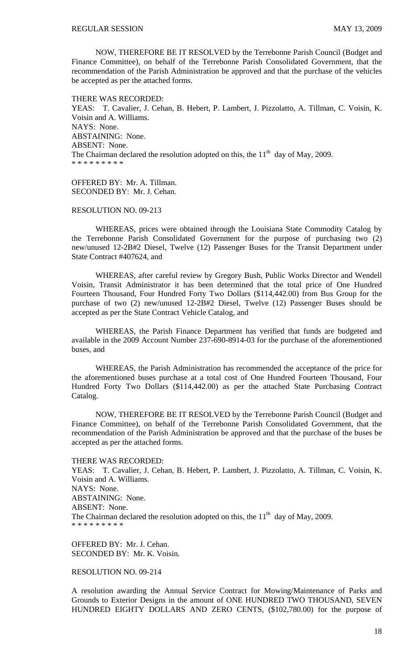NOW, THEREFORE BE IT RESOLVED by the Terrebonne Parish Council (Budget and Finance Committee), on behalf of the Terrebonne Parish Consolidated Government, that the recommendation of the Parish Administration be approved and that the purchase of the vehicles be accepted as per the attached forms.

THERE WAS RECORDED:

YEAS: T. Cavalier, J. Cehan, B. Hebert, P. Lambert, J. Pizzolatto, A. Tillman, C. Voisin, K. Voisin and A. Williams. NAYS: None. ABSTAINING: None. ABSENT: None. The Chairman declared the resolution adopted on this, the  $11<sup>th</sup>$  day of May, 2009. \* \* \* \* \* \* \* \* \*

OFFERED BY: Mr. A. Tillman. SECONDED BY: Mr. J. Cehan.

### RESOLUTION NO. 09-213

 WHEREAS, prices were obtained through the Louisiana State Commodity Catalog by the Terrebonne Parish Consolidated Government for the purpose of purchasing two (2) new/unused 12-2B#2 Diesel, Twelve (12) Passenger Buses for the Transit Department under State Contract #407624, and

 WHEREAS, after careful review by Gregory Bush, Public Works Director and Wendell Voisin, Transit Administrator it has been determined that the total price of One Hundred Fourteen Thousand, Four Hundred Forty Two Dollars (\$114,442.00) from Bus Group for the purchase of two (2) new/unused 12-2B#2 Diesel, Twelve (12) Passenger Buses should be accepted as per the State Contract Vehicle Catalog, and

 WHEREAS, the Parish Finance Department has verified that funds are budgeted and available in the 2009 Account Number 237-690-8914-03 for the purchase of the aforementioned buses, and

 WHEREAS, the Parish Administration has recommended the acceptance of the price for the aforementioned buses purchase at a total cost of One Hundred Fourteen Thousand, Four Hundred Forty Two Dollars (\$114,442.00) as per the attached State Purchasing Contract Catalog.

 NOW, THEREFORE BE IT RESOLVED by the Terrebonne Parish Council (Budget and Finance Committee), on behalf of the Terrebonne Parish Consolidated Government, that the recommendation of the Parish Administration be approved and that the purchase of the buses be accepted as per the attached forms.

#### THERE WAS RECORDED:

YEAS: T. Cavalier, J. Cehan, B. Hebert, P. Lambert, J. Pizzolatto, A. Tillman, C. Voisin, K. Voisin and A. Williams. NAYS: None. ABSTAINING: None. ABSENT: None. The Chairman declared the resolution adopted on this, the  $11<sup>th</sup>$  day of May, 2009. \* \* \* \* \* \* \* \* \*

OFFERED BY: Mr. J. Cehan. SECONDED BY: Mr. K. Voisin.

RESOLUTION NO. 09-214

A resolution awarding the Annual Service Contract for Mowing/Maintenance of Parks and Grounds to Exterior Designs in the amount of ONE HUNDRED TWO THOUSAND, SEVEN HUNDRED EIGHTY DOLLARS AND ZERO CENTS, (\$102,780.00) for the purpose of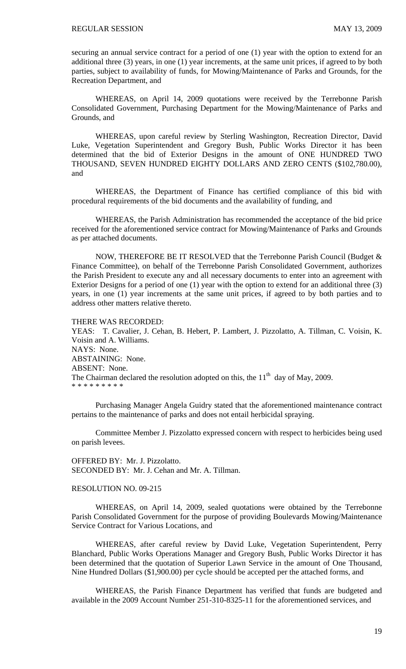securing an annual service contract for a period of one (1) year with the option to extend for an additional three (3) years, in one (1) year increments, at the same unit prices, if agreed to by both parties, subject to availability of funds, for Mowing/Maintenance of Parks and Grounds, for the Recreation Department, and

WHEREAS, on April 14, 2009 quotations were received by the Terrebonne Parish Consolidated Government, Purchasing Department for the Mowing/Maintenance of Parks and Grounds, and

WHEREAS, upon careful review by Sterling Washington, Recreation Director, David Luke, Vegetation Superintendent and Gregory Bush, Public Works Director it has been determined that the bid of Exterior Designs in the amount of ONE HUNDRED TWO THOUSAND, SEVEN HUNDRED EIGHTY DOLLARS AND ZERO CENTS (\$102,780.00), and

WHEREAS, the Department of Finance has certified compliance of this bid with procedural requirements of the bid documents and the availability of funding, and

WHEREAS, the Parish Administration has recommended the acceptance of the bid price received for the aforementioned service contract for Mowing/Maintenance of Parks and Grounds as per attached documents.

NOW, THEREFORE BE IT RESOLVED that the Terrebonne Parish Council (Budget & Finance Committee), on behalf of the Terrebonne Parish Consolidated Government, authorizes the Parish President to execute any and all necessary documents to enter into an agreement with Exterior Designs for a period of one (1) year with the option to extend for an additional three (3) years, in one (1) year increments at the same unit prices, if agreed to by both parties and to address other matters relative thereto.

#### THERE WAS RECORDED:

YEAS: T. Cavalier, J. Cehan, B. Hebert, P. Lambert, J. Pizzolatto, A. Tillman, C. Voisin, K. Voisin and A. Williams. NAYS: None. ABSTAINING: None. ABSENT: None. The Chairman declared the resolution adopted on this, the  $11<sup>th</sup>$  day of May, 2009. \* \* \* \* \* \* \* \* \*

 Purchasing Manager Angela Guidry stated that the aforementioned maintenance contract pertains to the maintenance of parks and does not entail herbicidal spraying.

 Committee Member J. Pizzolatto expressed concern with respect to herbicides being used on parish levees.

OFFERED BY: Mr. J. Pizzolatto. SECONDED BY: Mr. J. Cehan and Mr. A. Tillman.

#### RESOLUTION NO. 09-215

 WHEREAS, on April 14, 2009, sealed quotations were obtained by the Terrebonne Parish Consolidated Government for the purpose of providing Boulevards Mowing/Maintenance Service Contract for Various Locations, and

 WHEREAS, after careful review by David Luke, Vegetation Superintendent, Perry Blanchard, Public Works Operations Manager and Gregory Bush, Public Works Director it has been determined that the quotation of Superior Lawn Service in the amount of One Thousand, Nine Hundred Dollars (\$1,900.00) per cycle should be accepted per the attached forms, and

 WHEREAS, the Parish Finance Department has verified that funds are budgeted and available in the 2009 Account Number 251-310-8325-11 for the aforementioned services, and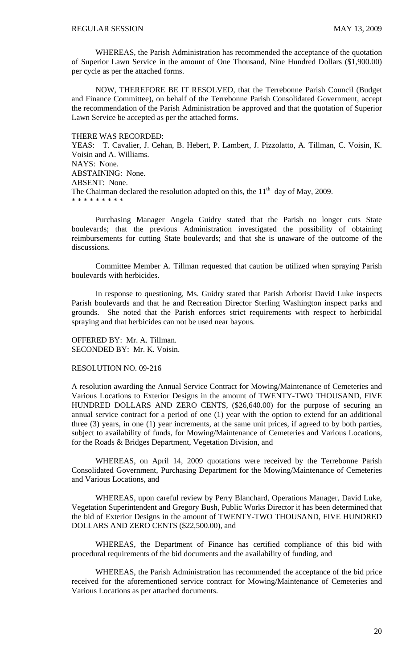WHEREAS, the Parish Administration has recommended the acceptance of the quotation of Superior Lawn Service in the amount of One Thousand, Nine Hundred Dollars (\$1,900.00) per cycle as per the attached forms.

 NOW, THEREFORE BE IT RESOLVED, that the Terrebonne Parish Council (Budget and Finance Committee), on behalf of the Terrebonne Parish Consolidated Government, accept the recommendation of the Parish Administration be approved and that the quotation of Superior Lawn Service be accepted as per the attached forms.

THERE WAS RECORDED: YEAS: T. Cavalier, J. Cehan, B. Hebert, P. Lambert, J. Pizzolatto, A. Tillman, C. Voisin, K. Voisin and A. Williams. NAYS: None. ABSTAINING: None. ABSENT: None. The Chairman declared the resolution adopted on this, the  $11<sup>th</sup>$  day of May, 2009. \* \* \* \* \* \* \* \* \*

 Purchasing Manager Angela Guidry stated that the Parish no longer cuts State boulevards; that the previous Administration investigated the possibility of obtaining reimbursements for cutting State boulevards; and that she is unaware of the outcome of the discussions.

 Committee Member A. Tillman requested that caution be utilized when spraying Parish boulevards with herbicides.

 In response to questioning, Ms. Guidry stated that Parish Arborist David Luke inspects Parish boulevards and that he and Recreation Director Sterling Washington inspect parks and grounds. She noted that the Parish enforces strict requirements with respect to herbicidal spraying and that herbicides can not be used near bayous.

OFFERED BY: Mr. A. Tillman. SECONDED BY: Mr. K. Voisin.

#### RESOLUTION NO. 09-216

A resolution awarding the Annual Service Contract for Mowing/Maintenance of Cemeteries and Various Locations to Exterior Designs in the amount of TWENTY-TWO THOUSAND, FIVE HUNDRED DOLLARS AND ZERO CENTS, (\$26,640.00) for the purpose of securing an annual service contract for a period of one (1) year with the option to extend for an additional three (3) years, in one (1) year increments, at the same unit prices, if agreed to by both parties, subject to availability of funds, for Mowing/Maintenance of Cemeteries and Various Locations, for the Roads & Bridges Department, Vegetation Division, and

WHEREAS, on April 14, 2009 quotations were received by the Terrebonne Parish Consolidated Government, Purchasing Department for the Mowing/Maintenance of Cemeteries and Various Locations, and

WHEREAS, upon careful review by Perry Blanchard, Operations Manager, David Luke, Vegetation Superintendent and Gregory Bush, Public Works Director it has been determined that the bid of Exterior Designs in the amount of TWENTY-TWO THOUSAND, FIVE HUNDRED DOLLARS AND ZERO CENTS (\$22,500.00), and

WHEREAS, the Department of Finance has certified compliance of this bid with procedural requirements of the bid documents and the availability of funding, and

WHEREAS, the Parish Administration has recommended the acceptance of the bid price received for the aforementioned service contract for Mowing/Maintenance of Cemeteries and Various Locations as per attached documents.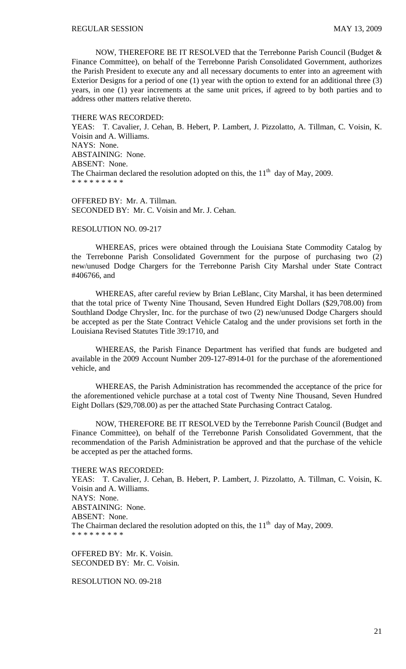NOW, THEREFORE BE IT RESOLVED that the Terrebonne Parish Council (Budget & Finance Committee), on behalf of the Terrebonne Parish Consolidated Government, authorizes the Parish President to execute any and all necessary documents to enter into an agreement with Exterior Designs for a period of one (1) year with the option to extend for an additional three (3) years, in one (1) year increments at the same unit prices, if agreed to by both parties and to address other matters relative thereto.

THERE WAS RECORDED: YEAS: T. Cavalier, J. Cehan, B. Hebert, P. Lambert, J. Pizzolatto, A. Tillman, C. Voisin, K. Voisin and A. Williams. NAYS: None. ABSTAINING: None. ABSENT: None. The Chairman declared the resolution adopted on this, the  $11<sup>th</sup>$  day of May, 2009. \* \* \* \* \* \* \* \* \*

OFFERED BY: Mr. A. Tillman. SECONDED BY: Mr. C. Voisin and Mr. J. Cehan.

## RESOLUTION NO. 09-217

 WHEREAS, prices were obtained through the Louisiana State Commodity Catalog by the Terrebonne Parish Consolidated Government for the purpose of purchasing two (2) new/unused Dodge Chargers for the Terrebonne Parish City Marshal under State Contract #406766, and

 WHEREAS, after careful review by Brian LeBlanc, City Marshal, it has been determined that the total price of Twenty Nine Thousand, Seven Hundred Eight Dollars (\$29,708.00) from Southland Dodge Chrysler, Inc. for the purchase of two (2) new/unused Dodge Chargers should be accepted as per the State Contract Vehicle Catalog and the under provisions set forth in the Louisiana Revised Statutes Title 39:1710, and

 WHEREAS, the Parish Finance Department has verified that funds are budgeted and available in the 2009 Account Number 209-127-8914-01 for the purchase of the aforementioned vehicle, and

 WHEREAS, the Parish Administration has recommended the acceptance of the price for the aforementioned vehicle purchase at a total cost of Twenty Nine Thousand, Seven Hundred Eight Dollars (\$29,708.00) as per the attached State Purchasing Contract Catalog.

 NOW, THEREFORE BE IT RESOLVED by the Terrebonne Parish Council (Budget and Finance Committee), on behalf of the Terrebonne Parish Consolidated Government, that the recommendation of the Parish Administration be approved and that the purchase of the vehicle be accepted as per the attached forms.

THERE WAS RECORDED:

YEAS: T. Cavalier, J. Cehan, B. Hebert, P. Lambert, J. Pizzolatto, A. Tillman, C. Voisin, K. Voisin and A. Williams. NAYS: None. ABSTAINING: None. ABSENT: None. The Chairman declared the resolution adopted on this, the  $11<sup>th</sup>$  day of May, 2009. \* \* \* \* \* \* \* \* \*

OFFERED BY: Mr. K. Voisin. SECONDED BY: Mr. C. Voisin.

RESOLUTION NO. 09-218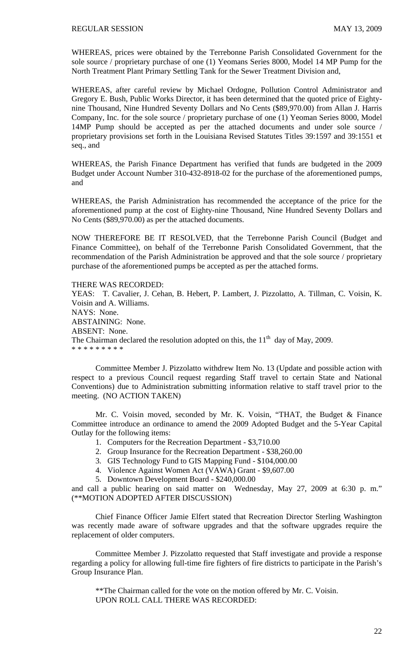WHEREAS, prices were obtained by the Terrebonne Parish Consolidated Government for the sole source / proprietary purchase of one (1) Yeomans Series 8000, Model 14 MP Pump for the North Treatment Plant Primary Settling Tank for the Sewer Treatment Division and,

WHEREAS, after careful review by Michael Ordogne, Pollution Control Administrator and Gregory E. Bush, Public Works Director, it has been determined that the quoted price of Eightynine Thousand, Nine Hundred Seventy Dollars and No Cents (\$89,970.00) from Allan J. Harris Company, Inc. for the sole source / proprietary purchase of one (1) Yeoman Series 8000, Model 14MP Pump should be accepted as per the attached documents and under sole source / proprietary provisions set forth in the Louisiana Revised Statutes Titles 39:1597 and 39:1551 et seq., and

WHEREAS, the Parish Finance Department has verified that funds are budgeted in the 2009 Budget under Account Number 310-432-8918-02 for the purchase of the aforementioned pumps, and

WHEREAS, the Parish Administration has recommended the acceptance of the price for the aforementioned pump at the cost of Eighty-nine Thousand, Nine Hundred Seventy Dollars and No Cents (\$89,970.00) as per the attached documents.

NOW THEREFORE BE IT RESOLVED, that the Terrebonne Parish Council (Budget and Finance Committee), on behalf of the Terrebonne Parish Consolidated Government, that the recommendation of the Parish Administration be approved and that the sole source / proprietary purchase of the aforementioned pumps be accepted as per the attached forms.

### THERE WAS RECORDED:

YEAS: T. Cavalier, J. Cehan, B. Hebert, P. Lambert, J. Pizzolatto, A. Tillman, C. Voisin, K. Voisin and A. Williams. NAYS: None. ABSTAINING: None. ABSENT: None. The Chairman declared the resolution adopted on this, the  $11<sup>th</sup>$  day of May, 2009. \* \* \* \* \* \* \* \* \*

 Committee Member J. Pizzolatto withdrew Item No. 13 (Update and possible action with respect to a previous Council request regarding Staff travel to certain State and National Conventions) due to Administration submitting information relative to staff travel prior to the meeting. (NO ACTION TAKEN)

 Mr. C. Voisin moved, seconded by Mr. K. Voisin, "THAT, the Budget & Finance Committee introduce an ordinance to amend the 2009 Adopted Budget and the 5-Year Capital Outlay for the following items:

- 1. Computers for the Recreation Department \$3,710.00
- 2. Group Insurance for the Recreation Department \$38,260.00
- 3. GIS Technology Fund to GIS Mapping Fund \$104,000.00
- 4. Violence Against Women Act (VAWA) Grant \$9,607.00
- 5. Downtown Development Board \$240,000.00

and call a public hearing on said matter on Wednesday, May 27, 2009 at 6:30 p. m." (\*\*MOTION ADOPTED AFTER DISCUSSION)

 Chief Finance Officer Jamie Elfert stated that Recreation Director Sterling Washington was recently made aware of software upgrades and that the software upgrades require the replacement of older computers.

 Committee Member J. Pizzolatto requested that Staff investigate and provide a response regarding a policy for allowing full-time fire fighters of fire districts to participate in the Parish's Group Insurance Plan.

\*\*The Chairman called for the vote on the motion offered by Mr. C. Voisin. UPON ROLL CALL THERE WAS RECORDED: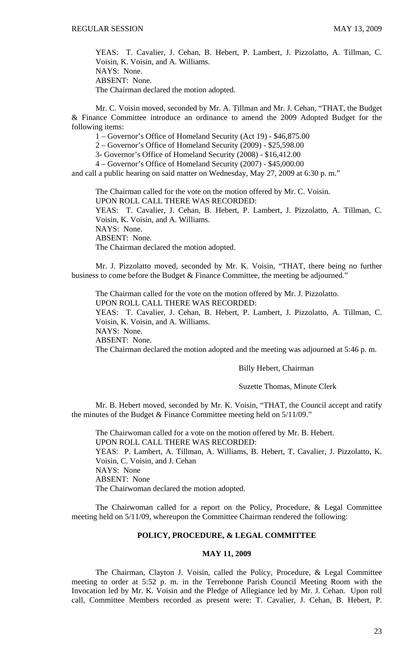YEAS: T. Cavalier, J. Cehan, B. Hebert, P. Lambert, J. Pizzolatto, A. Tillman, C. Voisin, K. Voisin, and A. Williams. NAYS: None. ABSENT: None. The Chairman declared the motion adopted.

 Mr. C. Voisin moved, seconded by Mr. A. Tillman and Mr. J. Cehan, "THAT, the Budget & Finance Committee introduce an ordinance to amend the 2009 Adopted Budget for the following items:

1 – Governor's Office of Homeland Security (Act 19) - \$46,875.00

2 – Governor's Office of Homeland Security (2009) - \$25,598.00

3- Governor's Office of Homeland Security (2008) - \$16,412.00

4 – Governor's Office of Homeland Security (2007) - \$45,000.00

and call a public hearing on said matter on Wednesday, May 27, 2009 at 6:30 p. m."

The Chairman called for the vote on the motion offered by Mr. C. Voisin. UPON ROLL CALL THERE WAS RECORDED: YEAS: T. Cavalier, J. Cehan, B. Hebert, P. Lambert, J. Pizzolatto, A. Tillman, C. Voisin, K. Voisin, and A. Williams. NAYS: None. ABSENT: None. The Chairman declared the motion adopted.

 Mr. J. Pizzolatto moved, seconded by Mr. K. Voisin, "THAT, there being no further business to come before the Budget & Finance Committee, the meeting be adjourned."

The Chairman called for the vote on the motion offered by Mr. J. Pizzolatto.

UPON ROLL CALL THERE WAS RECORDED:

YEAS: T. Cavalier, J. Cehan, B. Hebert, P. Lambert, J. Pizzolatto, A. Tillman, C. Voisin, K. Voisin, and A. Williams.

NAYS: None.

ABSENT: None.

The Chairman declared the motion adopted and the meeting was adjourned at 5:46 p. m.

#### Billy Hebert, Chairman

### Suzette Thomas, Minute Clerk

 Mr. B. Hebert moved, seconded by Mr. K. Voisin, "THAT, the Council accept and ratify the minutes of the Budget & Finance Committee meeting held on 5/11/09."

 The Chairwoman called for a vote on the motion offered by Mr. B. Hebert. UPON ROLL CALL THERE WAS RECORDED: YEAS: P. Lambert, A. Tillman, A. Williams, B. Hebert, T. Cavalier, J. Pizzolatto, K. Voisin, C. Voisin, and J. Cehan NAYS: None ABSENT: None The Chairwoman declared the motion adopted.

 The Chairwoman called for a report on the Policy, Procedure, & Legal Committee meeting held on 5/11/09, whereupon the Committee Chairman rendered the following:

# **POLICY, PROCEDURE, & LEGAL COMMITTEE**

## **MAY 11, 2009**

 The Chairman, Clayton J. Voisin, called the Policy, Procedure, & Legal Committee meeting to order at 5:52 p. m. in the Terrebonne Parish Council Meeting Room with the Invocation led by Mr. K. Voisin and the Pledge of Allegiance led by Mr. J. Cehan. Upon roll call, Committee Members recorded as present were: T. Cavalier, J. Cehan, B. Hebert, P.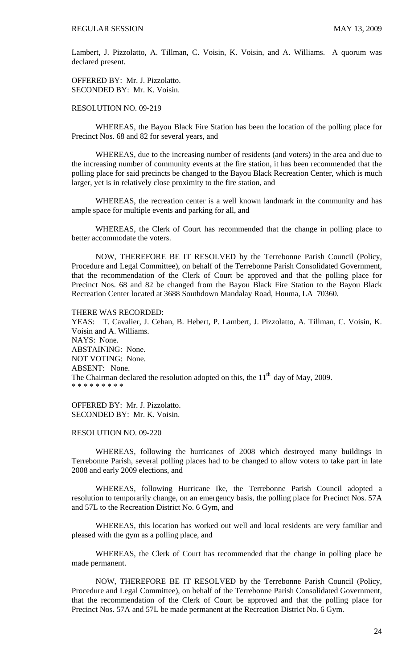Lambert, J. Pizzolatto, A. Tillman, C. Voisin, K. Voisin, and A. Williams. A quorum was declared present.

OFFERED BY: Mr. J. Pizzolatto. SECONDED BY: Mr. K. Voisin.

## RESOLUTION NO. 09-219

 WHEREAS, the Bayou Black Fire Station has been the location of the polling place for Precinct Nos. 68 and 82 for several years, and

 WHEREAS, due to the increasing number of residents (and voters) in the area and due to the increasing number of community events at the fire station, it has been recommended that the polling place for said precincts be changed to the Bayou Black Recreation Center, which is much larger, yet is in relatively close proximity to the fire station, and

 WHEREAS, the recreation center is a well known landmark in the community and has ample space for multiple events and parking for all, and

 WHEREAS, the Clerk of Court has recommended that the change in polling place to better accommodate the voters.

 NOW, THEREFORE BE IT RESOLVED by the Terrebonne Parish Council (Policy, Procedure and Legal Committee), on behalf of the Terrebonne Parish Consolidated Government, that the recommendation of the Clerk of Court be approved and that the polling place for Precinct Nos. 68 and 82 be changed from the Bayou Black Fire Station to the Bayou Black Recreation Center located at 3688 Southdown Mandalay Road, Houma, LA 70360.

### THERE WAS RECORDED:

YEAS: T. Cavalier, J. Cehan, B. Hebert, P. Lambert, J. Pizzolatto, A. Tillman, C. Voisin, K. Voisin and A. Williams. NAYS: None. ABSTAINING: None. NOT VOTING: None. ABSENT: None. The Chairman declared the resolution adopted on this, the  $11<sup>th</sup>$  day of May, 2009. \* \* \* \* \* \* \* \* \*

OFFERED BY: Mr. J. Pizzolatto. SECONDED BY: Mr. K. Voisin.

#### RESOLUTION NO. 09-220

 WHEREAS, following the hurricanes of 2008 which destroyed many buildings in Terrebonne Parish, several polling places had to be changed to allow voters to take part in late 2008 and early 2009 elections, and

 WHEREAS, following Hurricane Ike, the Terrebonne Parish Council adopted a resolution to temporarily change, on an emergency basis, the polling place for Precinct Nos. 57A and 57L to the Recreation District No. 6 Gym, and

 WHEREAS, this location has worked out well and local residents are very familiar and pleased with the gym as a polling place, and

 WHEREAS, the Clerk of Court has recommended that the change in polling place be made permanent.

 NOW, THEREFORE BE IT RESOLVED by the Terrebonne Parish Council (Policy, Procedure and Legal Committee), on behalf of the Terrebonne Parish Consolidated Government, that the recommendation of the Clerk of Court be approved and that the polling place for Precinct Nos. 57A and 57L be made permanent at the Recreation District No. 6 Gym.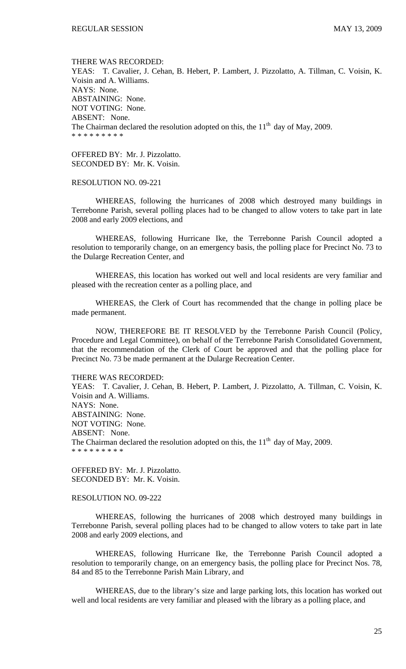THERE WAS RECORDED: YEAS: T. Cavalier, J. Cehan, B. Hebert, P. Lambert, J. Pizzolatto, A. Tillman, C. Voisin, K. Voisin and A. Williams. NAYS: None. ABSTAINING: None. NOT VOTING: None. ABSENT: None. The Chairman declared the resolution adopted on this, the  $11<sup>th</sup>$  day of May, 2009. \* \* \* \* \* \* \* \* \*

OFFERED BY: Mr. J. Pizzolatto. SECONDED BY: Mr. K. Voisin.

### RESOLUTION NO. 09-221

 WHEREAS, following the hurricanes of 2008 which destroyed many buildings in Terrebonne Parish, several polling places had to be changed to allow voters to take part in late 2008 and early 2009 elections, and

 WHEREAS, following Hurricane Ike, the Terrebonne Parish Council adopted a resolution to temporarily change, on an emergency basis, the polling place for Precinct No. 73 to the Dularge Recreation Center, and

 WHEREAS, this location has worked out well and local residents are very familiar and pleased with the recreation center as a polling place, and

 WHEREAS, the Clerk of Court has recommended that the change in polling place be made permanent.

 NOW, THEREFORE BE IT RESOLVED by the Terrebonne Parish Council (Policy, Procedure and Legal Committee), on behalf of the Terrebonne Parish Consolidated Government, that the recommendation of the Clerk of Court be approved and that the polling place for Precinct No. 73 be made permanent at the Dularge Recreation Center.

### THERE WAS RECORDED:

YEAS: T. Cavalier, J. Cehan, B. Hebert, P. Lambert, J. Pizzolatto, A. Tillman, C. Voisin, K. Voisin and A. Williams. NAYS: None. ABSTAINING: None. NOT VOTING: None. ABSENT: None. The Chairman declared the resolution adopted on this, the  $11<sup>th</sup>$  day of May, 2009. \* \* \* \* \* \* \* \* \*

OFFERED BY: Mr. J. Pizzolatto. SECONDED BY: Mr. K. Voisin.

#### RESOLUTION NO. 09-222

 WHEREAS, following the hurricanes of 2008 which destroyed many buildings in Terrebonne Parish, several polling places had to be changed to allow voters to take part in late 2008 and early 2009 elections, and

 WHEREAS, following Hurricane Ike, the Terrebonne Parish Council adopted a resolution to temporarily change, on an emergency basis, the polling place for Precinct Nos. 78, 84 and 85 to the Terrebonne Parish Main Library, and

 WHEREAS, due to the library's size and large parking lots, this location has worked out well and local residents are very familiar and pleased with the library as a polling place, and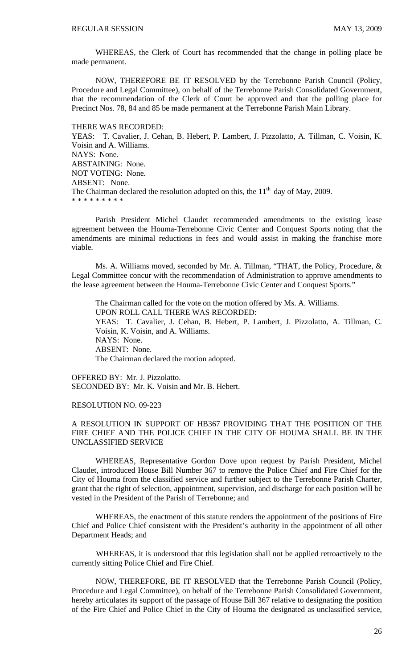WHEREAS, the Clerk of Court has recommended that the change in polling place be made permanent.

 NOW, THEREFORE BE IT RESOLVED by the Terrebonne Parish Council (Policy, Procedure and Legal Committee), on behalf of the Terrebonne Parish Consolidated Government, that the recommendation of the Clerk of Court be approved and that the polling place for Precinct Nos. 78, 84 and 85 be made permanent at the Terrebonne Parish Main Library.

#### THERE WAS RECORDED:

YEAS: T. Cavalier, J. Cehan, B. Hebert, P. Lambert, J. Pizzolatto, A. Tillman, C. Voisin, K. Voisin and A. Williams. NAYS: None. ABSTAINING: None. NOT VOTING: None. ABSENT: None. The Chairman declared the resolution adopted on this, the  $11<sup>th</sup>$  day of May, 2009. \* \* \* \* \* \* \* \*

 Parish President Michel Claudet recommended amendments to the existing lease agreement between the Houma-Terrebonne Civic Center and Conquest Sports noting that the amendments are minimal reductions in fees and would assist in making the franchise more viable.

 Ms. A. Williams moved, seconded by Mr. A. Tillman, "THAT, the Policy, Procedure, & Legal Committee concur with the recommendation of Administration to approve amendments to the lease agreement between the Houma-Terrebonne Civic Center and Conquest Sports."

 The Chairman called for the vote on the motion offered by Ms. A. Williams. UPON ROLL CALL THERE WAS RECORDED: YEAS: T. Cavalier, J. Cehan, B. Hebert, P. Lambert, J. Pizzolatto, A. Tillman, C. Voisin, K. Voisin, and A. Williams. NAYS: None. ABSENT: None. The Chairman declared the motion adopted.

OFFERED BY: Mr. J. Pizzolatto. SECONDED BY: Mr. K. Voisin and Mr. B. Hebert.

#### RESOLUTION NO. 09-223

### A RESOLUTION IN SUPPORT OF HB367 PROVIDING THAT THE POSITION OF THE FIRE CHIEF AND THE POLICE CHIEF IN THE CITY OF HOUMA SHALL BE IN THE UNCLASSIFIED SERVICE

WHEREAS, Representative Gordon Dove upon request by Parish President, Michel Claudet, introduced House Bill Number 367 to remove the Police Chief and Fire Chief for the City of Houma from the classified service and further subject to the Terrebonne Parish Charter, grant that the right of selection, appointment, supervision, and discharge for each position will be vested in the President of the Parish of Terrebonne; and

 WHEREAS, the enactment of this statute renders the appointment of the positions of Fire Chief and Police Chief consistent with the President's authority in the appointment of all other Department Heads; and

 WHEREAS, it is understood that this legislation shall not be applied retroactively to the currently sitting Police Chief and Fire Chief.

NOW, THEREFORE, BE IT RESOLVED that the Terrebonne Parish Council (Policy, Procedure and Legal Committee), on behalf of the Terrebonne Parish Consolidated Government, hereby articulates its support of the passage of House Bill 367 relative to designating the position of the Fire Chief and Police Chief in the City of Houma the designated as unclassified service,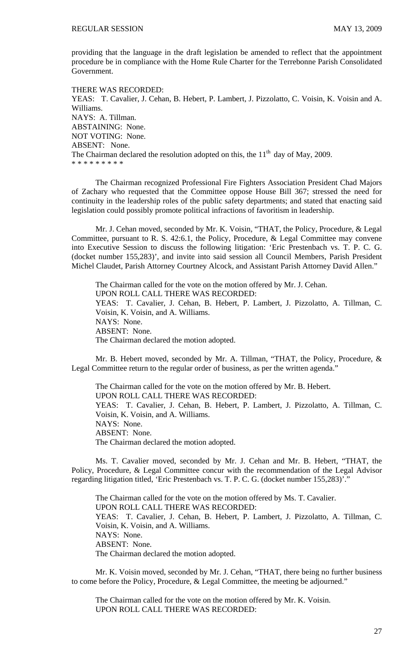providing that the language in the draft legislation be amended to reflect that the appointment procedure be in compliance with the Home Rule Charter for the Terrebonne Parish Consolidated Government.

THERE WAS RECORDED: YEAS: T. Cavalier, J. Cehan, B. Hebert, P. Lambert, J. Pizzolatto, C. Voisin, K. Voisin and A. Williams. NAYS: A. Tillman. ABSTAINING: None. NOT VOTING: None. ABSENT: None. The Chairman declared the resolution adopted on this, the  $11<sup>th</sup>$  day of May, 2009. \* \* \* \* \* \* \* \* \*

 The Chairman recognized Professional Fire Fighters Association President Chad Majors of Zachary who requested that the Committee oppose House Bill 367; stressed the need for continuity in the leadership roles of the public safety departments; and stated that enacting said legislation could possibly promote political infractions of favoritism in leadership.

 Mr. J. Cehan moved, seconded by Mr. K. Voisin, "THAT, the Policy, Procedure, & Legal Committee, pursuant to R. S. 42:6.1, the Policy, Procedure, & Legal Committee may convene into Executive Session to discuss the following litigation: 'Eric Prestenbach vs. T. P. C. G. (docket number 155,283)', and invite into said session all Council Members, Parish President Michel Claudet, Parish Attorney Courtney Alcock, and Assistant Parish Attorney David Allen."

 The Chairman called for the vote on the motion offered by Mr. J. Cehan. UPON ROLL CALL THERE WAS RECORDED: YEAS: T. Cavalier, J. Cehan, B. Hebert, P. Lambert, J. Pizzolatto, A. Tillman, C. Voisin, K. Voisin, and A. Williams. NAYS: None. ABSENT: None. The Chairman declared the motion adopted.

 Mr. B. Hebert moved, seconded by Mr. A. Tillman, "THAT, the Policy, Procedure, & Legal Committee return to the regular order of business, as per the written agenda."

 The Chairman called for the vote on the motion offered by Mr. B. Hebert. UPON ROLL CALL THERE WAS RECORDED: YEAS: T. Cavalier, J. Cehan, B. Hebert, P. Lambert, J. Pizzolatto, A. Tillman, C. Voisin, K. Voisin, and A. Williams. NAYS: None. ABSENT: None. The Chairman declared the motion adopted.

 Ms. T. Cavalier moved, seconded by Mr. J. Cehan and Mr. B. Hebert, "THAT, the Policy, Procedure, & Legal Committee concur with the recommendation of the Legal Advisor regarding litigation titled, 'Eric Prestenbach vs. T. P. C. G. (docket number 155,283)'."

The Chairman called for the vote on the motion offered by Ms. T. Cavalier. UPON ROLL CALL THERE WAS RECORDED: YEAS: T. Cavalier, J. Cehan, B. Hebert, P. Lambert, J. Pizzolatto, A. Tillman, C. Voisin, K. Voisin, and A. Williams. NAYS: None. ABSENT: None. The Chairman declared the motion adopted.

 Mr. K. Voisin moved, seconded by Mr. J. Cehan, "THAT, there being no further business to come before the Policy, Procedure, & Legal Committee, the meeting be adjourned."

 The Chairman called for the vote on the motion offered by Mr. K. Voisin. UPON ROLL CALL THERE WAS RECORDED: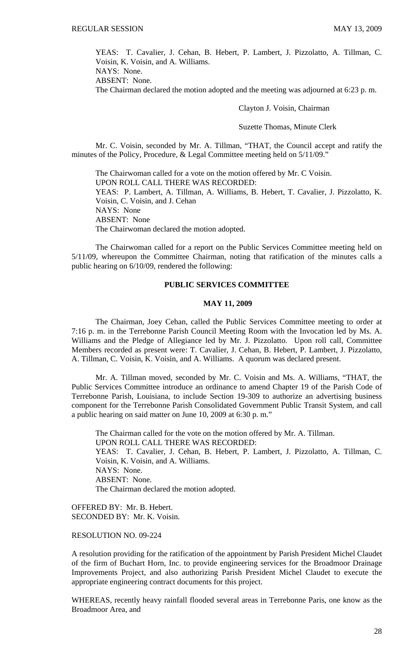YEAS: T. Cavalier, J. Cehan, B. Hebert, P. Lambert, J. Pizzolatto, A. Tillman, C. Voisin, K. Voisin, and A. Williams.

NAYS: None. ABSENT: None.

The Chairman declared the motion adopted and the meeting was adjourned at 6:23 p. m.

Clayton J. Voisin, Chairman

Suzette Thomas, Minute Clerk

Mr. C. Voisin, seconded by Mr. A. Tillman, "THAT, the Council accept and ratify the minutes of the Policy, Procedure, & Legal Committee meeting held on 5/11/09."

 The Chairwoman called for a vote on the motion offered by Mr. C Voisin. UPON ROLL CALL THERE WAS RECORDED: YEAS: P. Lambert, A. Tillman, A. Williams, B. Hebert, T. Cavalier, J. Pizzolatto, K. Voisin, C. Voisin, and J. Cehan NAYS: None ABSENT: None The Chairwoman declared the motion adopted.

 The Chairwoman called for a report on the Public Services Committee meeting held on 5/11/09, whereupon the Committee Chairman, noting that ratification of the minutes calls a public hearing on 6/10/09, rendered the following:

# **PUBLIC SERVICES COMMITTEE**

### **MAY 11, 2009**

 The Chairman, Joey Cehan, called the Public Services Committee meeting to order at 7:16 p. m. in the Terrebonne Parish Council Meeting Room with the Invocation led by Ms. A. Williams and the Pledge of Allegiance led by Mr. J. Pizzolatto. Upon roll call, Committee Members recorded as present were: T. Cavalier, J. Cehan, B. Hebert, P. Lambert, J. Pizzolatto, A. Tillman, C. Voisin, K. Voisin, and A. Williams. A quorum was declared present.

 Mr. A. Tillman moved, seconded by Mr. C. Voisin and Ms. A. Williams, "THAT, the Public Services Committee introduce an ordinance to amend Chapter 19 of the Parish Code of Terrebonne Parish, Louisiana, to include Section 19-309 to authorize an advertising business component for the Terrebonne Parish Consolidated Government Public Transit System, and call a public hearing on said matter on June 10, 2009 at 6:30 p. m."

 The Chairman called for the vote on the motion offered by Mr. A. Tillman. UPON ROLL CALL THERE WAS RECORDED: YEAS: T. Cavalier, J. Cehan, B. Hebert, P. Lambert, J. Pizzolatto, A. Tillman, C. Voisin, K. Voisin, and A. Williams. NAYS: None. ABSENT: None. The Chairman declared the motion adopted.

OFFERED BY: Mr. B. Hebert. SECONDED BY: Mr. K. Voisin.

### RESOLUTION NO. 09-224

A resolution providing for the ratification of the appointment by Parish President Michel Claudet of the firm of Buchart Horn, Inc. to provide engineering services for the Broadmoor Drainage Improvements Project, and also authorizing Parish President Michel Claudet to execute the appropriate engineering contract documents for this project.

WHEREAS, recently heavy rainfall flooded several areas in Terrebonne Paris, one know as the Broadmoor Area, and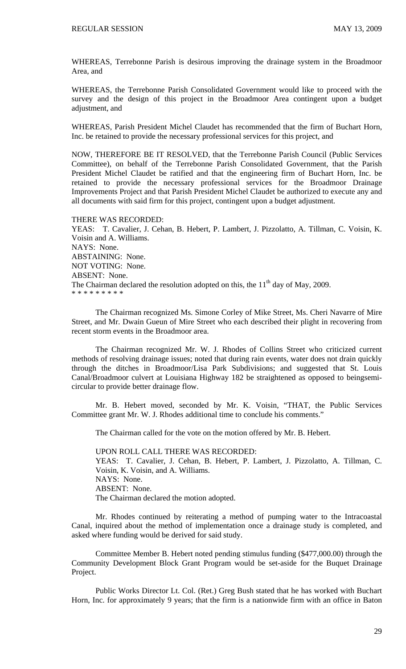WHEREAS, Terrebonne Parish is desirous improving the drainage system in the Broadmoor Area, and

WHEREAS, the Terrebonne Parish Consolidated Government would like to proceed with the survey and the design of this project in the Broadmoor Area contingent upon a budget adjustment, and

WHEREAS, Parish President Michel Claudet has recommended that the firm of Buchart Horn, Inc. be retained to provide the necessary professional services for this project, and

NOW, THEREFORE BE IT RESOLVED, that the Terrebonne Parish Council (Public Services Committee), on behalf of the Terrebonne Parish Consolidated Government, that the Parish President Michel Claudet be ratified and that the engineering firm of Buchart Horn, Inc. be retained to provide the necessary professional services for the Broadmoor Drainage Improvements Project and that Parish President Michel Claudet be authorized to execute any and all documents with said firm for this project, contingent upon a budget adjustment.

#### THERE WAS RECORDED:

YEAS: T. Cavalier, J. Cehan, B. Hebert, P. Lambert, J. Pizzolatto, A. Tillman, C. Voisin, K. Voisin and A. Williams. NAYS: None. ABSTAINING: None. NOT VOTING: None. ABSENT: None. The Chairman declared the resolution adopted on this, the  $11<sup>th</sup>$  day of May, 2009. \* \* \* \* \* \* \* \* \*

 The Chairman recognized Ms. Simone Corley of Mike Street, Ms. Cheri Navarre of Mire Street, and Mr. Dwain Gueun of Mire Street who each described their plight in recovering from recent storm events in the Broadmoor area.

 The Chairman recognized Mr. W. J. Rhodes of Collins Street who criticized current methods of resolving drainage issues; noted that during rain events, water does not drain quickly through the ditches in Broadmoor/Lisa Park Subdivisions; and suggested that St. Louis Canal/Broadmoor culvert at Louisiana Highway 182 be straightened as opposed to beingsemicircular to provide better drainage flow.

 Mr. B. Hebert moved, seconded by Mr. K. Voisin, "THAT, the Public Services Committee grant Mr. W. J. Rhodes additional time to conclude his comments."

The Chairman called for the vote on the motion offered by Mr. B. Hebert.

UPON ROLL CALL THERE WAS RECORDED: YEAS: T. Cavalier, J. Cehan, B. Hebert, P. Lambert, J. Pizzolatto, A. Tillman, C. Voisin, K. Voisin, and A. Williams. NAYS: None. ABSENT: None. The Chairman declared the motion adopted.

 Mr. Rhodes continued by reiterating a method of pumping water to the Intracoastal Canal, inquired about the method of implementation once a drainage study is completed, and asked where funding would be derived for said study.

 Committee Member B. Hebert noted pending stimulus funding (\$477,000.00) through the Community Development Block Grant Program would be set-aside for the Buquet Drainage Project.

 Public Works Director Lt. Col. (Ret.) Greg Bush stated that he has worked with Buchart Horn, Inc. for approximately 9 years; that the firm is a nationwide firm with an office in Baton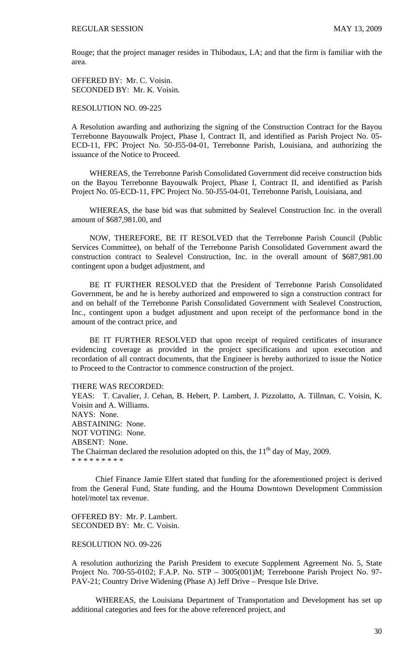Rouge; that the project manager resides in Thibodaux, LA; and that the firm is familiar with the area.

OFFERED BY: Mr. C. Voisin. SECONDED BY: Mr. K. Voisin.

RESOLUTION NO. 09-225

A Resolution awarding and authorizing the signing of the Construction Contract for the Bayou Terrebonne Bayouwalk Project, Phase I, Contract II, and identified as Parish Project No. 05- ECD-11, FPC Project No. 50-J55-04-01, Terrebonne Parish, Louisiana, and authorizing the issuance of the Notice to Proceed.

 WHEREAS, the Terrebonne Parish Consolidated Government did receive construction bids on the Bayou Terrebonne Bayouwalk Project, Phase I, Contract II, and identified as Parish Project No. 05-ECD-11, FPC Project No. 50-J55-04-01, Terrebonne Parish, Louisiana, and

 WHEREAS, the base bid was that submitted by Sealevel Construction Inc. in the overall amount of \$687,981.00, and

 NOW, THEREFORE, BE IT RESOLVED that the Terrebonne Parish Council (Public Services Committee), on behalf of the Terrebonne Parish Consolidated Government award the construction contract to Sealevel Construction, Inc. in the overall amount of \$687,981.00 contingent upon a budget adjustment, and

 BE IT FURTHER RESOLVED that the President of Terrebonne Parish Consolidated Government, be and he is hereby authorized and empowered to sign a construction contract for and on behalf of the Terrebonne Parish Consolidated Government with Sealevel Construction, Inc., contingent upon a budget adjustment and upon receipt of the performance bond in the amount of the contract price, and

 BE IT FURTHER RESOLVED that upon receipt of required certificates of insurance evidencing coverage as provided in the project specifications and upon execution and recordation of all contract documents, that the Engineer is hereby authorized to issue the Notice to Proceed to the Contractor to commence construction of the project.

THERE WAS RECORDED:

YEAS: T. Cavalier, J. Cehan, B. Hebert, P. Lambert, J. Pizzolatto, A. Tillman, C. Voisin, K. Voisin and A. Williams. NAYS: None. ABSTAINING: None. NOT VOTING: None. ABSENT: None. The Chairman declared the resolution adopted on this, the  $11<sup>th</sup>$  day of May, 2009. \* \* \* \* \* \* \* \* \*

 Chief Finance Jamie Elfert stated that funding for the aforementioned project is derived from the General Fund, State funding, and the Houma Downtown Development Commission hotel/motel tax revenue.

OFFERED BY: Mr. P. Lambert. SECONDED BY: Mr. C. Voisin.

#### RESOLUTION NO. 09-226

A resolution authorizing the Parish President to execute Supplement Agreement No. 5, State Project No. 700-55-0102; F.A.P. No. STP – 3005(001)M; Terrebonne Parish Project No. 97- PAV-21; Country Drive Widening (Phase A) Jeff Drive – Presque Isle Drive.

 WHEREAS, the Louisiana Department of Transportation and Development has set up additional categories and fees for the above referenced project, and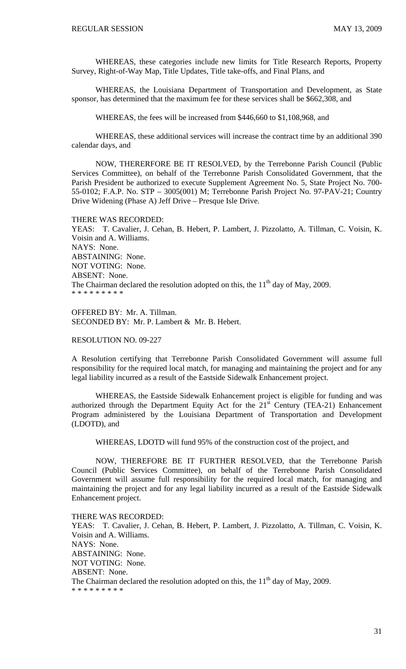WHEREAS, these categories include new limits for Title Research Reports, Property Survey, Right-of-Way Map, Title Updates, Title take-offs, and Final Plans, and

WHEREAS, the Louisiana Department of Transportation and Development, as State sponsor, has determined that the maximum fee for these services shall be \$662,308, and

WHEREAS, the fees will be increased from \$446,660 to \$1,108,968, and

WHEREAS, these additional services will increase the contract time by an additional 390 calendar days, and

 NOW, THERERFORE BE IT RESOLVED, by the Terrebonne Parish Council (Public Services Committee), on behalf of the Terrebonne Parish Consolidated Government, that the Parish President be authorized to execute Supplement Agreement No. 5, State Project No. 700- 55-0102; F.A.P. No. STP – 3005(001) M; Terrebonne Parish Project No. 97-PAV-21; Country Drive Widening (Phase A) Jeff Drive – Presque Isle Drive.

#### THERE WAS RECORDED:

YEAS: T. Cavalier, J. Cehan, B. Hebert, P. Lambert, J. Pizzolatto, A. Tillman, C. Voisin, K. Voisin and A. Williams. NAYS: None. ABSTAINING: None. NOT VOTING: None. ABSENT: None. The Chairman declared the resolution adopted on this, the  $11<sup>th</sup>$  day of May, 2009. \* \* \* \* \* \* \* \* \*

OFFERED BY: Mr. A. Tillman. SECONDED BY: Mr. P. Lambert & Mr. B. Hebert.

### RESOLUTION NO. 09-227

A Resolution certifying that Terrebonne Parish Consolidated Government will assume full responsibility for the required local match, for managing and maintaining the project and for any legal liability incurred as a result of the Eastside Sidewalk Enhancement project.

WHEREAS, the Eastside Sidewalk Enhancement project is eligible for funding and was authorized through the Department Equity Act for the  $21<sup>st</sup>$  Century (TEA-21) Enhancement Program administered by the Louisiana Department of Transportation and Development (LDOTD), and

WHEREAS, LDOTD will fund 95% of the construction cost of the project, and

 NOW, THEREFORE BE IT FURTHER RESOLVED, that the Terrebonne Parish Council (Public Services Committee), on behalf of the Terrebonne Parish Consolidated Government will assume full responsibility for the required local match, for managing and maintaining the project and for any legal liability incurred as a result of the Eastside Sidewalk Enhancement project.

THERE WAS RECORDED: YEAS: T. Cavalier, J. Cehan, B. Hebert, P. Lambert, J. Pizzolatto, A. Tillman, C. Voisin, K. Voisin and A. Williams. NAYS: None. ABSTAINING: None. NOT VOTING: None. ABSENT: None. The Chairman declared the resolution adopted on this, the  $11<sup>th</sup>$  day of May, 2009. \* \* \* \* \* \* \* \* \*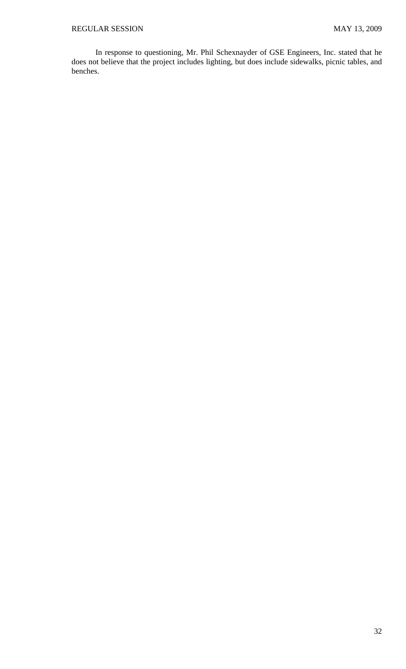In response to questioning, Mr. Phil Schexnayder of GSE Engineers, Inc. stated that he does not believe that the project includes lighting, but does include sidewalks, picnic tables, and benches.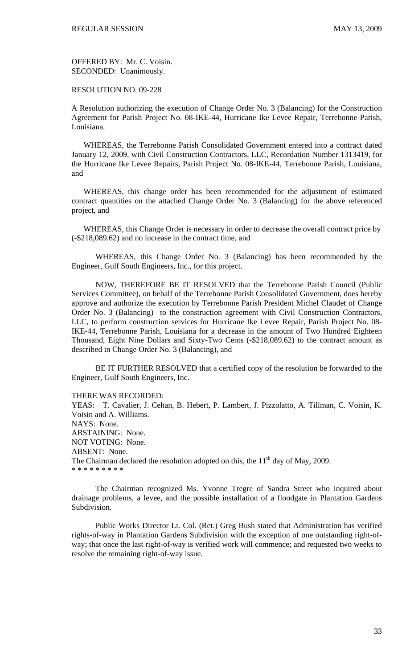OFFERED BY: Mr. C. Voisin. SECONDED: Unanimously.

RESOLUTION NO. 09-228

A Resolution authorizing the execution of Change Order No. 3 (Balancing) for the Construction Agreement for Parish Project No. 08-IKE-44, Hurricane Ike Levee Repair, Terrebonne Parish, Louisiana.

 WHEREAS, the Terrebonne Parish Consolidated Government entered into a contract dated January 12, 2009, with Civil Construction Contractors, LLC, Recordation Number 1313419, for the Hurricane Ike Levee Repairs, Parish Project No. 08-IKE-44, Terrebonne Parish, Louisiana, and

 WHEREAS, this change order has been recommended for the adjustment of estimated contract quantities on the attached Change Order No. 3 (Balancing) for the above referenced project, and

 WHEREAS, this Change Order is necessary in order to decrease the overall contract price by (-\$218,089.62) and no increase in the contract time, and

 WHEREAS, this Change Order No. 3 (Balancing) has been recommended by the Engineer, Gulf South Engineers, Inc., for this project.

 NOW, THEREFORE BE IT RESOLVED that the Terrebonne Parish Council (Public Services Committee), on behalf of the Terrebonne Parish Consolidated Government, does hereby approve and authorize the execution by Terrebonne Parish President Michel Claudet of Change Order No. 3 (Balancing) to the construction agreement with Civil Construction Contractors, LLC, to perform construction services for Hurricane Ike Levee Repair, Parish Project No. 08- IKE-44, Terrebonne Parish, Louisiana for a decrease in the amount of Two Hundred Eighteen Thousand, Eight Nine Dollars and Sixty-Two Cents (-\$218,089.62) to the contract amount as described in Change Order No. 3 (Balancing), and

 BE IT FURTHER RESOLVED that a certified copy of the resolution be forwarded to the Engineer, Gulf South Engineers, Inc.

THERE WAS RECORDED:

YEAS: T. Cavalier, J. Cehan, B. Hebert, P. Lambert, J. Pizzolatto, A. Tillman, C. Voisin, K. Voisin and A. Williams. NAYS: None. ABSTAINING: None. NOT VOTING: None. ABSENT: None. The Chairman declared the resolution adopted on this, the  $11<sup>th</sup>$  day of May, 2009. \* \* \* \* \* \* \* \* \*

 The Chairman recognized Ms. Yvonne Tregre of Sandra Street who inquired about drainage problems, a levee, and the possible installation of a floodgate in Plantation Gardens Subdivision.

 Public Works Director Lt. Col. (Ret.) Greg Bush stated that Administration has verified rights-of-way in Plantation Gardens Subdivision with the exception of one outstanding right-ofway; that once the last right-of-way is verified work will commence; and requested two weeks to resolve the remaining right-of-way issue.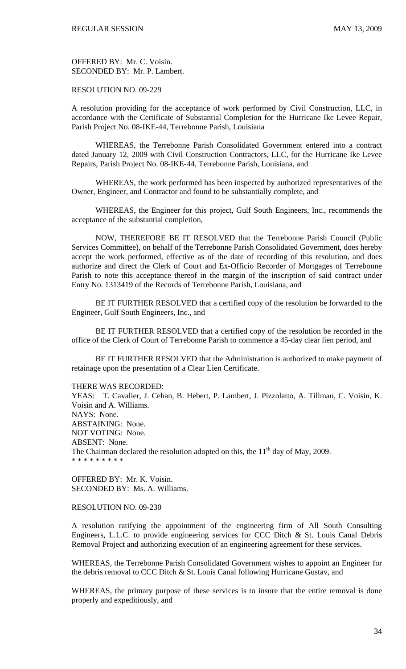OFFERED BY: Mr. C. Voisin. SECONDED BY: Mr. P. Lambert.

RESOLUTION NO. 09-229

A resolution providing for the acceptance of work performed by Civil Construction, LLC, in accordance with the Certificate of Substantial Completion for the Hurricane Ike Levee Repair, Parish Project No. 08-IKE-44, Terrebonne Parish, Louisiana

 WHEREAS, the Terrebonne Parish Consolidated Government entered into a contract dated January 12, 2009 with Civil Construction Contractors, LLC, for the Hurricane Ike Levee Repairs, Parish Project No. 08-IKE-44, Terrebonne Parish, Louisiana, and

 WHEREAS, the work performed has been inspected by authorized representatives of the Owner, Engineer, and Contractor and found to be substantially complete, and

 WHEREAS, the Engineer for this project, Gulf South Engineers, Inc., recommends the acceptance of the substantial completion,

 NOW, THEREFORE BE IT RESOLVED that the Terrebonne Parish Council (Public Services Committee), on behalf of the Terrebonne Parish Consolidated Government, does hereby accept the work performed, effective as of the date of recording of this resolution, and does authorize and direct the Clerk of Court and Ex-Officio Recorder of Mortgages of Terrebonne Parish to note this acceptance thereof in the margin of the inscription of said contract under Entry No. 1313419 of the Records of Terrebonne Parish, Louisiana, and

 BE IT FURTHER RESOLVED that a certified copy of the resolution be forwarded to the Engineer, Gulf South Engineers, Inc., and

 BE IT FURTHER RESOLVED that a certified copy of the resolution be recorded in the office of the Clerk of Court of Terrebonne Parish to commence a 45-day clear lien period, and

 BE IT FURTHER RESOLVED that the Administration is authorized to make payment of retainage upon the presentation of a Clear Lien Certificate.

THERE WAS RECORDED:

YEAS: T. Cavalier, J. Cehan, B. Hebert, P. Lambert, J. Pizzolatto, A. Tillman, C. Voisin, K. Voisin and A. Williams. NAYS: None. ABSTAINING: None. NOT VOTING: None. ABSENT: None. The Chairman declared the resolution adopted on this, the  $11<sup>th</sup>$  day of May, 2009. \* \* \* \* \* \* \* \* \*

OFFERED BY: Mr. K. Voisin. SECONDED BY: Ms. A. Williams.

### RESOLUTION NO. 09-230

A resolution ratifying the appointment of the engineering firm of All South Consulting Engineers, L.L.C. to provide engineering services for CCC Ditch & St. Louis Canal Debris Removal Project and authorizing execution of an engineering agreement for these services.

WHEREAS, the Terrebonne Parish Consolidated Government wishes to appoint an Engineer for the debris removal to CCC Ditch & St. Louis Canal following Hurricane Gustav, and

WHEREAS, the primary purpose of these services is to insure that the entire removal is done properly and expeditiously, and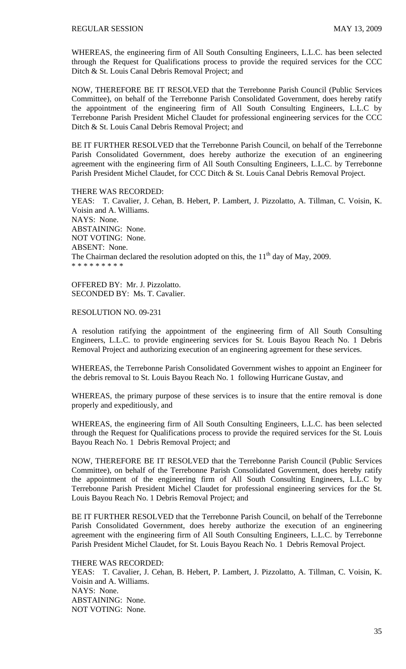WHEREAS, the engineering firm of All South Consulting Engineers, L.L.C. has been selected through the Request for Qualifications process to provide the required services for the CCC Ditch & St. Louis Canal Debris Removal Project; and

NOW, THEREFORE BE IT RESOLVED that the Terrebonne Parish Council (Public Services Committee), on behalf of the Terrebonne Parish Consolidated Government, does hereby ratify the appointment of the engineering firm of All South Consulting Engineers, L.L.C by Terrebonne Parish President Michel Claudet for professional engineering services for the CCC Ditch & St. Louis Canal Debris Removal Project; and

BE IT FURTHER RESOLVED that the Terrebonne Parish Council, on behalf of the Terrebonne Parish Consolidated Government, does hereby authorize the execution of an engineering agreement with the engineering firm of All South Consulting Engineers, L.L.C. by Terrebonne Parish President Michel Claudet, for CCC Ditch & St. Louis Canal Debris Removal Project.

THERE WAS RECORDED:

YEAS: T. Cavalier, J. Cehan, B. Hebert, P. Lambert, J. Pizzolatto, A. Tillman, C. Voisin, K. Voisin and A. Williams. NAYS: None. ABSTAINING: None. NOT VOTING: None. ABSENT: None. The Chairman declared the resolution adopted on this, the  $11<sup>th</sup>$  day of May, 2009. \* \* \* \* \* \* \* \* \*

OFFERED BY: Mr. J. Pizzolatto. SECONDED BY: Ms. T. Cavalier.

### RESOLUTION NO. 09-231

A resolution ratifying the appointment of the engineering firm of All South Consulting Engineers, L.L.C. to provide engineering services for St. Louis Bayou Reach No. 1 Debris Removal Project and authorizing execution of an engineering agreement for these services.

WHEREAS, the Terrebonne Parish Consolidated Government wishes to appoint an Engineer for the debris removal to St. Louis Bayou Reach No. 1 following Hurricane Gustav, and

WHEREAS, the primary purpose of these services is to insure that the entire removal is done properly and expeditiously, and

WHEREAS, the engineering firm of All South Consulting Engineers, L.L.C. has been selected through the Request for Qualifications process to provide the required services for the St. Louis Bayou Reach No. 1 Debris Removal Project; and

NOW, THEREFORE BE IT RESOLVED that the Terrebonne Parish Council (Public Services Committee), on behalf of the Terrebonne Parish Consolidated Government, does hereby ratify the appointment of the engineering firm of All South Consulting Engineers, L.L.C by Terrebonne Parish President Michel Claudet for professional engineering services for the St. Louis Bayou Reach No. 1 Debris Removal Project; and

BE IT FURTHER RESOLVED that the Terrebonne Parish Council, on behalf of the Terrebonne Parish Consolidated Government, does hereby authorize the execution of an engineering agreement with the engineering firm of All South Consulting Engineers, L.L.C. by Terrebonne Parish President Michel Claudet, for St. Louis Bayou Reach No. 1 Debris Removal Project.

THERE WAS RECORDED: YEAS: T. Cavalier, J. Cehan, B. Hebert, P. Lambert, J. Pizzolatto, A. Tillman, C. Voisin, K. Voisin and A. Williams. NAYS: None. ABSTAINING: None. NOT VOTING: None.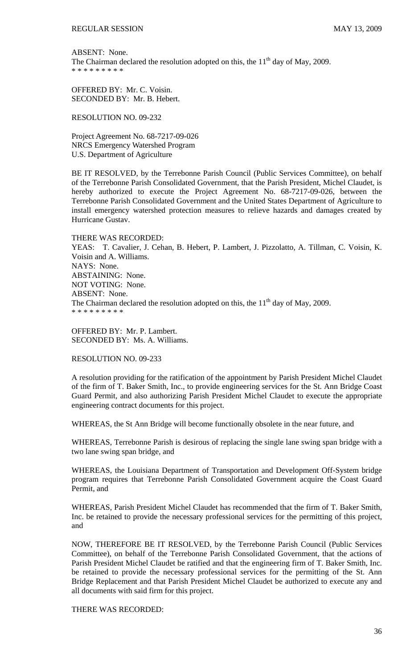ABSENT: None. The Chairman declared the resolution adopted on this, the  $11<sup>th</sup>$  day of May, 2009. \* \* \* \* \* \* \* \* \*

OFFERED BY: Mr. C. Voisin. SECONDED BY: Mr. B. Hebert.

RESOLUTION NO. 09-232

Project Agreement No. 68-7217-09-026 NRCS Emergency Watershed Program U.S. Department of Agriculture

BE IT RESOLVED, by the Terrebonne Parish Council (Public Services Committee), on behalf of the Terrebonne Parish Consolidated Government, that the Parish President, Michel Claudet, is hereby authorized to execute the Project Agreement No. 68-7217-09-026, between the Terrebonne Parish Consolidated Government and the United States Department of Agriculture to install emergency watershed protection measures to relieve hazards and damages created by Hurricane Gustav.

THERE WAS RECORDED: YEAS: T. Cavalier, J. Cehan, B. Hebert, P. Lambert, J. Pizzolatto, A. Tillman, C. Voisin, K. Voisin and A. Williams. NAYS: None. ABSTAINING: None. NOT VOTING: None. ABSENT: None. The Chairman declared the resolution adopted on this, the  $11<sup>th</sup>$  day of May, 2009. \* \* \* \* \* \* \* \* \*

OFFERED BY: Mr. P. Lambert. SECONDED BY: Ms. A. Williams.

RESOLUTION NO. 09-233

A resolution providing for the ratification of the appointment by Parish President Michel Claudet of the firm of T. Baker Smith, Inc., to provide engineering services for the St. Ann Bridge Coast Guard Permit, and also authorizing Parish President Michel Claudet to execute the appropriate engineering contract documents for this project.

WHEREAS, the St Ann Bridge will become functionally obsolete in the near future, and

WHEREAS, Terrebonne Parish is desirous of replacing the single lane swing span bridge with a two lane swing span bridge, and

WHEREAS, the Louisiana Department of Transportation and Development Off-System bridge program requires that Terrebonne Parish Consolidated Government acquire the Coast Guard Permit, and

WHEREAS, Parish President Michel Claudet has recommended that the firm of T. Baker Smith, Inc. be retained to provide the necessary professional services for the permitting of this project, and

NOW, THEREFORE BE IT RESOLVED, by the Terrebonne Parish Council (Public Services Committee), on behalf of the Terrebonne Parish Consolidated Government, that the actions of Parish President Michel Claudet be ratified and that the engineering firm of T. Baker Smith, Inc. be retained to provide the necessary professional services for the permitting of the St. Ann Bridge Replacement and that Parish President Michel Claudet be authorized to execute any and all documents with said firm for this project.

THERE WAS RECORDED: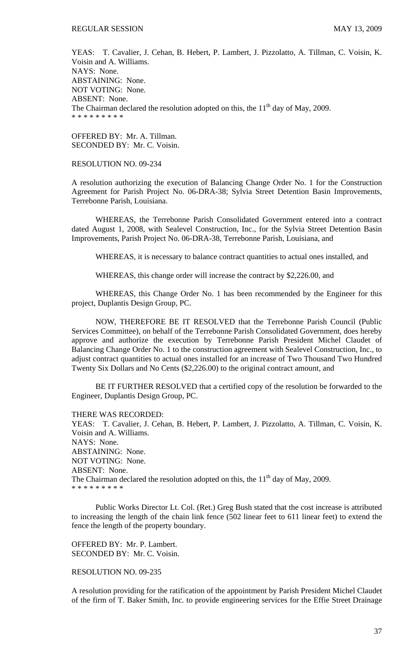YEAS: T. Cavalier, J. Cehan, B. Hebert, P. Lambert, J. Pizzolatto, A. Tillman, C. Voisin, K. Voisin and A. Williams. NAYS: None. ABSTAINING: None. NOT VOTING: None. ABSENT: None. The Chairman declared the resolution adopted on this, the  $11<sup>th</sup>$  day of May, 2009. \* \* \* \* \* \* \* \* \*

OFFERED BY: Mr. A. Tillman. SECONDED BY: Mr. C. Voisin.

### RESOLUTION NO. 09-234

A resolution authorizing the execution of Balancing Change Order No. 1 for the Construction Agreement for Parish Project No. 06-DRA-38; Sylvia Street Detention Basin Improvements, Terrebonne Parish, Louisiana.

 WHEREAS, the Terrebonne Parish Consolidated Government entered into a contract dated August 1, 2008, with Sealevel Construction, Inc., for the Sylvia Street Detention Basin Improvements, Parish Project No. 06-DRA-38, Terrebonne Parish, Louisiana, and

WHEREAS, it is necessary to balance contract quantities to actual ones installed, and

WHEREAS, this change order will increase the contract by \$2,226.00, and

 WHEREAS, this Change Order No. 1 has been recommended by the Engineer for this project, Duplantis Design Group, PC.

 NOW, THEREFORE BE IT RESOLVED that the Terrebonne Parish Council (Public Services Committee), on behalf of the Terrebonne Parish Consolidated Government, does hereby approve and authorize the execution by Terrebonne Parish President Michel Claudet of Balancing Change Order No. 1 to the construction agreement with Sealevel Construction, Inc., to adjust contract quantities to actual ones installed for an increase of Two Thousand Two Hundred Twenty Six Dollars and No Cents (\$2,226.00) to the original contract amount, and

 BE IT FURTHER RESOLVED that a certified copy of the resolution be forwarded to the Engineer, Duplantis Design Group, PC.

THERE WAS RECORDED:

YEAS: T. Cavalier, J. Cehan, B. Hebert, P. Lambert, J. Pizzolatto, A. Tillman, C. Voisin, K. Voisin and A. Williams. NAYS: None. ABSTAINING: None. NOT VOTING: None. ABSENT: None. The Chairman declared the resolution adopted on this, the  $11<sup>th</sup>$  day of May, 2009. \* \* \* \* \* \* \* \* \*

 Public Works Director Lt. Col. (Ret.) Greg Bush stated that the cost increase is attributed to increasing the length of the chain link fence (502 linear feet to 611 linear feet) to extend the fence the length of the property boundary.

OFFERED BY: Mr. P. Lambert. SECONDED BY: Mr. C. Voisin.

### RESOLUTION NO. 09-235

A resolution providing for the ratification of the appointment by Parish President Michel Claudet of the firm of T. Baker Smith, Inc. to provide engineering services for the Effie Street Drainage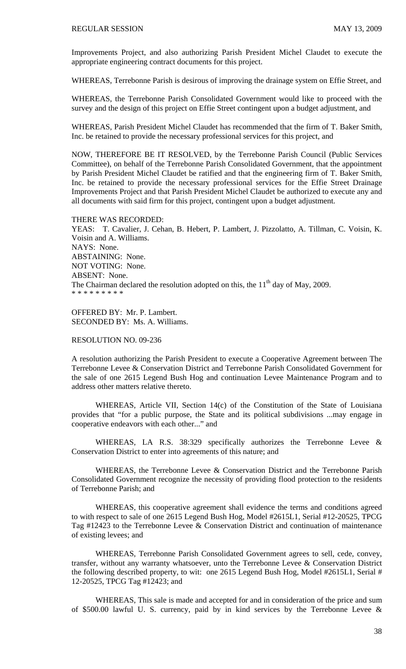Improvements Project, and also authorizing Parish President Michel Claudet to execute the appropriate engineering contract documents for this project.

WHEREAS, Terrebonne Parish is desirous of improving the drainage system on Effie Street, and

WHEREAS, the Terrebonne Parish Consolidated Government would like to proceed with the survey and the design of this project on Effie Street contingent upon a budget adjustment, and

WHEREAS, Parish President Michel Claudet has recommended that the firm of T. Baker Smith, Inc. be retained to provide the necessary professional services for this project, and

NOW, THEREFORE BE IT RESOLVED, by the Terrebonne Parish Council (Public Services Committee), on behalf of the Terrebonne Parish Consolidated Government, that the appointment by Parish President Michel Claudet be ratified and that the engineering firm of T. Baker Smith, Inc. be retained to provide the necessary professional services for the Effie Street Drainage Improvements Project and that Parish President Michel Claudet be authorized to execute any and all documents with said firm for this project, contingent upon a budget adjustment.

#### THERE WAS RECORDED:

YEAS: T. Cavalier, J. Cehan, B. Hebert, P. Lambert, J. Pizzolatto, A. Tillman, C. Voisin, K. Voisin and A. Williams. NAYS: None. ABSTAINING: None. NOT VOTING: None. ABSENT: None. The Chairman declared the resolution adopted on this, the  $11<sup>th</sup>$  day of May, 2009. \* \* \* \* \* \* \* \* \*

OFFERED BY: Mr. P. Lambert. SECONDED BY: Ms. A. Williams.

# RESOLUTION NO. 09-236

A resolution authorizing the Parish President to execute a Cooperative Agreement between The Terrebonne Levee & Conservation District and Terrebonne Parish Consolidated Government for the sale of one 2615 Legend Bush Hog and continuation Levee Maintenance Program and to address other matters relative thereto.

WHEREAS, Article VII, Section 14(c) of the Constitution of the State of Louisiana provides that "for a public purpose, the State and its political subdivisions ...may engage in cooperative endeavors with each other..." and

WHEREAS, LA R.S. 38:329 specifically authorizes the Terrebonne Levee & Conservation District to enter into agreements of this nature; and

WHEREAS, the Terrebonne Levee & Conservation District and the Terrebonne Parish Consolidated Government recognize the necessity of providing flood protection to the residents of Terrebonne Parish; and

WHEREAS, this cooperative agreement shall evidence the terms and conditions agreed to with respect to sale of one 2615 Legend Bush Hog, Model #2615L1, Serial #12-20525, TPCG Tag #12423 to the Terrebonne Levee & Conservation District and continuation of maintenance of existing levees; and

WHEREAS, Terrebonne Parish Consolidated Government agrees to sell, cede, convey, transfer, without any warranty whatsoever, unto the Terrebonne Levee & Conservation District the following described property, to wit: one 2615 Legend Bush Hog, Model #2615L1, Serial # 12-20525, TPCG Tag #12423; and

WHEREAS, This sale is made and accepted for and in consideration of the price and sum of \$500.00 lawful U. S. currency, paid by in kind services by the Terrebonne Levee &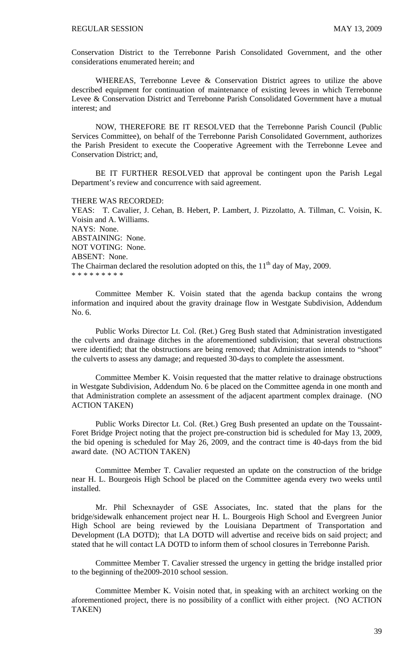Conservation District to the Terrebonne Parish Consolidated Government, and the other considerations enumerated herein; and

WHEREAS, Terrebonne Levee & Conservation District agrees to utilize the above described equipment for continuation of maintenance of existing levees in which Terrebonne Levee & Conservation District and Terrebonne Parish Consolidated Government have a mutual interest; and

NOW, THEREFORE BE IT RESOLVED that the Terrebonne Parish Council (Public Services Committee), on behalf of the Terrebonne Parish Consolidated Government, authorizes the Parish President to execute the Cooperative Agreement with the Terrebonne Levee and Conservation District; and,

BE IT FURTHER RESOLVED that approval be contingent upon the Parish Legal Department's review and concurrence with said agreement.

THERE WAS RECORDED:

YEAS: T. Cavalier, J. Cehan, B. Hebert, P. Lambert, J. Pizzolatto, A. Tillman, C. Voisin, K. Voisin and A. Williams. NAYS: None. ABSTAINING: None. NOT VOTING: None. ABSENT: None. The Chairman declared the resolution adopted on this, the  $11<sup>th</sup>$  day of May, 2009. \* \* \* \* \* \* \* \* \*

 Committee Member K. Voisin stated that the agenda backup contains the wrong information and inquired about the gravity drainage flow in Westgate Subdivision, Addendum No. 6.

 Public Works Director Lt. Col. (Ret.) Greg Bush stated that Administration investigated the culverts and drainage ditches in the aforementioned subdivision; that several obstructions were identified; that the obstructions are being removed; that Administration intends to "shoot" the culverts to assess any damage; and requested 30-days to complete the assessment.

 Committee Member K. Voisin requested that the matter relative to drainage obstructions in Westgate Subdivision, Addendum No. 6 be placed on the Committee agenda in one month and that Administration complete an assessment of the adjacent apartment complex drainage. (NO ACTION TAKEN)

 Public Works Director Lt. Col. (Ret.) Greg Bush presented an update on the Toussaint-Foret Bridge Project noting that the project pre-construction bid is scheduled for May 13, 2009, the bid opening is scheduled for May 26, 2009, and the contract time is 40-days from the bid award date. (NO ACTION TAKEN)

 Committee Member T. Cavalier requested an update on the construction of the bridge near H. L. Bourgeois High School be placed on the Committee agenda every two weeks until installed.

 Mr. Phil Schexnayder of GSE Associates, Inc. stated that the plans for the bridge/sidewalk enhancement project near H. L. Bourgeois High School and Evergreen Junior High School are being reviewed by the Louisiana Department of Transportation and Development (LA DOTD); that LA DOTD will advertise and receive bids on said project; and stated that he will contact LA DOTD to inform them of school closures in Terrebonne Parish.

 Committee Member T. Cavalier stressed the urgency in getting the bridge installed prior to the beginning of the2009-2010 school session.

Committee Member K. Voisin noted that, in speaking with an architect working on the aforementioned project, there is no possibility of a conflict with either project. (NO ACTION TAKEN)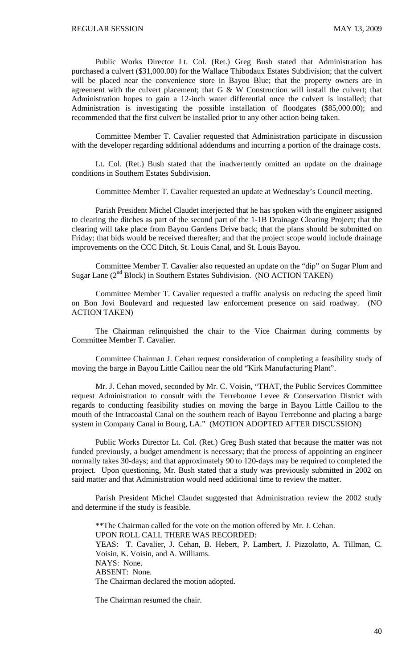Public Works Director Lt. Col. (Ret.) Greg Bush stated that Administration has purchased a culvert (\$31,000.00) for the Wallace Thibodaux Estates Subdivision; that the culvert will be placed near the convenience store in Bayou Blue; that the property owners are in agreement with the culvert placement; that G & W Construction will install the culvert; that Administration hopes to gain a 12-inch water differential once the culvert is installed; that Administration is investigating the possible installation of floodgates (\$85,000.00); and recommended that the first culvert be installed prior to any other action being taken.

 Committee Member T. Cavalier requested that Administration participate in discussion with the developer regarding additional addendums and incurring a portion of the drainage costs.

 Lt. Col. (Ret.) Bush stated that the inadvertently omitted an update on the drainage conditions in Southern Estates Subdivision.

Committee Member T. Cavalier requested an update at Wednesday's Council meeting.

 Parish President Michel Claudet interjected that he has spoken with the engineer assigned to clearing the ditches as part of the second part of the 1-1B Drainage Clearing Project; that the clearing will take place from Bayou Gardens Drive back; that the plans should be submitted on Friday; that bids would be received thereafter; and that the project scope would include drainage improvements on the CCC Ditch, St. Louis Canal, and St. Louis Bayou.

 Committee Member T. Cavalier also requested an update on the "dip" on Sugar Plum and Sugar Lane  $(2^{nd}$  Block) in Southern Estates Subdivision. (NO ACTION TAKEN)

 Committee Member T. Cavalier requested a traffic analysis on reducing the speed limit on Bon Jovi Boulevard and requested law enforcement presence on said roadway. (NO ACTION TAKEN)

 The Chairman relinquished the chair to the Vice Chairman during comments by Committee Member T. Cavalier.

 Committee Chairman J. Cehan request consideration of completing a feasibility study of moving the barge in Bayou Little Caillou near the old "Kirk Manufacturing Plant".

 Mr. J. Cehan moved, seconded by Mr. C. Voisin, "THAT, the Public Services Committee request Administration to consult with the Terrebonne Levee & Conservation District with regards to conducting feasibility studies on moving the barge in Bayou Little Caillou to the mouth of the Intracoastal Canal on the southern reach of Bayou Terrebonne and placing a barge system in Company Canal in Bourg, LA." (MOTION ADOPTED AFTER DISCUSSION)

 Public Works Director Lt. Col. (Ret.) Greg Bush stated that because the matter was not funded previously, a budget amendment is necessary; that the process of appointing an engineer normally takes 30-days; and that approximately 90 to 120-days may be required to completed the project. Upon questioning, Mr. Bush stated that a study was previously submitted in 2002 on said matter and that Administration would need additional time to review the matter.

 Parish President Michel Claudet suggested that Administration review the 2002 study and determine if the study is feasible.

 \*\*The Chairman called for the vote on the motion offered by Mr. J. Cehan. UPON ROLL CALL THERE WAS RECORDED: YEAS: T. Cavalier, J. Cehan, B. Hebert, P. Lambert, J. Pizzolatto, A. Tillman, C. Voisin, K. Voisin, and A. Williams. NAYS: None. ABSENT: None. The Chairman declared the motion adopted.

The Chairman resumed the chair.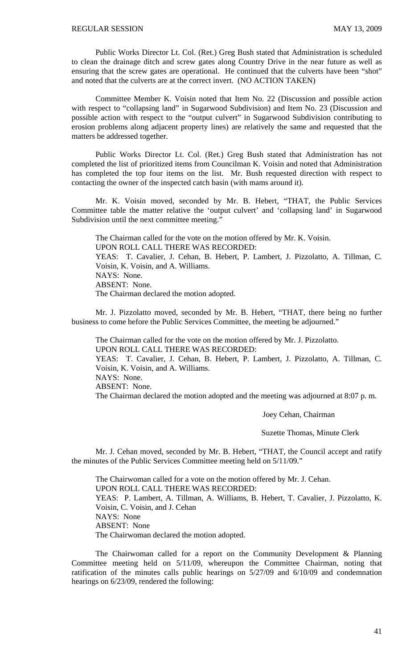Public Works Director Lt. Col. (Ret.) Greg Bush stated that Administration is scheduled to clean the drainage ditch and screw gates along Country Drive in the near future as well as ensuring that the screw gates are operational. He continued that the culverts have been "shot" and noted that the culverts are at the correct invert. (NO ACTION TAKEN)

 Committee Member K. Voisin noted that Item No. 22 (Discussion and possible action with respect to "collapsing land" in Sugarwood Subdivision) and Item No. 23 (Discussion and possible action with respect to the "output culvert" in Sugarwood Subdivision contributing to erosion problems along adjacent property lines) are relatively the same and requested that the matters be addressed together.

 Public Works Director Lt. Col. (Ret.) Greg Bush stated that Administration has not completed the list of prioritized items from Councilman K. Voisin and noted that Administration has completed the top four items on the list. Mr. Bush requested direction with respect to contacting the owner of the inspected catch basin (with mams around it).

Mr. K. Voisin moved, seconded by Mr. B. Hebert, "THAT, the Public Services Committee table the matter relative the 'output culvert' and 'collapsing land' in Sugarwood Subdivision until the next committee meeting."

The Chairman called for the vote on the motion offered by Mr. K. Voisin. UPON ROLL CALL THERE WAS RECORDED: YEAS: T. Cavalier, J. Cehan, B. Hebert, P. Lambert, J. Pizzolatto, A. Tillman, C. Voisin, K. Voisin, and A. Williams. NAYS: None. ABSENT: None. The Chairman declared the motion adopted.

 Mr. J. Pizzolatto moved, seconded by Mr. B. Hebert, "THAT, there being no further business to come before the Public Services Committee, the meeting be adjourned."

 The Chairman called for the vote on the motion offered by Mr. J. Pizzolatto. UPON ROLL CALL THERE WAS RECORDED: YEAS: T. Cavalier, J. Cehan, B. Hebert, P. Lambert, J. Pizzolatto, A. Tillman, C. Voisin, K. Voisin, and A. Williams. NAYS: None. ABSENT: None. The Chairman declared the motion adopted and the meeting was adjourned at 8:07 p. m.

Joey Cehan, Chairman

Suzette Thomas, Minute Clerk

Mr. J. Cehan moved, seconded by Mr. B. Hebert, "THAT, the Council accept and ratify the minutes of the Public Services Committee meeting held on 5/11/09."

 The Chairwoman called for a vote on the motion offered by Mr. J. Cehan. UPON ROLL CALL THERE WAS RECORDED: YEAS: P. Lambert, A. Tillman, A. Williams, B. Hebert, T. Cavalier, J. Pizzolatto, K. Voisin, C. Voisin, and J. Cehan NAYS: None ABSENT: None The Chairwoman declared the motion adopted.

 The Chairwoman called for a report on the Community Development & Planning Committee meeting held on 5/11/09, whereupon the Committee Chairman, noting that ratification of the minutes calls public hearings on 5/27/09 and 6/10/09 and condemnation hearings on 6/23/09, rendered the following: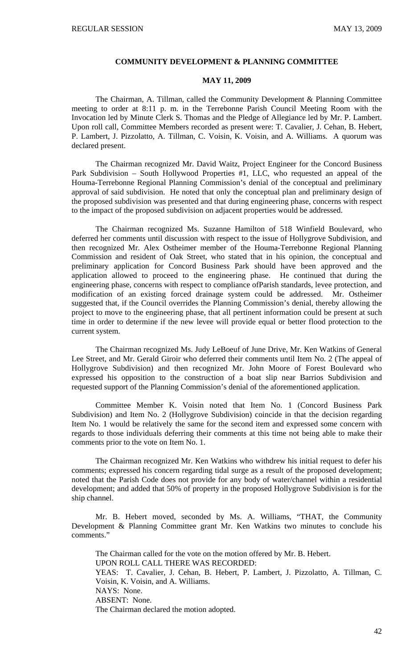#### **COMMUNITY DEVELOPMENT & PLANNING COMMITTEE**

### **MAY 11, 2009**

 The Chairman, A. Tillman, called the Community Development & Planning Committee meeting to order at 8:11 p. m. in the Terrebonne Parish Council Meeting Room with the Invocation led by Minute Clerk S. Thomas and the Pledge of Allegiance led by Mr. P. Lambert. Upon roll call, Committee Members recorded as present were: T. Cavalier, J. Cehan, B. Hebert, P. Lambert, J. Pizzolatto, A. Tillman, C. Voisin, K. Voisin, and A. Williams. A quorum was declared present.

 The Chairman recognized Mr. David Waitz, Project Engineer for the Concord Business Park Subdivision – South Hollywood Properties #1, LLC, who requested an appeal of the Houma-Terrebonne Regional Planning Commission's denial of the conceptual and preliminary approval of said subdivision. He noted that only the conceptual plan and preliminary design of the proposed subdivision was presented and that during engineering phase, concerns with respect to the impact of the proposed subdivision on adjacent properties would be addressed.

 The Chairman recognized Ms. Suzanne Hamilton of 518 Winfield Boulevard, who deferred her comments until discussion with respect to the issue of Hollygrove Subdivision, and then recognized Mr. Alex Ostheimer member of the Houma-Terrebonne Regional Planning Commission and resident of Oak Street, who stated that in his opinion, the conceptual and preliminary application for Concord Business Park should have been approved and the application allowed to proceed to the engineering phase. He continued that during the engineering phase, concerns with respect to compliance ofParish standards, levee protection, and modification of an existing forced drainage system could be addressed. Mr. Ostheimer suggested that, if the Council overrides the Planning Commission's denial, thereby allowing the project to move to the engineering phase, that all pertinent information could be present at such time in order to determine if the new levee will provide equal or better flood protection to the current system.

 The Chairman recognized Ms. Judy LeBoeuf of June Drive, Mr. Ken Watkins of General Lee Street, and Mr. Gerald Giroir who deferred their comments until Item No. 2 (The appeal of Hollygrove Subdivision) and then recognized Mr. John Moore of Forest Boulevard who expressed his opposition to the construction of a boat slip near Barrios Subdivision and requested support of the Planning Commission's denial of the aforementioned application.

 Committee Member K. Voisin noted that Item No. 1 (Concord Business Park Subdivision) and Item No. 2 (Hollygrove Subdivision) coincide in that the decision regarding Item No. 1 would be relatively the same for the second item and expressed some concern with regards to those individuals deferring their comments at this time not being able to make their comments prior to the vote on Item No. 1.

 The Chairman recognized Mr. Ken Watkins who withdrew his initial request to defer his comments; expressed his concern regarding tidal surge as a result of the proposed development; noted that the Parish Code does not provide for any body of water/channel within a residential development; and added that 50% of property in the proposed Hollygrove Subdivision is for the ship channel.

 Mr. B. Hebert moved, seconded by Ms. A. Williams, "THAT, the Community Development & Planning Committee grant Mr. Ken Watkins two minutes to conclude his comments."

The Chairman called for the vote on the motion offered by Mr. B. Hebert. UPON ROLL CALL THERE WAS RECORDED: YEAS: T. Cavalier, J. Cehan, B. Hebert, P. Lambert, J. Pizzolatto, A. Tillman, C. Voisin, K. Voisin, and A. Williams. NAYS: None. ABSENT: None. The Chairman declared the motion adopted.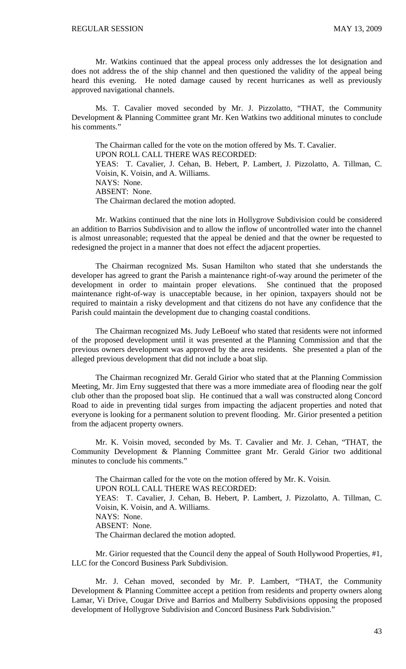Mr. Watkins continued that the appeal process only addresses the lot designation and does not address the of the ship channel and then questioned the validity of the appeal being heard this evening. He noted damage caused by recent hurricanes as well as previously approved navigational channels.

 Ms. T. Cavalier moved seconded by Mr. J. Pizzolatto, "THAT, the Community Development & Planning Committee grant Mr. Ken Watkins two additional minutes to conclude his comments."

The Chairman called for the vote on the motion offered by Ms. T. Cavalier. UPON ROLL CALL THERE WAS RECORDED: YEAS: T. Cavalier, J. Cehan, B. Hebert, P. Lambert, J. Pizzolatto, A. Tillman, C. Voisin, K. Voisin, and A. Williams. NAYS: None. ABSENT: None. The Chairman declared the motion adopted.

 Mr. Watkins continued that the nine lots in Hollygrove Subdivision could be considered an addition to Barrios Subdivision and to allow the inflow of uncontrolled water into the channel is almost unreasonable; requested that the appeal be denied and that the owner be requested to redesigned the project in a manner that does not effect the adjacent properties.

 The Chairman recognized Ms. Susan Hamilton who stated that she understands the developer has agreed to grant the Parish a maintenance right-of-way around the perimeter of the development in order to maintain proper elevations. She continued that the proposed maintenance right-of-way is unacceptable because, in her opinion, taxpayers should not be required to maintain a risky development and that citizens do not have any confidence that the Parish could maintain the development due to changing coastal conditions.

 The Chairman recognized Ms. Judy LeBoeuf who stated that residents were not informed of the proposed development until it was presented at the Planning Commission and that the previous owners development was approved by the area residents. She presented a plan of the alleged previous development that did not include a boat slip.

 The Chairman recognized Mr. Gerald Girior who stated that at the Planning Commission Meeting, Mr. Jim Erny suggested that there was a more immediate area of flooding near the golf club other than the proposed boat slip. He continued that a wall was constructed along Concord Road to aide in preventing tidal surges from impacting the adjacent properties and noted that everyone is looking for a permanent solution to prevent flooding. Mr. Girior presented a petition from the adjacent property owners.

 Mr. K. Voisin moved, seconded by Ms. T. Cavalier and Mr. J. Cehan, "THAT, the Community Development & Planning Committee grant Mr. Gerald Girior two additional minutes to conclude his comments."

The Chairman called for the vote on the motion offered by Mr. K. Voisin. UPON ROLL CALL THERE WAS RECORDED: YEAS: T. Cavalier, J. Cehan, B. Hebert, P. Lambert, J. Pizzolatto, A. Tillman, C. Voisin, K. Voisin, and A. Williams. NAYS: None. ABSENT: None. The Chairman declared the motion adopted.

 Mr. Girior requested that the Council deny the appeal of South Hollywood Properties, #1, LLC for the Concord Business Park Subdivision.

 Mr. J. Cehan moved, seconded by Mr. P. Lambert, "THAT, the Community Development & Planning Committee accept a petition from residents and property owners along Lamar, Vi Drive, Cougar Drive and Barrios and Mulberry Subdivisions opposing the proposed development of Hollygrove Subdivision and Concord Business Park Subdivision."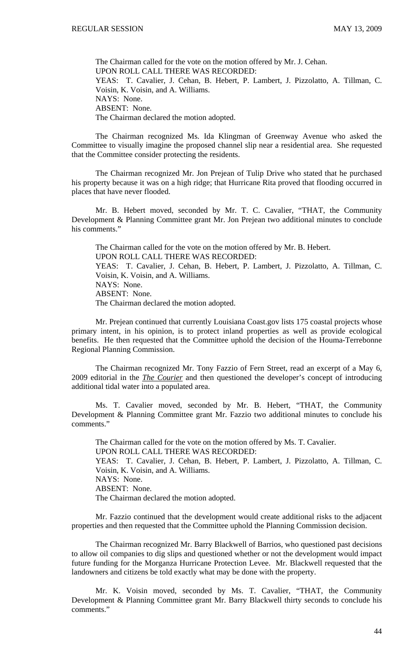The Chairman called for the vote on the motion offered by Mr. J. Cehan. UPON ROLL CALL THERE WAS RECORDED: YEAS: T. Cavalier, J. Cehan, B. Hebert, P. Lambert, J. Pizzolatto, A. Tillman, C. Voisin, K. Voisin, and A. Williams. NAYS: None. ABSENT: None. The Chairman declared the motion adopted.

 The Chairman recognized Ms. Ida Klingman of Greenway Avenue who asked the Committee to visually imagine the proposed channel slip near a residential area. She requested that the Committee consider protecting the residents.

 The Chairman recognized Mr. Jon Prejean of Tulip Drive who stated that he purchased his property because it was on a high ridge; that Hurricane Rita proved that flooding occurred in places that have never flooded.

 Mr. B. Hebert moved, seconded by Mr. T. C. Cavalier, "THAT, the Community Development & Planning Committee grant Mr. Jon Prejean two additional minutes to conclude his comments."

The Chairman called for the vote on the motion offered by Mr. B. Hebert. UPON ROLL CALL THERE WAS RECORDED: YEAS: T. Cavalier, J. Cehan, B. Hebert, P. Lambert, J. Pizzolatto, A. Tillman, C. Voisin, K. Voisin, and A. Williams. NAYS: None. ABSENT: None. The Chairman declared the motion adopted.

 Mr. Prejean continued that currently Louisiana Coast.gov lists 175 coastal projects whose primary intent, in his opinion, is to protect inland properties as well as provide ecological benefits. He then requested that the Committee uphold the decision of the Houma-Terrebonne Regional Planning Commission.

 The Chairman recognized Mr. Tony Fazzio of Fern Street, read an excerpt of a May 6, 2009 editorial in the *The Courier* and then questioned the developer's concept of introducing additional tidal water into a populated area.

 Ms. T. Cavalier moved, seconded by Mr. B. Hebert, "THAT, the Community Development & Planning Committee grant Mr. Fazzio two additional minutes to conclude his comments."

The Chairman called for the vote on the motion offered by Ms. T. Cavalier. UPON ROLL CALL THERE WAS RECORDED: YEAS: T. Cavalier, J. Cehan, B. Hebert, P. Lambert, J. Pizzolatto, A. Tillman, C. Voisin, K. Voisin, and A. Williams. NAYS: None. ABSENT: None. The Chairman declared the motion adopted.

 Mr. Fazzio continued that the development would create additional risks to the adjacent properties and then requested that the Committee uphold the Planning Commission decision.

 The Chairman recognized Mr. Barry Blackwell of Barrios, who questioned past decisions to allow oil companies to dig slips and questioned whether or not the development would impact future funding for the Morganza Hurricane Protection Levee. Mr. Blackwell requested that the landowners and citizens be told exactly what may be done with the property.

 Mr. K. Voisin moved, seconded by Ms. T. Cavalier, "THAT, the Community Development & Planning Committee grant Mr. Barry Blackwell thirty seconds to conclude his comments."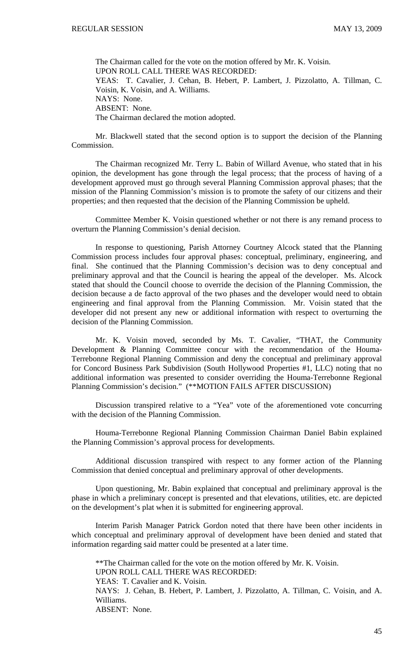The Chairman called for the vote on the motion offered by Mr. K. Voisin. UPON ROLL CALL THERE WAS RECORDED: YEAS: T. Cavalier, J. Cehan, B. Hebert, P. Lambert, J. Pizzolatto, A. Tillman, C. Voisin, K. Voisin, and A. Williams. NAYS: None. ABSENT: None. The Chairman declared the motion adopted.

 Mr. Blackwell stated that the second option is to support the decision of the Planning Commission.

 The Chairman recognized Mr. Terry L. Babin of Willard Avenue, who stated that in his opinion, the development has gone through the legal process; that the process of having of a development approved must go through several Planning Commission approval phases; that the mission of the Planning Commission's mission is to promote the safety of our citizens and their properties; and then requested that the decision of the Planning Commission be upheld.

 Committee Member K. Voisin questioned whether or not there is any remand process to overturn the Planning Commission's denial decision.

 In response to questioning, Parish Attorney Courtney Alcock stated that the Planning Commission process includes four approval phases: conceptual, preliminary, engineering, and final. She continued that the Planning Commission's decision was to deny conceptual and preliminary approval and that the Council is hearing the appeal of the developer. Ms. Alcock stated that should the Council choose to override the decision of the Planning Commission, the decision because a de facto approval of the two phases and the developer would need to obtain engineering and final approval from the Planning Commission. Mr. Voisin stated that the developer did not present any new or additional information with respect to overturning the decision of the Planning Commission.

 Mr. K. Voisin moved, seconded by Ms. T. Cavalier, "THAT, the Community Development & Planning Committee concur with the recommendation of the Houma-Terrebonne Regional Planning Commission and deny the conceptual and preliminary approval for Concord Business Park Subdivision (South Hollywood Properties #1, LLC) noting that no additional information was presented to consider overriding the Houma-Terrebonne Regional Planning Commission's decision." (\*\*MOTION FAILS AFTER DISCUSSION)

 Discussion transpired relative to a "Yea" vote of the aforementioned vote concurring with the decision of the Planning Commission.

 Houma-Terrebonne Regional Planning Commission Chairman Daniel Babin explained the Planning Commission's approval process for developments.

 Additional discussion transpired with respect to any former action of the Planning Commission that denied conceptual and preliminary approval of other developments.

 Upon questioning, Mr. Babin explained that conceptual and preliminary approval is the phase in which a preliminary concept is presented and that elevations, utilities, etc. are depicted on the development's plat when it is submitted for engineering approval.

 Interim Parish Manager Patrick Gordon noted that there have been other incidents in which conceptual and preliminary approval of development have been denied and stated that information regarding said matter could be presented at a later time.

 \*\*The Chairman called for the vote on the motion offered by Mr. K. Voisin. UPON ROLL CALL THERE WAS RECORDED: YEAS: T. Cavalier and K. Voisin. NAYS: J. Cehan, B. Hebert, P. Lambert, J. Pizzolatto, A. Tillman, C. Voisin, and A. Williams. ABSENT: None.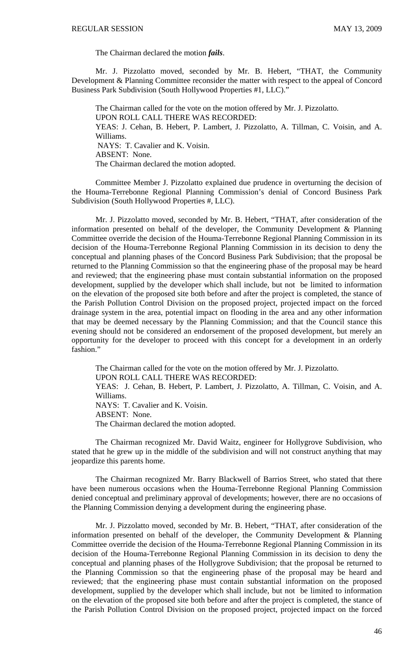The Chairman declared the motion *fails*.

 Mr. J. Pizzolatto moved, seconded by Mr. B. Hebert, "THAT, the Community Development & Planning Committee reconsider the matter with respect to the appeal of Concord Business Park Subdivision (South Hollywood Properties #1, LLC)."

The Chairman called for the vote on the motion offered by Mr. J. Pizzolatto. UPON ROLL CALL THERE WAS RECORDED: YEAS: J. Cehan, B. Hebert, P. Lambert, J. Pizzolatto, A. Tillman, C. Voisin, and A. Williams. NAYS: T. Cavalier and K. Voisin. ABSENT: None. The Chairman declared the motion adopted.

 Committee Member J. Pizzolatto explained due prudence in overturning the decision of the Houma-Terrebonne Regional Planning Commission's denial of Concord Business Park Subdivision (South Hollywood Properties #, LLC).

 Mr. J. Pizzolatto moved, seconded by Mr. B. Hebert, "THAT, after consideration of the information presented on behalf of the developer, the Community Development & Planning Committee override the decision of the Houma-Terrebonne Regional Planning Commission in its decision of the Houma-Terrebonne Regional Planning Commission in its decision to deny the conceptual and planning phases of the Concord Business Park Subdivision; that the proposal be returned to the Planning Commission so that the engineering phase of the proposal may be heard and reviewed; that the engineering phase must contain substantial information on the proposed development, supplied by the developer which shall include, but not be limited to information on the elevation of the proposed site both before and after the project is completed, the stance of the Parish Pollution Control Division on the proposed project, projected impact on the forced drainage system in the area, potential impact on flooding in the area and any other information that may be deemed necessary by the Planning Commission; and that the Council stance this evening should not be considered an endorsement of the proposed development, but merely an opportunity for the developer to proceed with this concept for a development in an orderly fashion."

The Chairman called for the vote on the motion offered by Mr. J. Pizzolatto. UPON ROLL CALL THERE WAS RECORDED: YEAS: J. Cehan, B. Hebert, P. Lambert, J. Pizzolatto, A. Tillman, C. Voisin, and A. Williams. NAYS: T. Cavalier and K. Voisin. ABSENT: None. The Chairman declared the motion adopted.

 The Chairman recognized Mr. David Waitz, engineer for Hollygrove Subdivision, who stated that he grew up in the middle of the subdivision and will not construct anything that may jeopardize this parents home.

 The Chairman recognized Mr. Barry Blackwell of Barrios Street, who stated that there have been numerous occasions when the Houma-Terrebonne Regional Planning Commission denied conceptual and preliminary approval of developments; however, there are no occasions of the Planning Commission denying a development during the engineering phase.

Mr. J. Pizzolatto moved, seconded by Mr. B. Hebert, "THAT, after consideration of the information presented on behalf of the developer, the Community Development & Planning Committee override the decision of the Houma-Terrebonne Regional Planning Commission in its decision of the Houma-Terrebonne Regional Planning Commission in its decision to deny the conceptual and planning phases of the Hollygrove Subdivision; that the proposal be returned to the Planning Commission so that the engineering phase of the proposal may be heard and reviewed; that the engineering phase must contain substantial information on the proposed development, supplied by the developer which shall include, but not be limited to information on the elevation of the proposed site both before and after the project is completed, the stance of the Parish Pollution Control Division on the proposed project, projected impact on the forced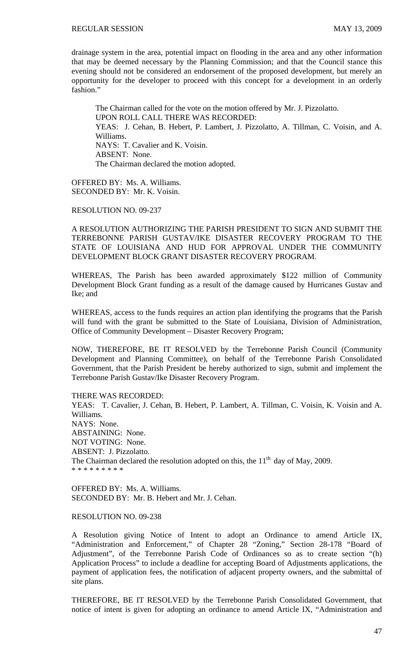drainage system in the area, potential impact on flooding in the area and any other information that may be deemed necessary by the Planning Commission; and that the Council stance this evening should not be considered an endorsement of the proposed development, but merely an opportunity for the developer to proceed with this concept for a development in an orderly fashion."

The Chairman called for the vote on the motion offered by Mr. J. Pizzolatto. UPON ROLL CALL THERE WAS RECORDED: YEAS: J. Cehan, B. Hebert, P. Lambert, J. Pizzolatto, A. Tillman, C. Voisin, and A. Williams. NAYS: T. Cavalier and K. Voisin. ABSENT: None. The Chairman declared the motion adopted.

OFFERED BY: Ms. A. Williams. SECONDED BY: Mr. K. Voisin.

RESOLUTION NO. 09-237

A RESOLUTION AUTHORIZING THE PARISH PRESIDENT TO SIGN AND SUBMIT THE TERREBONNE PARISH GUSTAV/IKE DISASTER RECOVERY PROGRAM TO THE STATE OF LOUISIANA AND HUD FOR APPROVAL UNDER THE COMMUNITY DEVELOPMENT BLOCK GRANT DISASTER RECOVERY PROGRAM.

WHEREAS, The Parish has been awarded approximately \$122 million of Community Development Block Grant funding as a result of the damage caused by Hurricanes Gustav and Ike; and

WHEREAS, access to the funds requires an action plan identifying the programs that the Parish will fund with the grant be submitted to the State of Louisiana, Division of Administration, Office of Community Development – Disaster Recovery Program;

NOW, THEREFORE, BE IT RESOLVED by the Terrebonne Parish Council (Community Development and Planning Committee), on behalf of the Terrebonne Parish Consolidated Government, that the Parish President be hereby authorized to sign, submit and implement the Terrebonne Parish Gustav/Ike Disaster Recovery Program.

THERE WAS RECORDED:

YEAS: T. Cavalier, J. Cehan, B. Hebert, P. Lambert, A. Tillman, C. Voisin, K. Voisin and A. Williams. NAYS: None. ABSTAINING: None. NOT VOTING: None. ABSENT: J. Pizzolatto. The Chairman declared the resolution adopted on this, the  $11<sup>th</sup>$  day of May, 2009. \* \* \* \* \* \* \* \* \*

OFFERED BY: Ms. A. Williams. SECONDED BY: Mr. B. Hebert and Mr. J. Cehan.

#### RESOLUTION NO. 09-238

A Resolution giving Notice of Intent to adopt an Ordinance to amend Article IX, "Administration and Enforcement," of Chapter 28 "Zoning," Section 28-178 "Board of Adjustment", of the Terrebonne Parish Code of Ordinances so as to create section "(h) Application Process" to include a deadline for accepting Board of Adjustments applications, the payment of application fees, the notification of adjacent property owners, and the submittal of site plans.

THEREFORE, BE IT RESOLVED by the Terrebonne Parish Consolidated Government, that notice of intent is given for adopting an ordinance to amend Article IX, "Administration and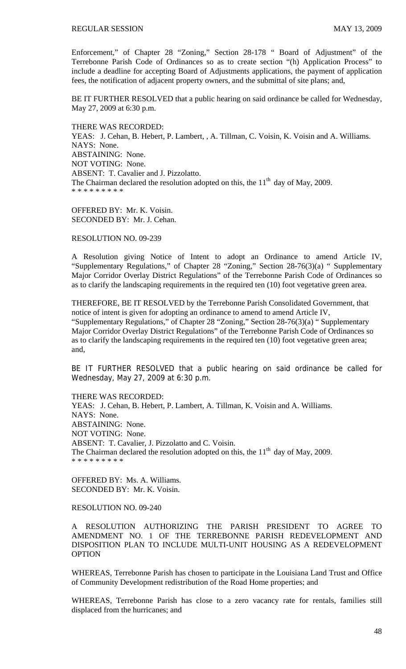Enforcement," of Chapter 28 "Zoning," Section 28-178 " Board of Adjustment" of the Terrebonne Parish Code of Ordinances so as to create section "(h) Application Process" to include a deadline for accepting Board of Adjustments applications, the payment of application fees, the notification of adjacent property owners, and the submittal of site plans; and,

BE IT FURTHER RESOLVED that a public hearing on said ordinance be called for Wednesday, May 27, 2009 at 6:30 p.m.

THERE WAS RECORDED: YEAS: J. Cehan, B. Hebert, P. Lambert, , A. Tillman, C. Voisin, K. Voisin and A. Williams. NAYS: None. ABSTAINING: None. NOT VOTING: None. ABSENT: T. Cavalier and J. Pizzolatto. The Chairman declared the resolution adopted on this, the  $11<sup>th</sup>$  day of May, 2009. \* \* \* \* \* \* \* \* \*

OFFERED BY: Mr. K. Voisin. SECONDED BY: Mr. J. Cehan.

RESOLUTION NO. 09-239

A Resolution giving Notice of Intent to adopt an Ordinance to amend Article IV, "Supplementary Regulations," of Chapter 28 "Zoning," Section 28-76(3)(a) " Supplementary Major Corridor Overlay District Regulations" of the Terrebonne Parish Code of Ordinances so as to clarify the landscaping requirements in the required ten (10) foot vegetative green area.

THEREFORE, BE IT RESOLVED by the Terrebonne Parish Consolidated Government, that notice of intent is given for adopting an ordinance to amend to amend Article IV, "Supplementary Regulations," of Chapter 28 "Zoning," Section 28-76(3)(a) " Supplementary Major Corridor Overlay District Regulations" of the Terrebonne Parish Code of Ordinances so as to clarify the landscaping requirements in the required ten (10) foot vegetative green area; and,

BE IT FURTHER RESOLVED that a public hearing on said ordinance be called for Wednesday, May 27, 2009 at 6:30 p.m.

THERE WAS RECORDED: YEAS: J. Cehan, B. Hebert, P. Lambert, A. Tillman, K. Voisin and A. Williams. NAYS: None. ABSTAINING: None. NOT VOTING: None.

ABSENT: T. Cavalier, J. Pizzolatto and C. Voisin. The Chairman declared the resolution adopted on this, the  $11<sup>th</sup>$  day of May, 2009. \* \* \* \* \* \* \* \* \*

OFFERED BY: Ms. A. Williams. SECONDED BY: Mr. K. Voisin.

RESOLUTION NO. 09-240

A RESOLUTION AUTHORIZING THE PARISH PRESIDENT TO AGREE TO AMENDMENT NO. 1 OF THE TERREBONNE PARISH REDEVELOPMENT AND DISPOSITION PLAN TO INCLUDE MULTI-UNIT HOUSING AS A REDEVELOPMENT **OPTION** 

WHEREAS, Terrebonne Parish has chosen to participate in the Louisiana Land Trust and Office of Community Development redistribution of the Road Home properties; and

WHEREAS, Terrebonne Parish has close to a zero vacancy rate for rentals, families still displaced from the hurricanes; and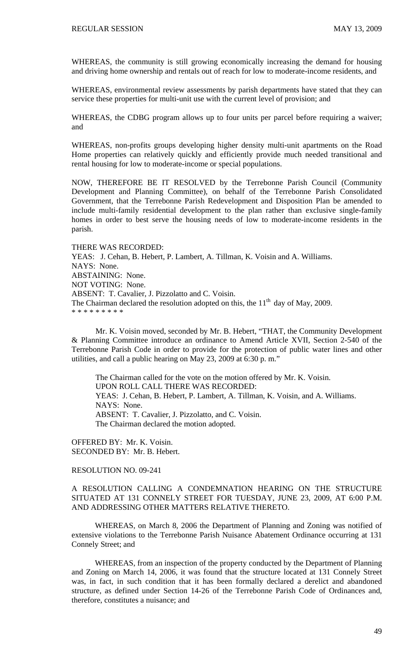WHEREAS, the community is still growing economically increasing the demand for housing and driving home ownership and rentals out of reach for low to moderate-income residents, and

WHEREAS, environmental review assessments by parish departments have stated that they can service these properties for multi-unit use with the current level of provision; and

WHEREAS, the CDBG program allows up to four units per parcel before requiring a waiver; and

WHEREAS, non-profits groups developing higher density multi-unit apartments on the Road Home properties can relatively quickly and efficiently provide much needed transitional and rental housing for low to moderate-income or special populations.

NOW, THEREFORE BE IT RESOLVED by the Terrebonne Parish Council (Community Development and Planning Committee), on behalf of the Terrebonne Parish Consolidated Government, that the Terrebonne Parish Redevelopment and Disposition Plan be amended to include multi-family residential development to the plan rather than exclusive single-family homes in order to best serve the housing needs of low to moderate-income residents in the parish.

THERE WAS RECORDED: YEAS: J. Cehan, B. Hebert, P. Lambert, A. Tillman, K. Voisin and A. Williams. NAYS: None. ABSTAINING: None. NOT VOTING: None. ABSENT: T. Cavalier, J. Pizzolatto and C. Voisin. The Chairman declared the resolution adopted on this, the  $11<sup>th</sup>$  day of May, 2009. \* \* \* \* \* \* \* \* \*

 Mr. K. Voisin moved, seconded by Mr. B. Hebert, "THAT, the Community Development & Planning Committee introduce an ordinance to Amend Article XVII, Section 2-540 of the Terrebonne Parish Code in order to provide for the protection of public water lines and other utilities, and call a public hearing on May 23, 2009 at 6:30 p. m."

The Chairman called for the vote on the motion offered by Mr. K. Voisin. UPON ROLL CALL THERE WAS RECORDED: YEAS: J. Cehan, B. Hebert, P. Lambert, A. Tillman, K. Voisin, and A. Williams. NAYS: None. ABSENT: T. Cavalier, J. Pizzolatto, and C. Voisin. The Chairman declared the motion adopted.

OFFERED BY: Mr. K. Voisin. SECONDED BY: Mr. B. Hebert.

RESOLUTION NO. 09-241

A RESOLUTION CALLING A CONDEMNATION HEARING ON THE STRUCTURE SITUATED AT 131 CONNELY STREET FOR TUESDAY, JUNE 23, 2009, AT 6:00 P.M. AND ADDRESSING OTHER MATTERS RELATIVE THERETO.

WHEREAS, on March 8, 2006 the Department of Planning and Zoning was notified of extensive violations to the Terrebonne Parish Nuisance Abatement Ordinance occurring at 131 Connely Street; and

WHEREAS, from an inspection of the property conducted by the Department of Planning and Zoning on March 14, 2006, it was found that the structure located at 131 Connely Street was, in fact, in such condition that it has been formally declared a derelict and abandoned structure, as defined under Section 14-26 of the Terrebonne Parish Code of Ordinances and, therefore, constitutes a nuisance; and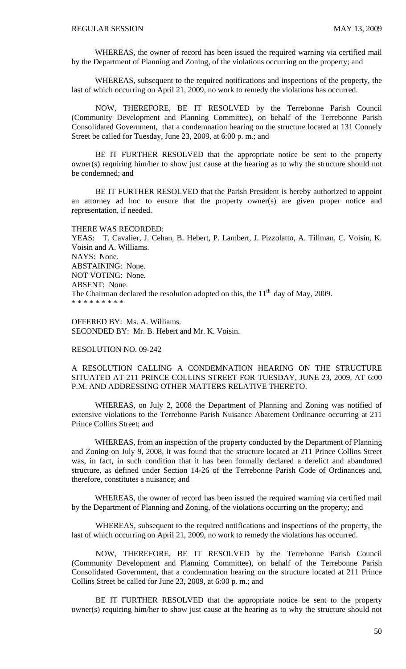WHEREAS, the owner of record has been issued the required warning via certified mail by the Department of Planning and Zoning, of the violations occurring on the property; and

WHEREAS, subsequent to the required notifications and inspections of the property, the last of which occurring on April 21, 2009, no work to remedy the violations has occurred.

 NOW, THEREFORE, BE IT RESOLVED by the Terrebonne Parish Council (Community Development and Planning Committee), on behalf of the Terrebonne Parish Consolidated Government, that a condemnation hearing on the structure located at 131 Connely Street be called for Tuesday, June 23, 2009, at 6:00 p. m.; and

 BE IT FURTHER RESOLVED that the appropriate notice be sent to the property owner(s) requiring him/her to show just cause at the hearing as to why the structure should not be condemned; and

 BE IT FURTHER RESOLVED that the Parish President is hereby authorized to appoint an attorney ad hoc to ensure that the property owner(s) are given proper notice and representation, if needed.

THERE WAS RECORDED: YEAS: T. Cavalier, J. Cehan, B. Hebert, P. Lambert, J. Pizzolatto, A. Tillman, C. Voisin, K. Voisin and A. Williams. NAYS: None. ABSTAINING: None. NOT VOTING: None. ABSENT: None. The Chairman declared the resolution adopted on this, the  $11<sup>th</sup>$  day of May, 2009. \* \* \* \* \* \* \* \* \*

OFFERED BY: Ms. A. Williams. SECONDED BY: Mr. B. Hebert and Mr. K. Voisin.

### RESOLUTION NO. 09-242

A RESOLUTION CALLING A CONDEMNATION HEARING ON THE STRUCTURE SITUATED AT 211 PRINCE COLLINS STREET FOR TUESDAY, JUNE 23, 2009, AT 6:00 P.M. AND ADDRESSING OTHER MATTERS RELATIVE THERETO.

 WHEREAS, on July 2, 2008 the Department of Planning and Zoning was notified of extensive violations to the Terrebonne Parish Nuisance Abatement Ordinance occurring at 211 Prince Collins Street; and

 WHEREAS, from an inspection of the property conducted by the Department of Planning and Zoning on July 9, 2008, it was found that the structure located at 211 Prince Collins Street was, in fact, in such condition that it has been formally declared a derelict and abandoned structure, as defined under Section 14-26 of the Terrebonne Parish Code of Ordinances and, therefore, constitutes a nuisance; and

 WHEREAS, the owner of record has been issued the required warning via certified mail by the Department of Planning and Zoning, of the violations occurring on the property; and

 WHEREAS, subsequent to the required notifications and inspections of the property, the last of which occurring on April 21, 2009, no work to remedy the violations has occurred.

 NOW, THEREFORE, BE IT RESOLVED by the Terrebonne Parish Council (Community Development and Planning Committee), on behalf of the Terrebonne Parish Consolidated Government, that a condemnation hearing on the structure located at 211 Prince Collins Street be called for June 23, 2009, at 6:00 p. m.; and

 BE IT FURTHER RESOLVED that the appropriate notice be sent to the property owner(s) requiring him/her to show just cause at the hearing as to why the structure should not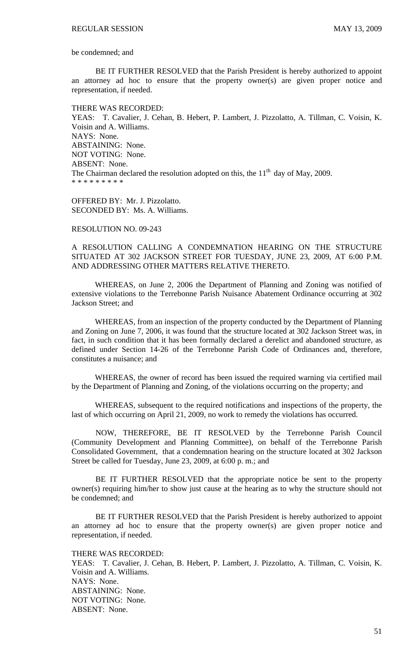be condemned; and

 BE IT FURTHER RESOLVED that the Parish President is hereby authorized to appoint an attorney ad hoc to ensure that the property owner(s) are given proper notice and representation, if needed.

#### THERE WAS RECORDED:

YEAS: T. Cavalier, J. Cehan, B. Hebert, P. Lambert, J. Pizzolatto, A. Tillman, C. Voisin, K. Voisin and A. Williams. NAYS: None. ABSTAINING: None. NOT VOTING: None. ABSENT: None. The Chairman declared the resolution adopted on this, the  $11<sup>th</sup>$  day of May, 2009. \* \* \* \* \* \* \* \* \*

OFFERED BY: Mr. J. Pizzolatto. SECONDED BY: Ms. A. Williams.

### RESOLUTION NO. 09-243

A RESOLUTION CALLING A CONDEMNATION HEARING ON THE STRUCTURE SITUATED AT 302 JACKSON STREET FOR TUESDAY, JUNE 23, 2009, AT 6:00 P.M. AND ADDRESSING OTHER MATTERS RELATIVE THERETO.

WHEREAS, on June 2, 2006 the Department of Planning and Zoning was notified of extensive violations to the Terrebonne Parish Nuisance Abatement Ordinance occurring at 302 Jackson Street; and

WHEREAS, from an inspection of the property conducted by the Department of Planning and Zoning on June 7, 2006, it was found that the structure located at 302 Jackson Street was, in fact, in such condition that it has been formally declared a derelict and abandoned structure, as defined under Section 14-26 of the Terrebonne Parish Code of Ordinances and, therefore, constitutes a nuisance; and

WHEREAS, the owner of record has been issued the required warning via certified mail by the Department of Planning and Zoning, of the violations occurring on the property; and

WHEREAS, subsequent to the required notifications and inspections of the property, the last of which occurring on April 21, 2009, no work to remedy the violations has occurred.

 NOW, THEREFORE, BE IT RESOLVED by the Terrebonne Parish Council (Community Development and Planning Committee), on behalf of the Terrebonne Parish Consolidated Government, that a condemnation hearing on the structure located at 302 Jackson Street be called for Tuesday, June 23, 2009, at 6:00 p. m.; and

 BE IT FURTHER RESOLVED that the appropriate notice be sent to the property owner(s) requiring him/her to show just cause at the hearing as to why the structure should not be condemned; and

 BE IT FURTHER RESOLVED that the Parish President is hereby authorized to appoint an attorney ad hoc to ensure that the property owner(s) are given proper notice and representation, if needed.

THERE WAS RECORDED:

YEAS: T. Cavalier, J. Cehan, B. Hebert, P. Lambert, J. Pizzolatto, A. Tillman, C. Voisin, K. Voisin and A. Williams. NAYS: None. ABSTAINING: None. NOT VOTING: None. ABSENT: None.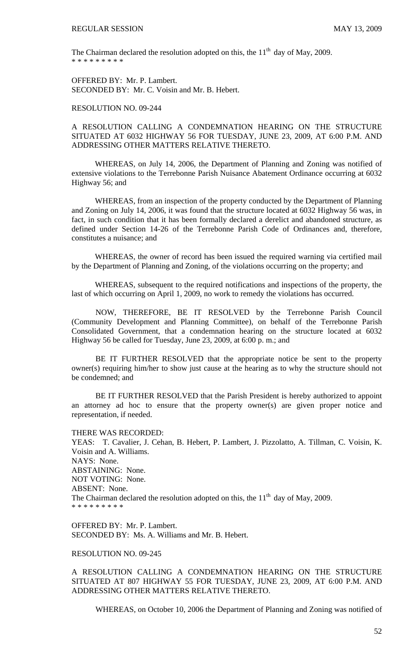The Chairman declared the resolution adopted on this, the  $11<sup>th</sup>$  day of May, 2009. \* \* \* \* \* \* \* \* \*

OFFERED BY: Mr. P. Lambert. SECONDED BY: Mr. C. Voisin and Mr. B. Hebert.

#### RESOLUTION NO. 09-244

# A RESOLUTION CALLING A CONDEMNATION HEARING ON THE STRUCTURE SITUATED AT 6032 HIGHWAY 56 FOR TUESDAY, JUNE 23, 2009, AT 6:00 P.M. AND ADDRESSING OTHER MATTERS RELATIVE THERETO.

 WHEREAS, on July 14, 2006, the Department of Planning and Zoning was notified of extensive violations to the Terrebonne Parish Nuisance Abatement Ordinance occurring at 6032 Highway 56; and

 WHEREAS, from an inspection of the property conducted by the Department of Planning and Zoning on July 14, 2006, it was found that the structure located at 6032 Highway 56 was, in fact, in such condition that it has been formally declared a derelict and abandoned structure, as defined under Section 14-26 of the Terrebonne Parish Code of Ordinances and, therefore, constitutes a nuisance; and

 WHEREAS, the owner of record has been issued the required warning via certified mail by the Department of Planning and Zoning, of the violations occurring on the property; and

 WHEREAS, subsequent to the required notifications and inspections of the property, the last of which occurring on April 1, 2009, no work to remedy the violations has occurred.

 NOW, THEREFORE, BE IT RESOLVED by the Terrebonne Parish Council (Community Development and Planning Committee), on behalf of the Terrebonne Parish Consolidated Government, that a condemnation hearing on the structure located at 6032 Highway 56 be called for Tuesday, June 23, 2009, at 6:00 p. m.; and

 BE IT FURTHER RESOLVED that the appropriate notice be sent to the property owner(s) requiring him/her to show just cause at the hearing as to why the structure should not be condemned; and

 BE IT FURTHER RESOLVED that the Parish President is hereby authorized to appoint an attorney ad hoc to ensure that the property owner(s) are given proper notice and representation, if needed.

THERE WAS RECORDED:

YEAS: T. Cavalier, J. Cehan, B. Hebert, P. Lambert, J. Pizzolatto, A. Tillman, C. Voisin, K. Voisin and A. Williams. NAYS: None. ABSTAINING: None. NOT VOTING: None. ABSENT: None. The Chairman declared the resolution adopted on this, the  $11<sup>th</sup>$  day of May, 2009. \* \* \* \* \* \* \* \*

OFFERED BY: Mr. P. Lambert. SECONDED BY: Ms. A. Williams and Mr. B. Hebert.

### RESOLUTION NO. 09-245

A RESOLUTION CALLING A CONDEMNATION HEARING ON THE STRUCTURE SITUATED AT 807 HIGHWAY 55 FOR TUESDAY, JUNE 23, 2009, AT 6:00 P.M. AND ADDRESSING OTHER MATTERS RELATIVE THERETO.

WHEREAS, on October 10, 2006 the Department of Planning and Zoning was notified of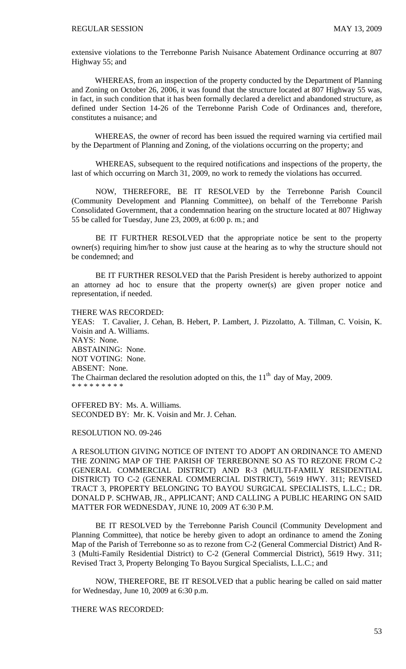extensive violations to the Terrebonne Parish Nuisance Abatement Ordinance occurring at 807 Highway 55; and

 WHEREAS, from an inspection of the property conducted by the Department of Planning and Zoning on October 26, 2006, it was found that the structure located at 807 Highway 55 was, in fact, in such condition that it has been formally declared a derelict and abandoned structure, as defined under Section 14-26 of the Terrebonne Parish Code of Ordinances and, therefore, constitutes a nuisance; and

 WHEREAS, the owner of record has been issued the required warning via certified mail by the Department of Planning and Zoning, of the violations occurring on the property; and

 WHEREAS, subsequent to the required notifications and inspections of the property, the last of which occurring on March 31, 2009, no work to remedy the violations has occurred.

 NOW, THEREFORE, BE IT RESOLVED by the Terrebonne Parish Council (Community Development and Planning Committee), on behalf of the Terrebonne Parish Consolidated Government, that a condemnation hearing on the structure located at 807 Highway 55 be called for Tuesday, June 23, 2009, at 6:00 p. m.; and

 BE IT FURTHER RESOLVED that the appropriate notice be sent to the property owner(s) requiring him/her to show just cause at the hearing as to why the structure should not be condemned; and

 BE IT FURTHER RESOLVED that the Parish President is hereby authorized to appoint an attorney ad hoc to ensure that the property owner(s) are given proper notice and representation, if needed.

#### THERE WAS RECORDED:

YEAS: T. Cavalier, J. Cehan, B. Hebert, P. Lambert, J. Pizzolatto, A. Tillman, C. Voisin, K. Voisin and A. Williams. NAYS: None. ABSTAINING: None. NOT VOTING: None. ABSENT: None. The Chairman declared the resolution adopted on this, the  $11<sup>th</sup>$  day of May, 2009. \* \* \* \* \* \* \* \* \*

OFFERED BY: Ms. A. Williams. SECONDED BY: Mr. K. Voisin and Mr. J. Cehan.

#### RESOLUTION NO. 09-246

A RESOLUTION GIVING NOTICE OF INTENT TO ADOPT AN ORDINANCE TO AMEND THE ZONING MAP OF THE PARISH OF TERREBONNE SO AS TO REZONE FROM C-2 (GENERAL COMMERCIAL DISTRICT) AND R-3 (MULTI-FAMILY RESIDENTIAL DISTRICT) TO C-2 (GENERAL COMMERCIAL DISTRICT), 5619 HWY. 311; REVISED TRACT 3, PROPERTY BELONGING TO BAYOU SURGICAL SPECIALISTS, L.L.C.; DR. DONALD P. SCHWAB, JR., APPLICANT; AND CALLING A PUBLIC HEARING ON SAID MATTER FOR WEDNESDAY, JUNE 10, 2009 AT 6:30 P.M.

BE IT RESOLVED by the Terrebonne Parish Council (Community Development and Planning Committee), that notice be hereby given to adopt an ordinance to amend the Zoning Map of the Parish of Terrebonne so as to rezone from C-2 (General Commercial District) And R-3 (Multi-Family Residential District) to C-2 (General Commercial District), 5619 Hwy. 311; Revised Tract 3, Property Belonging To Bayou Surgical Specialists, L.L.C.; and

NOW, THEREFORE, BE IT RESOLVED that a public hearing be called on said matter for Wednesday, June 10, 2009 at 6:30 p.m.

THERE WAS RECORDED: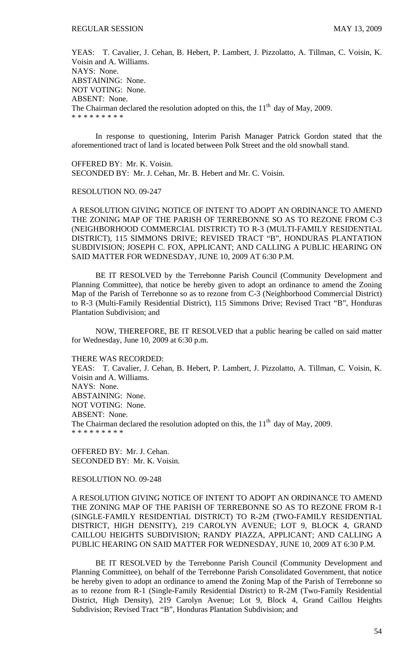YEAS: T. Cavalier, J. Cehan, B. Hebert, P. Lambert, J. Pizzolatto, A. Tillman, C. Voisin, K. Voisin and A. Williams. NAYS: None. ABSTAINING: None. NOT VOTING: None. ABSENT: None. The Chairman declared the resolution adopted on this, the  $11<sup>th</sup>$  day of May, 2009. \* \* \* \* \* \* \* \* \*

 In response to questioning, Interim Parish Manager Patrick Gordon stated that the aforementioned tract of land is located between Polk Street and the old snowball stand.

OFFERED BY: Mr. K. Voisin. SECONDED BY: Mr. J. Cehan, Mr. B. Hebert and Mr. C. Voisin.

#### RESOLUTION NO. 09-247

A RESOLUTION GIVING NOTICE OF INTENT TO ADOPT AN ORDINANCE TO AMEND THE ZONING MAP OF THE PARISH OF TERREBONNE SO AS TO REZONE FROM C-3 (NEIGHBORHOOD COMMERCIAL DISTRICT) TO R-3 (MULTI-FAMILY RESIDENTIAL DISTRICT), 115 SIMMONS DRIVE; REVISED TRACT "B", HONDURAS PLANTATION SUBDIVISION; JOSEPH C. FOX, APPLICANT; AND CALLING A PUBLIC HEARING ON SAID MATTER FOR WEDNESDAY, JUNE 10, 2009 AT 6:30 P.M.

BE IT RESOLVED by the Terrebonne Parish Council (Community Development and Planning Committee), that notice be hereby given to adopt an ordinance to amend the Zoning Map of the Parish of Terrebonne so as to rezone from C-3 (Neighborhood Commercial District) to R-3 (Multi-Family Residential District), 115 Simmons Drive; Revised Tract "B", Honduras Plantation Subdivision; and

NOW, THEREFORE, BE IT RESOLVED that a public hearing be called on said matter for Wednesday, June 10, 2009 at 6:30 p.m.

#### THERE WAS RECORDED:

YEAS: T. Cavalier, J. Cehan, B. Hebert, P. Lambert, J. Pizzolatto, A. Tillman, C. Voisin, K. Voisin and A. Williams. NAYS: None. ABSTAINING: None. NOT VOTING: None. ABSENT: None. The Chairman declared the resolution adopted on this, the  $11<sup>th</sup>$  day of May, 2009. \* \* \* \* \* \* \* \*

OFFERED BY: Mr. J. Cehan. SECONDED BY: Mr. K. Voisin.

RESOLUTION NO. 09-248

A RESOLUTION GIVING NOTICE OF INTENT TO ADOPT AN ORDINANCE TO AMEND THE ZONING MAP OF THE PARISH OF TERREBONNE SO AS TO REZONE FROM R-1 (SINGLE-FAMILY RESIDENTIAL DISTRICT) TO R-2M (TWO-FAMILY RESIDENTIAL DISTRICT, HIGH DENSITY), 219 CAROLYN AVENUE; LOT 9, BLOCK 4, GRAND CAILLOU HEIGHTS SUBDIVISION; RANDY PIAZZA, APPLICANT; AND CALLING A PUBLIC HEARING ON SAID MATTER FOR WEDNESDAY, JUNE 10, 2009 AT 6:30 P.M.

BE IT RESOLVED by the Terrebonne Parish Council (Community Development and Planning Committee), on behalf of the Terrebonne Parish Consolidated Government, that notice be hereby given to adopt an ordinance to amend the Zoning Map of the Parish of Terrebonne so as to rezone from R-1 (Single-Family Residential District) to R-2M (Two-Family Residential District, High Density), 219 Carolyn Avenue; Lot 9, Block 4, Grand Caillou Heights Subdivision; Revised Tract "B", Honduras Plantation Subdivision; and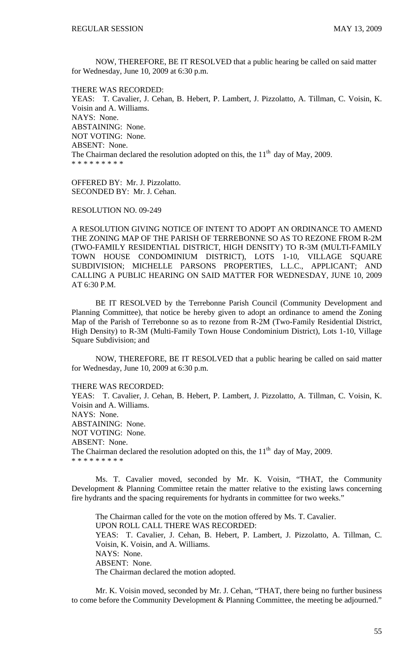NOW, THEREFORE, BE IT RESOLVED that a public hearing be called on said matter for Wednesday, June 10, 2009 at 6:30 p.m.

THERE WAS RECORDED: YEAS: T. Cavalier, J. Cehan, B. Hebert, P. Lambert, J. Pizzolatto, A. Tillman, C. Voisin, K. Voisin and A. Williams. NAYS: None. ABSTAINING: None. NOT VOTING: None. ABSENT: None. The Chairman declared the resolution adopted on this, the  $11<sup>th</sup>$  day of May, 2009. \* \* \* \* \* \* \* \* \*

OFFERED BY: Mr. J. Pizzolatto. SECONDED BY: Mr. J. Cehan.

RESOLUTION NO. 09-249

A RESOLUTION GIVING NOTICE OF INTENT TO ADOPT AN ORDINANCE TO AMEND THE ZONING MAP OF THE PARISH OF TERREBONNE SO AS TO REZONE FROM R-2M (TWO-FAMILY RESIDENTIAL DISTRICT, HIGH DENSITY) TO R-3M (MULTI-FAMILY TOWN HOUSE CONDOMINIUM DISTRICT), LOTS 1-10, VILLAGE SQUARE SUBDIVISION; MICHELLE PARSONS PROPERTIES, L.L.C., APPLICANT; AND CALLING A PUBLIC HEARING ON SAID MATTER FOR WEDNESDAY, JUNE 10, 2009 AT 6:30 P.M.

BE IT RESOLVED by the Terrebonne Parish Council (Community Development and Planning Committee), that notice be hereby given to adopt an ordinance to amend the Zoning Map of the Parish of Terrebonne so as to rezone from R-2M (Two-Family Residential District, High Density) to R-3M (Multi-Family Town House Condominium District), Lots 1-10, Village Square Subdivision; and

NOW, THEREFORE, BE IT RESOLVED that a public hearing be called on said matter for Wednesday, June 10, 2009 at 6:30 p.m.

THERE WAS RECORDED:

YEAS: T. Cavalier, J. Cehan, B. Hebert, P. Lambert, J. Pizzolatto, A. Tillman, C. Voisin, K. Voisin and A. Williams. NAYS: None. ABSTAINING: None. NOT VOTING: None. ABSENT: None. The Chairman declared the resolution adopted on this, the  $11<sup>th</sup>$  day of May, 2009. \* \* \* \* \* \* \* \* \*

 Ms. T. Cavalier moved, seconded by Mr. K. Voisin, "THAT, the Community Development & Planning Committee retain the matter relative to the existing laws concerning fire hydrants and the spacing requirements for hydrants in committee for two weeks."

The Chairman called for the vote on the motion offered by Ms. T. Cavalier. UPON ROLL CALL THERE WAS RECORDED: YEAS: T. Cavalier, J. Cehan, B. Hebert, P. Lambert, J. Pizzolatto, A. Tillman, C. Voisin, K. Voisin, and A. Williams. NAYS: None. ABSENT: None. The Chairman declared the motion adopted.

 Mr. K. Voisin moved, seconded by Mr. J. Cehan, "THAT, there being no further business to come before the Community Development & Planning Committee, the meeting be adjourned."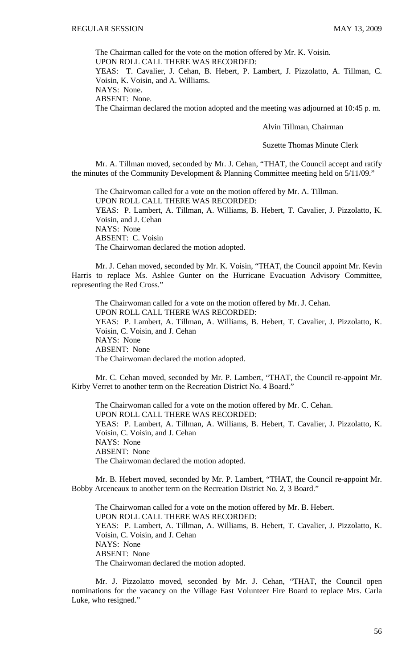The Chairman called for the vote on the motion offered by Mr. K. Voisin.

UPON ROLL CALL THERE WAS RECORDED:

YEAS: T. Cavalier, J. Cehan, B. Hebert, P. Lambert, J. Pizzolatto, A. Tillman, C. Voisin, K. Voisin, and A. Williams.

NAYS: None.

ABSENT: None.

The Chairman declared the motion adopted and the meeting was adjourned at 10:45 p. m.

Alvin Tillman, Chairman

Suzette Thomas Minute Clerk

Mr. A. Tillman moved, seconded by Mr. J. Cehan, "THAT, the Council accept and ratify the minutes of the Community Development & Planning Committee meeting held on 5/11/09."

 The Chairwoman called for a vote on the motion offered by Mr. A. Tillman. UPON ROLL CALL THERE WAS RECORDED: YEAS: P. Lambert, A. Tillman, A. Williams, B. Hebert, T. Cavalier, J. Pizzolatto, K. Voisin, and J. Cehan NAYS: None ABSENT: C. Voisin The Chairwoman declared the motion adopted.

 Mr. J. Cehan moved, seconded by Mr. K. Voisin, "THAT, the Council appoint Mr. Kevin Harris to replace Ms. Ashlee Gunter on the Hurricane Evacuation Advisory Committee, representing the Red Cross."

 The Chairwoman called for a vote on the motion offered by Mr. J. Cehan. UPON ROLL CALL THERE WAS RECORDED: YEAS: P. Lambert, A. Tillman, A. Williams, B. Hebert, T. Cavalier, J. Pizzolatto, K. Voisin, C. Voisin, and J. Cehan NAYS: None ABSENT: None The Chairwoman declared the motion adopted.

Mr. C. Cehan moved, seconded by Mr. P. Lambert, "THAT, the Council re-appoint Mr. Kirby Verret to another term on the Recreation District No. 4 Board."

The Chairwoman called for a vote on the motion offered by Mr. C. Cehan. UPON ROLL CALL THERE WAS RECORDED: YEAS: P. Lambert, A. Tillman, A. Williams, B. Hebert, T. Cavalier, J. Pizzolatto, K. Voisin, C. Voisin, and J. Cehan NAYS: None ABSENT: None The Chairwoman declared the motion adopted.

 Mr. B. Hebert moved, seconded by Mr. P. Lambert, "THAT, the Council re-appoint Mr. Bobby Arceneaux to another term on the Recreation District No. 2, 3 Board."

 The Chairwoman called for a vote on the motion offered by Mr. B. Hebert. UPON ROLL CALL THERE WAS RECORDED: YEAS: P. Lambert, A. Tillman, A. Williams, B. Hebert, T. Cavalier, J. Pizzolatto, K. Voisin, C. Voisin, and J. Cehan NAYS: None ABSENT: None The Chairwoman declared the motion adopted.

 Mr. J. Pizzolatto moved, seconded by Mr. J. Cehan, "THAT, the Council open nominations for the vacancy on the Village East Volunteer Fire Board to replace Mrs. Carla Luke, who resigned."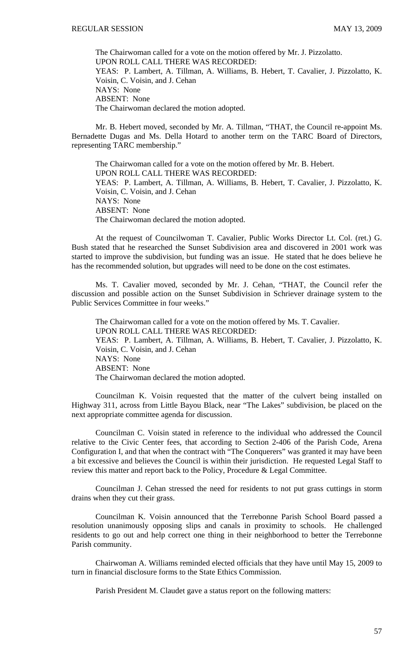The Chairwoman called for a vote on the motion offered by Mr. J. Pizzolatto. UPON ROLL CALL THERE WAS RECORDED: YEAS: P. Lambert, A. Tillman, A. Williams, B. Hebert, T. Cavalier, J. Pizzolatto, K. Voisin, C. Voisin, and J. Cehan NAYS: None ABSENT: None The Chairwoman declared the motion adopted.

 Mr. B. Hebert moved, seconded by Mr. A. Tillman, "THAT, the Council re-appoint Ms. Bernadette Dugas and Ms. Della Hotard to another term on the TARC Board of Directors, representing TARC membership."

 The Chairwoman called for a vote on the motion offered by Mr. B. Hebert. UPON ROLL CALL THERE WAS RECORDED: YEAS: P. Lambert, A. Tillman, A. Williams, B. Hebert, T. Cavalier, J. Pizzolatto, K. Voisin, C. Voisin, and J. Cehan NAYS: None ABSENT: None The Chairwoman declared the motion adopted.

 At the request of Councilwoman T. Cavalier, Public Works Director Lt. Col. (ret.) G. Bush stated that he researched the Sunset Subdivision area and discovered in 2001 work was started to improve the subdivision, but funding was an issue. He stated that he does believe he has the recommended solution, but upgrades will need to be done on the cost estimates.

 Ms. T. Cavalier moved, seconded by Mr. J. Cehan, "THAT, the Council refer the discussion and possible action on the Sunset Subdivision in Schriever drainage system to the Public Services Committee in four weeks."

 The Chairwoman called for a vote on the motion offered by Ms. T. Cavalier. UPON ROLL CALL THERE WAS RECORDED: YEAS: P. Lambert, A. Tillman, A. Williams, B. Hebert, T. Cavalier, J. Pizzolatto, K. Voisin, C. Voisin, and J. Cehan NAYS: None ABSENT: None The Chairwoman declared the motion adopted.

 Councilman K. Voisin requested that the matter of the culvert being installed on Highway 311, across from Little Bayou Black, near "The Lakes" subdivision, be placed on the next appropriate committee agenda for discussion.

 Councilman C. Voisin stated in reference to the individual who addressed the Council relative to the Civic Center fees, that according to Section 2-406 of the Parish Code, Arena Configuration I, and that when the contract with "The Conquerers" was granted it may have been a bit excessive and believes the Council is within their jurisdiction. He requested Legal Staff to review this matter and report back to the Policy, Procedure & Legal Committee.

 Councilman J. Cehan stressed the need for residents to not put grass cuttings in storm drains when they cut their grass.

 Councilman K. Voisin announced that the Terrebonne Parish School Board passed a resolution unanimously opposing slips and canals in proximity to schools. He challenged residents to go out and help correct one thing in their neighborhood to better the Terrebonne Parish community.

 Chairwoman A. Williams reminded elected officials that they have until May 15, 2009 to turn in financial disclosure forms to the State Ethics Commission.

Parish President M. Claudet gave a status report on the following matters: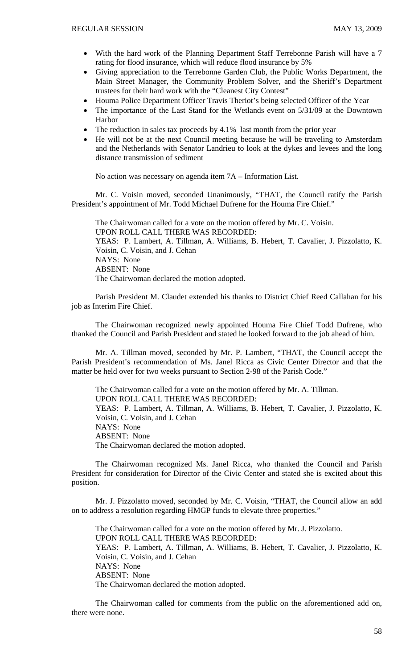- With the hard work of the Planning Department Staff Terrebonne Parish will have a 7 rating for flood insurance, which will reduce flood insurance by 5%
- Giving appreciation to the Terrebonne Garden Club, the Public Works Department, the Main Street Manager, the Community Problem Solver, and the Sheriff's Department trustees for their hard work with the "Cleanest City Contest"
- Houma Police Department Officer Travis Theriot's being selected Officer of the Year
- The importance of the Last Stand for the Wetlands event on 5/31/09 at the Downtown Harbor
- The reduction in sales tax proceeds by 4.1% last month from the prior year
- He will not be at the next Council meeting because he will be traveling to Amsterdam and the Netherlands with Senator Landrieu to look at the dykes and levees and the long distance transmission of sediment

No action was necessary on agenda item 7A – Information List.

Mr. C. Voisin moved, seconded Unanimously, "THAT, the Council ratify the Parish President's appointment of Mr. Todd Michael Dufrene for the Houma Fire Chief."

 The Chairwoman called for a vote on the motion offered by Mr. C. Voisin. UPON ROLL CALL THERE WAS RECORDED: YEAS: P. Lambert, A. Tillman, A. Williams, B. Hebert, T. Cavalier, J. Pizzolatto, K. Voisin, C. Voisin, and J. Cehan NAYS: None ABSENT: None The Chairwoman declared the motion adopted.

 Parish President M. Claudet extended his thanks to District Chief Reed Callahan for his job as Interim Fire Chief.

 The Chairwoman recognized newly appointed Houma Fire Chief Todd Dufrene, who thanked the Council and Parish President and stated he looked forward to the job ahead of him.

 Mr. A. Tillman moved, seconded by Mr. P. Lambert, "THAT, the Council accept the Parish President's recommendation of Ms. Janel Ricca as Civic Center Director and that the matter be held over for two weeks pursuant to Section 2-98 of the Parish Code."

 The Chairwoman called for a vote on the motion offered by Mr. A. Tillman. UPON ROLL CALL THERE WAS RECORDED: YEAS: P. Lambert, A. Tillman, A. Williams, B. Hebert, T. Cavalier, J. Pizzolatto, K. Voisin, C. Voisin, and J. Cehan NAYS: None ABSENT: None The Chairwoman declared the motion adopted.

 The Chairwoman recognized Ms. Janel Ricca, who thanked the Council and Parish President for consideration for Director of the Civic Center and stated she is excited about this position.

 Mr. J. Pizzolatto moved, seconded by Mr. C. Voisin, "THAT, the Council allow an add on to address a resolution regarding HMGP funds to elevate three properties."

 The Chairwoman called for a vote on the motion offered by Mr. J. Pizzolatto. UPON ROLL CALL THERE WAS RECORDED: YEAS: P. Lambert, A. Tillman, A. Williams, B. Hebert, T. Cavalier, J. Pizzolatto, K. Voisin, C. Voisin, and J. Cehan NAYS: None ABSENT: None The Chairwoman declared the motion adopted.

 The Chairwoman called for comments from the public on the aforementioned add on, there were none.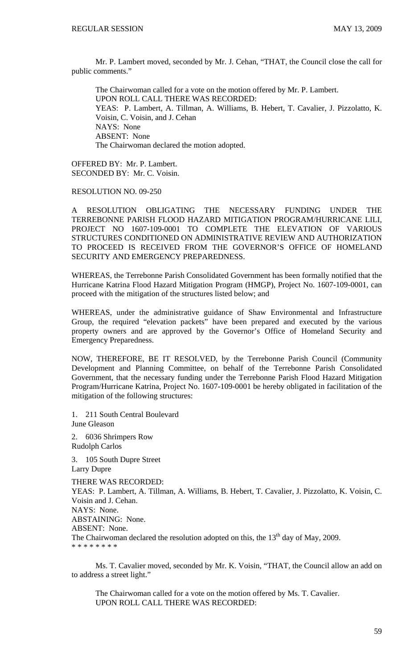Mr. P. Lambert moved, seconded by Mr. J. Cehan, "THAT, the Council close the call for public comments."

 The Chairwoman called for a vote on the motion offered by Mr. P. Lambert. UPON ROLL CALL THERE WAS RECORDED: YEAS: P. Lambert, A. Tillman, A. Williams, B. Hebert, T. Cavalier, J. Pizzolatto, K. Voisin, C. Voisin, and J. Cehan NAYS: None ABSENT: None The Chairwoman declared the motion adopted.

OFFERED BY: Mr. P. Lambert. SECONDED BY: Mr. C. Voisin.

RESOLUTION NO. 09-250

A RESOLUTION OBLIGATING THE NECESSARY FUNDING UNDER THE TERREBONNE PARISH FLOOD HAZARD MITIGATION PROGRAM/HURRICANE LILI, PROJECT NO 1607-109-0001 TO COMPLETE THE ELEVATION OF VARIOUS STRUCTURES CONDITIONED ON ADMINISTRATIVE REVIEW AND AUTHORIZATION TO PROCEED IS RECEIVED FROM THE GOVERNOR'S OFFICE OF HOMELAND SECURITY AND EMERGENCY PREPAREDNESS.

WHEREAS, the Terrebonne Parish Consolidated Government has been formally notified that the Hurricane Katrina Flood Hazard Mitigation Program (HMGP), Project No. 1607-109-0001, can proceed with the mitigation of the structures listed below; and

WHEREAS, under the administrative guidance of Shaw Environmental and Infrastructure Group, the required "elevation packets" have been prepared and executed by the various property owners and are approved by the Governor's Office of Homeland Security and Emergency Preparedness.

NOW, THEREFORE, BE IT RESOLVED, by the Terrebonne Parish Council (Community Development and Planning Committee, on behalf of the Terrebonne Parish Consolidated Government, that the necessary funding under the Terrebonne Parish Flood Hazard Mitigation Program/Hurricane Katrina, Project No. 1607-109-0001 be hereby obligated in facilitation of the mitigation of the following structures:

1. 211 South Central Boulevard June Gleason

2. 6036 Shrimpers Row Rudolph Carlos

3. 105 South Dupre Street Larry Dupre

THERE WAS RECORDED: YEAS: P. Lambert, A. Tillman, A. Williams, B. Hebert, T. Cavalier, J. Pizzolatto, K. Voisin, C. Voisin and J. Cehan. NAYS: None. ABSTAINING: None. ABSENT: None. The Chairwoman declared the resolution adopted on this, the  $13<sup>th</sup>$  day of May, 2009. \* \* \* \* \* \* \* \*

 Ms. T. Cavalier moved, seconded by Mr. K. Voisin, "THAT, the Council allow an add on to address a street light."

 The Chairwoman called for a vote on the motion offered by Ms. T. Cavalier. UPON ROLL CALL THERE WAS RECORDED: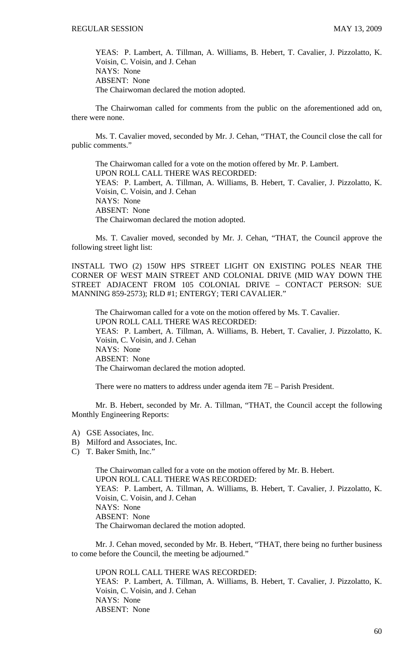YEAS: P. Lambert, A. Tillman, A. Williams, B. Hebert, T. Cavalier, J. Pizzolatto, K. Voisin, C. Voisin, and J. Cehan NAYS: None ABSENT: None The Chairwoman declared the motion adopted.

 The Chairwoman called for comments from the public on the aforementioned add on, there were none.

 Ms. T. Cavalier moved, seconded by Mr. J. Cehan, "THAT, the Council close the call for public comments."

 The Chairwoman called for a vote on the motion offered by Mr. P. Lambert. UPON ROLL CALL THERE WAS RECORDED: YEAS: P. Lambert, A. Tillman, A. Williams, B. Hebert, T. Cavalier, J. Pizzolatto, K. Voisin, C. Voisin, and J. Cehan NAYS: None ABSENT: None The Chairwoman declared the motion adopted.

 Ms. T. Cavalier moved, seconded by Mr. J. Cehan, "THAT, the Council approve the following street light list:

INSTALL TWO (2) 150W HPS STREET LIGHT ON EXISTING POLES NEAR THE CORNER OF WEST MAIN STREET AND COLONIAL DRIVE (MID WAY DOWN THE STREET ADJACENT FROM 105 COLONIAL DRIVE – CONTACT PERSON: SUE MANNING 859-2573); RLD #1; ENTERGY; TERI CAVALIER."

The Chairwoman called for a vote on the motion offered by Ms. T. Cavalier. UPON ROLL CALL THERE WAS RECORDED: YEAS: P. Lambert, A. Tillman, A. Williams, B. Hebert, T. Cavalier, J. Pizzolatto, K. Voisin, C. Voisin, and J. Cehan NAYS: None ABSENT: None The Chairwoman declared the motion adopted.

There were no matters to address under agenda item 7E – Parish President.

 Mr. B. Hebert, seconded by Mr. A. Tillman, "THAT, the Council accept the following Monthly Engineering Reports:

- A) GSE Associates, Inc.
- B) Milford and Associates, Inc.
- C) T. Baker Smith, Inc."

 The Chairwoman called for a vote on the motion offered by Mr. B. Hebert. UPON ROLL CALL THERE WAS RECORDED: YEAS: P. Lambert, A. Tillman, A. Williams, B. Hebert, T. Cavalier, J. Pizzolatto, K. Voisin, C. Voisin, and J. Cehan NAYS: None ABSENT: None The Chairwoman declared the motion adopted.

 Mr. J. Cehan moved, seconded by Mr. B. Hebert, "THAT, there being no further business to come before the Council, the meeting be adjourned."

UPON ROLL CALL THERE WAS RECORDED:

YEAS: P. Lambert, A. Tillman, A. Williams, B. Hebert, T. Cavalier, J. Pizzolatto, K. Voisin, C. Voisin, and J. Cehan NAYS: None ABSENT: None